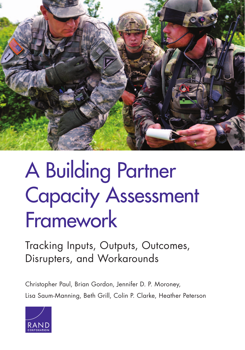

# A Building Partner [Capacity Assessment](http://www.rand.org/pubs/research_reports/RR935.html)  Framework

Tracking Inputs, Outputs, Outcomes, Disrupters, and Workarounds

Christopher Paul, Brian Gordon, Jennifer D. P. Moroney, Lisa Saum-Manning, Beth Grill, Colin P. Clarke, Heather Peterson

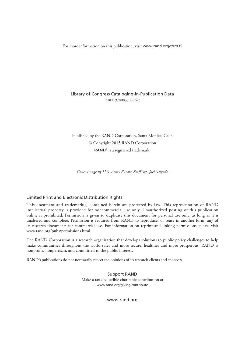For more information on this publication, visit [www.rand.org/t/rr935](http://www.rand.org/t/rr935)

#### Library of Congress Cataloging-in-Publication Data ISBN: 9780833088673

Published by the RAND Corporation, Santa Monica, Calif. © Copyright 2015 RAND Corporation RAND<sup>®</sup> is a registered trademark.

*Cover image by U.S. Army Europe Staff Sgt. Joel Salgado*

#### Limited Print and Electronic Distribution Rights

This document and trademark(s) contained herein are protected by law. This representation of RAND intellectual property is provided for noncommercial use only. Unauthorized posting of this publication online is prohibited. Permission is given to duplicate this document for personal use only, as long as it is unaltered and complete. Permission is required from RAND to reproduce, or reuse in another form, any of its research documents for commercial use. For information on reprint and linking permissions, please visit [www.rand.org/pubs/permissions.html.](http://www.rand.org/pubs/permissions.html)

The RAND Corporation is a research organization that develops solutions to public policy challenges to help make communities throughout the world safer and more secure, healthier and more prosperous. RAND is nonprofit, nonpartisan, and committed to the public interest.

RAND's publications do not necessarily reflect the opinions of its research clients and sponsors.

Support RAND Make a tax-deductible charitable contribution at [www.rand.org/giving/contribute](http://www.rand.org/giving/contribute)

[www.rand.org](http://www.rand.org)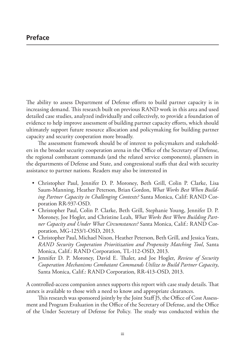The ability to assess Department of Defense efforts to build partner capacity is in increasing demand. This research built on previous RAND work in this area and used detailed case studies, analyzed individually and collectively, to provide a foundation of evidence to help improve assessment of building partner capacity efforts, which should ultimately support future resource allocation and policymaking for building partner capacity and security cooperation more broadly.

The assessment framework should be of interest to policymakers and stakeholders in the broader security cooperation arena in the Office of the Secretary of Defense, the regional combatant commands (and the related service components), planners in the departments of Defense and State, and congressional staffs that deal with security assistance to partner nations. Readers may also be interested in

- Christopher Paul, Jennifer D. P. Moroney, Beth Grill, Colin P. Clarke, Lisa Saum-Manning, Heather Peterson, Brian Gordon, *What Works Best When Building Partner Capacity in Challenging Contexts?* Santa Monica, Calif: RAND Corporation RR-937-OSD.
- Christopher Paul, Colin P. Clarke, Beth Grill, Stephanie Young, Jennifer D. P. Moroney, Joe Hogler, and Christine Leah, *What Works Best When Building Partner Capacity and Under What Circumstances?* Santa Monica, Calif.: RAND Corporation, MG-1253/1-OSD, 2013.
- Christopher Paul, Michael Nixon, Heather Peterson, Beth Grill, and Jessica Yeats, *RAND Security Cooperation Prioritization and Propensity Matching Tool*, Santa Monica, Calif.: RAND Corporation, TL-112-OSD, 2013.
- Jennifer D. P. Moroney, David E. Thaler, and Joe Hogler, *Review of Security Cooperation Mechanisms Combatant Commands Utilize to Build Partner Capacity*, Santa Monica, Calif.: RAND Corporation, RR-413-OSD, 2013.

A controlled-access companion annex supports this report with case study details. That annex is available to those with a need to know and appropriate clearances.

This research was sponsored jointly by the Joint Staff J5, the Office of Cost Assessment and Program Evaluation in the Office of the Secretary of Defense, and the Office of the Under Secretary of Defense for Policy. The study was conducted within the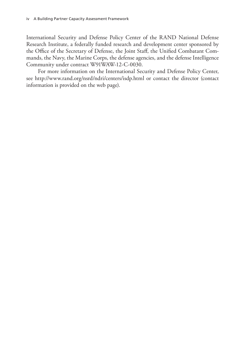International Security and Defense Policy Center of the RAND National Defense Research Institute, a federally funded research and development center sponsored by the Office of the Secretary of Defense, the Joint Staff, the Unified Combatant Commands, the Navy, the Marine Corps, the defense agencies, and the defense Intelligence Community under contract W91WAW-12-C-0030.

For more information on the International Security and Defense Policy Center, see <http://www.rand.org/nsrd/ndri/centers/isdp.html>or contact the director (contact information is provided on the web page).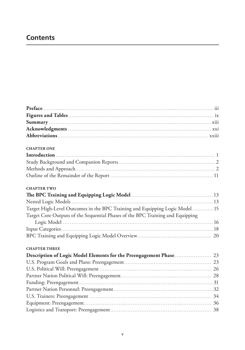# **Contents**

| <b>CHAPTER ONE</b>                                                             |  |
|--------------------------------------------------------------------------------|--|
|                                                                                |  |
|                                                                                |  |
|                                                                                |  |
|                                                                                |  |
| <b>CHAPTER TWO</b>                                                             |  |
|                                                                                |  |
|                                                                                |  |
| Target High-Level Outcomes in the BPC Training and Equipping Logic Model 15    |  |
| Target Core Outputs of the Sequential Phases of the BPC Training and Equipping |  |
|                                                                                |  |
|                                                                                |  |
|                                                                                |  |
| <b>CHAPTER THREE</b>                                                           |  |
| Description of Logic Model Elements for the Preengagement Phase 23             |  |
|                                                                                |  |
|                                                                                |  |
|                                                                                |  |
|                                                                                |  |
|                                                                                |  |
|                                                                                |  |
|                                                                                |  |
|                                                                                |  |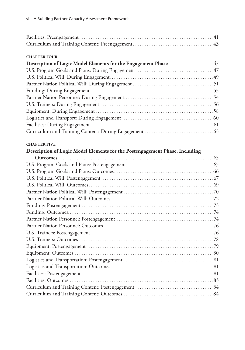#### **CHAPTER FOUR**

| Description of Logic Model Elements for the Engagement Phase 47 |  |
|-----------------------------------------------------------------|--|
|                                                                 |  |
|                                                                 |  |
|                                                                 |  |
|                                                                 |  |
|                                                                 |  |
|                                                                 |  |
|                                                                 |  |
|                                                                 |  |
|                                                                 |  |
|                                                                 |  |

## **CHAPTER FIVE**

# **Description of Logic Model Elements for the Postengagement Phase, Including**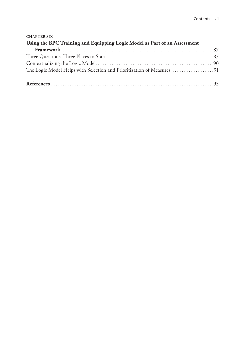| <b>CHAPTER SIX</b>                                                        |  |
|---------------------------------------------------------------------------|--|
| Using the BPC Training and Equipping Logic Model as Part of an Assessment |  |
|                                                                           |  |
|                                                                           |  |
|                                                                           |  |
| The Logic Model Helps with Selection and Prioritization of Measures  91   |  |
|                                                                           |  |
|                                                                           |  |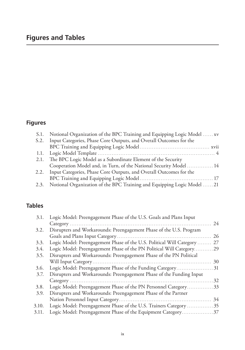# **Figures and Tables**

# **Figures**

| S.1. Notional Organization of the BPC Training and Equipping Logic Model  xv |  |
|------------------------------------------------------------------------------|--|
| S.2. Input Categories, Phase Core Outputs, and Overall Outcomes for the      |  |
|                                                                              |  |
|                                                                              |  |
| 2.1. The BPC Logic Model as a Subordinate Element of the Security            |  |
| Cooperation Model and, in Turn, of the National Security Model  14           |  |
| 2.2. Input Categories, Phase Core Outputs, and Overall Outcomes for the      |  |
|                                                                              |  |
| 2.3. Notional Organization of the BPC Training and Equipping Logic Model  21 |  |

# **Tables**

| 3.1.  | Logic Model: Preengagement Phase of the U.S. Goals and Plans Input   |    |
|-------|----------------------------------------------------------------------|----|
|       |                                                                      | 24 |
| 3.2.  | Disrupters and Workarounds: Preengagement Phase of the U.S. Program  |    |
|       |                                                                      | 26 |
| 3.3.  | Logic Model: Preengagement Phase of the U.S. Political Will Category | 27 |
| 3.4.  | Logic Model: Preengagement Phase of the PN Political Will Category29 |    |
| 3.5.  | Disrupters and Workarounds: Preengagement Phase of the PN Political  |    |
|       |                                                                      | 30 |
| 3.6.  | Logic Model: Preengagement Phase of the Funding Category31           |    |
| 3.7.  | Disrupters and Workarounds: Preengagement Phase of the Funding Input |    |
|       |                                                                      | 32 |
| 3.8.  | Logic Model: Preengagement Phase of the PN Personnel Category33      |    |
| 3.9.  | Disrupters and Workarounds: Preengagement Phase of the Partner       |    |
|       |                                                                      | 34 |
| 3.10. | Logic Model: Preengagement Phase of the U.S. Trainers Category  35   |    |
| 3.11. | Logic Model: Preengagement Phase of the Equipment Category37         |    |
|       |                                                                      |    |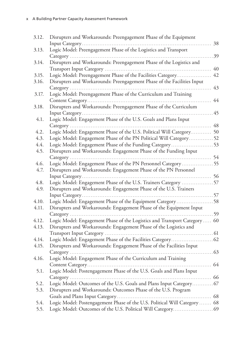| 3.12. | Disrupters and Workarounds: Preengagement Phase of the Equipment          |    |
|-------|---------------------------------------------------------------------------|----|
|       |                                                                           | 38 |
| 3.13. | Logic Model: Preengagement Phase of the Logistics and Transport           |    |
|       |                                                                           | 39 |
| 3.14. | Disrupters and Workarounds: Preengagement Phase of the Logistics and      |    |
|       |                                                                           | 40 |
| 3.15. | Logic Model: Preengagement Phase of the Facilities Category               | 42 |
| 3.16. | Disrupters and Workarounds: Preengagement Phase of the Facilities Input   |    |
|       |                                                                           | 43 |
| 3.17. | Logic Model: Preengagement Phase of the Curriculum and Training           |    |
|       |                                                                           | 44 |
| 3.18. | Disrupters and Workarounds: Preengagement Phase of the Curriculum         |    |
|       |                                                                           | 45 |
| 4.1.  | Logic Model: Engagement Phase of the U.S. Goals and Plans Input           |    |
|       | .                                                                         | 48 |
| 4.2.  | Logic Model: Engagement Phase of the U.S. Political Will Category 50      |    |
| 4.3.  | Logic Model: Engagement Phase of the PN Political Will Category52         |    |
| 4.4.  |                                                                           |    |
| 4.5.  | Disrupters and Workarounds: Engagement Phase of the Funding Input         |    |
|       |                                                                           |    |
| 4.6.  | Logic Model: Engagement Phase of the PN Personnel Category 55             |    |
| 4.7.  | Disrupters and Workarounds: Engagement Phase of the PN Personnel          |    |
|       |                                                                           | 56 |
| 4.8.  | Logic Model: Engagement Phase of the U.S. Trainers Category 57            |    |
| 4.9.  | Disrupters and Workarounds: Engagement Phase of the U.S. Trainers         |    |
|       |                                                                           |    |
| 4.10. | Logic Model: Engagement Phase of the Equipment Category58                 |    |
| 4.11. | Disrupters and Workarounds: Engagement Phase of the Equipment Input       |    |
|       |                                                                           |    |
| 4.12. | Logic Model: Engagement Phase of the Logistics and Transport Category 60  |    |
| 4.13. | Disrupters and Workarounds: Engagement Phase of the Logistics and         |    |
|       |                                                                           |    |
| 4.14. |                                                                           |    |
| 4.15. | Disrupters and Workarounds: Engagement Phase of the Facilities Input      |    |
|       | . 63                                                                      |    |
| 4.16. | Logic Model: Engagement Phase of the Curriculum and Training              |    |
|       |                                                                           |    |
| 5.1.  | Logic Model: Postengagement Phase of the U.S. Goals and Plans Input       |    |
|       |                                                                           |    |
| 5.2.  | Logic Model: Outcomes of the U.S. Goals and Plans Input Category 67       |    |
| 5.3.  | Disrupters and Workarounds: Outcomes Phase of the U.S. Program            |    |
|       |                                                                           |    |
| 5.4.  | Logic Model: Postengagement Phase of the U.S. Political Will Category  68 |    |
| 5.5.  |                                                                           |    |
|       |                                                                           |    |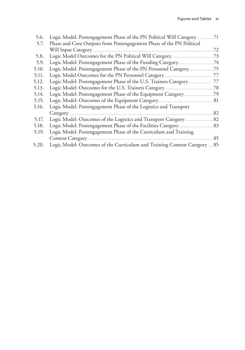| 5.6.  | Logic Model: Postengagement Phase of the PN Political Will Category 71    |
|-------|---------------------------------------------------------------------------|
| 5.7.  | Phase and Core Outputs from Postengagement Phase of the PN Political      |
|       |                                                                           |
| 5.8.  |                                                                           |
| 5.9.  | Logic Model: Postengagement Phase of the Funding Category74               |
| 5.10. | Logic Model: Postengagement Phase of the PN Personnel Category75          |
| 5.11. |                                                                           |
| 5.12. | Logic Model: Postengagement Phase of the U.S. Trainers Category  77       |
| 5.13. |                                                                           |
| 5.14. | Logic Model: Postengagement Phase of the Equipment Category79             |
| 5.15. |                                                                           |
| 5.16. | Logic Model: Postengagement Phase of the Logistics and Transport          |
|       |                                                                           |
| 5.17. | Logic Model: Outcomes of the Logistics and Transport Category  82         |
| 5.18. |                                                                           |
| 5.19. | Logic Model: Postengagement Phase of the Curriculum and Training          |
|       |                                                                           |
| 5.20. | Logic Model: Outcomes of the Curriculum and Training Content Category  85 |
|       |                                                                           |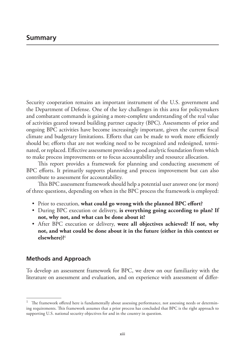Security cooperation remains an important instrument of the U.S. government and the Department of Defense. One of the key challenges in this area for policymakers and combatant commands is gaining a more-complete understanding of the real value of activities geared toward building partner capacity (BPC). Assessments of prior and ongoing BPC activities have become increasingly important, given the current fiscal climate and budgetary limitations. Efforts that can be made to work more efficiently should be; efforts that are not working need to be recognized and redesigned, terminated, or replaced. Effective assessment provides a good analytic foundation from which to make process improvements or to focus accountability and resource allocation.

This report provides a framework for planning and conducting assessment of BPC efforts. It primarily supports planning and process improvement but can also contribute to assessment for accountability.

This BPC assessment framework should help a potential user answer one (or more) of three questions, depending on when in the BPC process the framework is employed:

- Prior to execution, **what could go wrong with the planned BPC effort?**
- During BPC execution or delivery, **is everything going according to plan? If not, why not, and what can be done about it?**
- After BPC execution or delivery, **were all objectives achieved? If not, why not, and what could be done about it in the future (either in this context or elsewhere)?**<sup>1</sup>

# **Methods and Approach**

To develop an assessment framework for BPC, we drew on our familiarity with the literature on assessment and evaluation, and on experience with assessment of differ-

<sup>&</sup>lt;sup>1</sup> The framework offered here is fundamentally about assessing performance, not assessing needs or determining requirements. This framework assumes that a prior process has concluded that BPC is the right approach to supporting U.S. national security objectives for and in the country in question.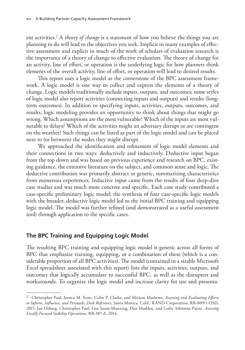ent activities.2 A *theory of change* is a statement of how you believe the things you are planning to do will lead to the objectives you seek. Implicit in many examples of effective assessment and explicit in much of the work of scholars of evaluation research is the importance of a theory of change to effective evaluation. The theory of change for an activity, line of effort, or operation is the underlying logic for how planners think elements of the overall activity, line of effort, or operation will lead to desired results.

This report uses a logic model as the cornerstone of the BPC assessment framework. A logic model is one way to collect and express the elements of a theory of change. Logic models traditionally include inputs, outputs, and outcomes; some styles of logic model also report activities (connecting inputs and outputs) and results (longterm outcomes). In addition to specifying inputs, activities, outputs, outcomes, and results, logic modeling provides an opportunity to think about things that might go wrong. Which assumptions are the most vulnerable? Which of the inputs are most vulnerable to delays? Which of the activities might an adversary disrupt or are contingent on the weather? Such things can be listed as part of the logic model and can be placed next to (or between) the nodes they might disrupt.

We approached the identification and refinement of logic model elements and their connections in two ways: deductively and inductively. Deductive input began from the top down and was based on previous experience and research on BPC, existing guidance, the extensive literature on the subject, and common sense and logic. The deductive contribution was primarily abstract or generic, summarizing characteristics from numerous experiences. Inductive input came from the results of four deep-dive case studies and was much more concrete and specific. Each case study contributed a case-specific preliminary logic model; the synthesis of four case-specific logic models with the broader, deductive logic model led to the initial BPC training and equipping logic model. The model was further refined (and demonstrated as a useful assessment tool) through application to the specific cases.

# **The BPC Training and Equipping Logic Model**

The resulting BPC training and equipping logic model is generic across all forms of BPC that emphasize training, equipping, or a combination of these (which is a considerable proportion of all BPC activities). The model (contained in a sizable Microsoft Excel spreadsheet associated with this report) lists the inputs, activities, outputs, and outcomes that logically accumulate to successful BPC, as well as the disrupters and workarounds. To organize the logic model and increase clarity for use and presenta-

<sup>2</sup> Christopher Paul, Jessica M. Yeats, Colin P. Clarke, and Miriam Mathews, *Assessing and Evaluating Efforts to Inform, Influence, and Persuade: Desk Reference*, Santa Monica, Calif.: RAND Corporation, RR-809/1-OSD, 2015; Jan Osburg, Christopher Paul, Lisa Saum-Manning, Dan Madden, and Leslie Adrienne Payne, *Assessing Locally Focused Stability Operations*, RR-387-A, 2014.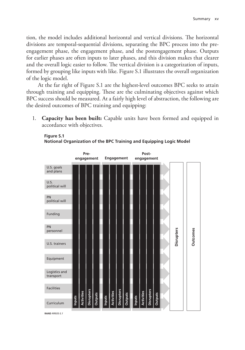tion, the model includes additional horizontal and vertical divisions. The horizontal divisions are temporal-sequential divisions, separating the BPC process into the preengagement phase, the engagement phase, and the postengagement phase. Outputs for earlier phases are often inputs to later phases, and this division makes that clearer and the overall logic easier to follow. The vertical division is a categorization of inputs, formed by grouping like inputs with like. Figure S.1 illustrates the overall organization of the logic model.

At the far right of Figure S.1 are the highest-level outcomes BPC seeks to attain through training and equipping. These are the culminating objectives against which BPC success should be measured. At a fairly high level of abstraction, the following are the desired outcomes of BPC training and equipping:

1. **Capacity has been built:** Capable units have been formed and equipped in accordance with objectives.

# **Figure S.1**



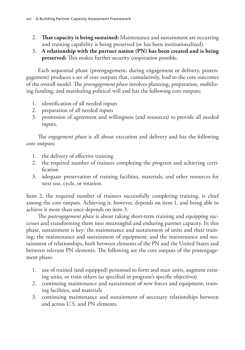- 2. **That capacity is being sustained:** Maintenance and sustainment are occurring and training capability is being preserved (or has been institutionalized).
- 3. **A relationship with the partner nation (PN) has been created and is being preserved:** This makes further security cooperation possible.

Each sequential phase (preengagement, during engagement or delivery, postengagement) produces a set of core outputs that, cumulatively, lead to the core outcomes of the overall model. The *preengagement phase* involves planning, preparation, mobilizing funding, and marshaling political will and has the following core outputs:

- 1. identification of all needed inputs
- 2. preparation of all needed inputs
- 3. promotion of agreement and willingness (and resources) to provide all needed inputs.

The *engagement phase* is all about execution and delivery and has the following core outputs:

- 1. the delivery of effective training
- 2. the required number of trainees completing the program and achieving certification
- 3. adequate preservation of training facilities, materials, and other resources for next use, cycle, or rotation.

Item 2, the required number of trainees successfully completing training, is chief among the core outputs. Achieving it, however, depends on item 1, and being able to achieve it more than once depends on item 3.

The *postengagement phase* is about taking short-term training and equipping successes and transforming them into meaningful and enduring partner capacity. In this phase, sustainment is key: the maintenance and sustainment of units and their training; the maintenance and sustainment of equipment; and the maintenance and sustainment of relationships, both between elements of the PN and the United States and between relevant PN elements. The following are the core outputs of the postengagement phase:

- 1. use of trained (and equipped) personnel to form and man units, augment existing units, or train others (as specified in program's specific objectives)
- 2. continuing maintenance and sustainment of new forces and equipment, training facilities, and materials
- 3. continuing maintenance and sustainment of necessary relationships between and across U.S. and PN elements.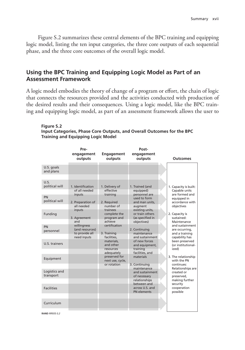Figure S.2 summarizes these central elements of the BPC training and equipping logic model, listing the ten input categories, the three core outputs of each sequential phase, and the three core outcomes of the overall logic model.

# **Using the BPC Training and Equipping Logic Model as Part of an Assessment Framework**

A logic model embodies the theory of change of a program or effort, the chain of logic that connects the resources provided and the activities conducted with production of the desired results and their consequences. Using a logic model, like the BPC training and equipping logic model, as part of an assessment framework allows the user to

#### **Figure S.2 Input Categories, Phase Core Outputs, and Overall Outcomes for the BPC Training and Equipping Logic Model**

|                                                | Pre-<br>engagement<br>outputs                                                   | <b>Engagement</b><br>outputs                                        | Post-<br>engagement<br>outputs                                                             | <b>Outcomes</b>                                                                                          |
|------------------------------------------------|---------------------------------------------------------------------------------|---------------------------------------------------------------------|--------------------------------------------------------------------------------------------|----------------------------------------------------------------------------------------------------------|
| U.S. goals<br>and plans                        |                                                                                 |                                                                     |                                                                                            |                                                                                                          |
| U.S.<br>political will<br>PN<br>political will | 1. Identification<br>of all needed<br>inputs<br>2. Preparation of<br>all needed | 1. Delivery of<br>effective<br>training<br>2. Required<br>number of | 1. Trained (and<br>equipped)<br>personnel are<br>used to form<br>and man units,<br>augment | 1. Capacity is built:<br>Capable units<br>are formed and<br>equipped in<br>accordance with<br>objectives |
| Funding                                        | inputs<br>3. Agreement<br>and                                                   | trainees<br>complete the<br>program and<br>achieve                  | existing units,<br>or train others<br>(as specified in<br>objectives)                      | 2. Capacity is<br>sustained:<br>Maintenance                                                              |
| PN<br>personnel                                | willingness<br>(and resources)<br>to provide all<br>need inputs                 | certification<br>3. Training<br>facilities.                         | 2. Continuing<br>maintenance<br>and sustainment                                            | and sustainment<br>are occurring,<br>and a training<br>capability has                                    |
| U.S. trainers                                  |                                                                                 | materials.<br>and other<br>resources                                | of new forces<br>and equipment,<br>training                                                | been preserved<br>(or institutional-<br>ized)                                                            |
| Equipment                                      |                                                                                 | adequately<br>preserved for<br>next use, cycle,<br>or rotation      | facilities, and<br>materials<br>3. Continuing                                              | 3. The relationship<br>with the PN<br>continues:                                                         |
| Logistics and<br>transport                     |                                                                                 |                                                                     | maintenance<br>and sustainment<br>of necessary<br>relationships                            | Relationships are<br>created or<br>preserved,<br>making further                                          |
| <b>Facilities</b>                              |                                                                                 |                                                                     | between and<br>across U.S. and<br>PN elements                                              | security<br>cooperation<br>possible                                                                      |
| Curriculum                                     |                                                                                 |                                                                     |                                                                                            |                                                                                                          |

**RAND** *RR935-S.2*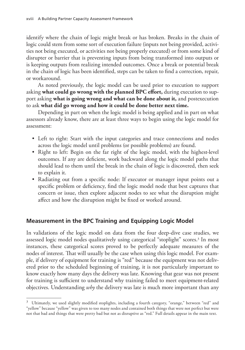identify where the chain of logic might break or has broken. Breaks in the chain of logic could stem from some sort of execution failure (inputs not being provided, activities not being executed, or activities not being properly executed) or from some kind of disrupter or barrier that is preventing inputs from being transformed into outputs or is keeping outputs from realizing intended outcomes. Once a break or potential break in the chain of logic has been identified, steps can be taken to find a correction, repair, or workaround.

As noted previously, the logic model can be used prior to execution to support asking **what could go wrong with the planned BPC effort,** during execution to support asking **what is going wrong and what can be done about it,** and postexecution to ask **what did go wrong and how it could be done better next time.**

Depending in part on when the logic model is being applied and in part on what assessors already know, there are at least three ways to begin using the logic model for assessment:

- Left to right: Start with the input categories and trace connections and nodes across the logic model until problems (or possible problems) are found.
- Right to left: Begin on the far right of the logic model, with the highest-level outcomes. If any are deficient, work backward along the logic model paths that should lead to them until the break in the chain of logic is discovered, then seek to explain it.
- Radiating out from a specific node: If executor or manager input points out a specific problem or deficiency, find the logic model node that best captures that concern or issue, then explore adjacent nodes to see what the disruption might affect and how the disruption might be fixed or worked around.

# **Measurement in the BPC Training and Equipping Logic Model**

In validations of the logic model on data from the four deep-dive case studies, we assessed logic model nodes qualitatively using categorical "stoplight" scores.<sup>3</sup> In most instances, these categorical scores proved to be perfectly adequate measures of the nodes of interest. That will usually be the case when using this logic model. For example, if delivery of equipment for training is "red" because the equipment was not delivered prior to the scheduled beginning of training, it is not particularly important to know exactly how many days the delivery was late. Knowing that gear was not present for training is sufficient to understand why training failed to meet equipment-related objectives. Understanding *why* the delivery was late is much more important than any

 $3$  Ultimately, we used slightly modified stoplights, including a fourth category, "orange," between "red" and "yellow" because "yellow" was given to too many nodes and contained both things that were not perfect but were not that bad and things that were pretty bad but not as disruptive as "red." Full details appear in the main text.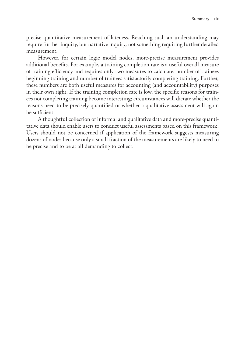precise quantitative measurement of lateness. Reaching such an understanding may require further inquiry, but narrative inquiry, not something requiring further detailed measurement.

However, for certain logic model nodes, more-precise measurement provides additional benefits. For example, a training completion rate is a useful overall measure of training efficiency and requires only two measures to calculate: number of trainees beginning training and number of trainees satisfactorily completing training. Further, these numbers are both useful measures for accounting (and accountability) purposes in their own right. If the training completion rate is low, the specific reasons for trainees not completing training become interesting; circumstances will dictate whether the reasons need to be precisely quantified or whether a qualitative assessment will again be sufficient.

A thoughtful collection of informal and qualitative data and more-precise quantitative data should enable users to conduct useful assessments based on this framework. Users should not be concerned if application of the framework suggests measuring dozens of nodes because only a small fraction of the measurements are likely to need to be precise and to be at all demanding to collect.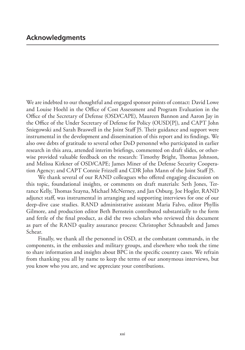We are indebted to our thoughtful and engaged sponsor points of contact: David Lowe and Louise Hoehl in the Office of Cost Assessment and Program Evaluation in the Office of the Secretary of Defense (OSD/CAPE), Maureen Bannon and Aaron Jay in the Office of the Under Secretary of Defense for Policy (OUSD[P]), and CAPT John Sniegowski and Sarah Braswell in the Joint Staff J5. Their guidance and support were instrumental in the development and dissemination of this report and its findings. We also owe debts of gratitude to several other DoD personnel who participated in earlier research in this area, attended interim briefings, commented on draft slides, or otherwise provided valuable feedback on the research: Timothy Bright, Thomas Johnson, and Melissa Kirkner of OSD/CAPE; James Miner of the Defense Security Cooperation Agency; and CAPT Connie Frizzell and CDR John Mann of the Joint Staff J5.

We thank several of our RAND colleagues who offered engaging discussion on this topic, foundational insights, or comments on draft materials: Seth Jones, Terrance Kelly, Thomas Szayna, Michael McNerney, and Jan Osburg. Joe Hogler, RAND adjunct staff, was instrumental in arranging and supporting interviews for one of our deep-dive case studies. RAND administrative assistant Maria Falvo, editor Phyllis Gilmore, and production editor Beth Bernstein contributed substantially to the form and fettle of the final product, as did the two scholars who reviewed this document as part of the RAND quality assurance process: Christopher Schnaubelt and James Schear.

Finally, we thank all the personnel in OSD, at the combatant commands, in the components, in the embassies and military groups, and elsewhere who took the time to share information and insights about BPC in the specific country cases. We refrain from thanking you all by name to keep the terms of our anonymous interviews, but you know who you are, and we appreciate your contributions.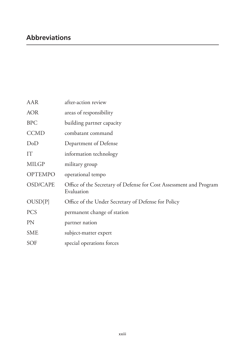| AAR             | after-action review                                                              |
|-----------------|----------------------------------------------------------------------------------|
| <b>AOR</b>      | areas of responsibility                                                          |
| <b>BPC</b>      | building partner capacity                                                        |
| <b>CCMD</b>     | combatant command                                                                |
| DoD             | Department of Defense                                                            |
| IT              | information technology                                                           |
| <b>MILGP</b>    | military group                                                                   |
| <b>OPTEMPO</b>  | operational tempo                                                                |
| <b>OSD/CAPE</b> | Office of the Secretary of Defense for Cost Assessment and Program<br>Evaluation |
| OUSD[P]         | Office of the Under Secretary of Defense for Policy                              |
| <b>PCS</b>      | permanent change of station                                                      |
| <b>PN</b>       | partner nation                                                                   |
| <b>SME</b>      | subject-matter expert                                                            |
| <b>SOF</b>      | special operations forces                                                        |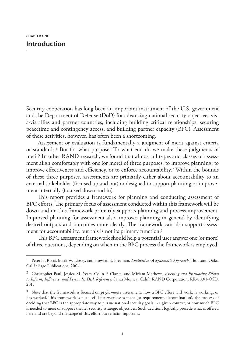Security cooperation has long been an important instrument of the U.S. government and the Department of Defense (DoD) for advancing national security objectives visà-vis allies and partner countries, including building critical relationships, securing peacetime and contingency access, and building partner capacity (BPC). Assessment of these activities, however, has often been a shortcoming.

Assessment or evaluation is fundamentally a judgment of merit against criteria or standards.1 But for what purpose? To what end do we make these judgments of merit? In other RAND research, we found that almost all types and classes of assessment align comfortably with one (or more) of three purposes: to improve planning, to improve effectiveness and efficiency, or to enforce accountability.2 Within the bounds of these three purposes, assessments are primarily either about accountability to an external stakeholder (focused up and out) or designed to support planning or improvement internally (focused down and in).

This report provides a framework for planning and conducting assessment of BPC efforts. The primary focus of assessment conducted within this framework will be down and in; this framework primarily supports planning and process improvement. Improved planning for assessment also improves planning in general by identifying desired outputs and outcomes more clearly. The framework can also support assessment for accountability, but this is not its primary function.<sup>3</sup>

This BPC assessment framework should help a potential user answer one (or more) of three questions, depending on when in the BPC process the framework is employed:

<sup>1</sup> Peter H. Rossi, Mark W. Lipsey, and Howard E. Freeman, *Evaluation: A Systematic Approach*, Thousand Oaks, Calif.: Sage Publications, 2004.

<sup>2</sup> Christopher Paul, Jessica M. Yeats, Colin P. Clarke, and Miriam Mathews*, Assessing and Evaluating Efforts to Inform, Influence, and Persuade: Desk Reference*, Santa Monica, Calif.: RAND Corporation, RR-809/1-OSD, 2015.

<sup>3</sup> Note that the framework is focused on *performance* assessment, how a BPC effort will work, is working, or has worked. This framework is not useful for *needs* assessment (or requirements determination), the process of deciding that BPC is the appropriate way to pursue national security goals in a given context, or how much BPC is needed to meet or support theater security strategic objectives. Such decisions logically precede what is offered here and are beyond the scope of this effort but remain important.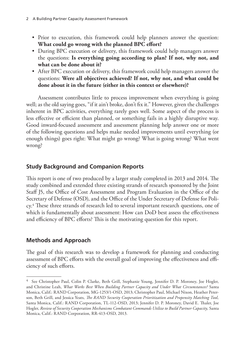- Prior to execution, this framework could help planners answer the question: **What could go wrong with the planned BPC effort?**
- During BPC execution or delivery, this framework could help managers answer the questions: **Is everything going according to plan? If not, why not, and what can be done about it?**
- After BPC execution or delivery, this framework could help managers answer the questions: **Were all objectives achieved? If not, why not, and what could be done about it in the future (either in this context or elsewhere)?**

Assessment contributes little to process improvement when everything is going well; as the old saying goes, "if it ain't broke, don't fix it." However, given the challenges inherent in BPC activities, everything rarely goes well. Some aspect of the process is less effective or efficient than planned, or something fails in a highly disruptive way. Good inward-focused assessment and assessment planning help answer one or more of the following questions and helps make needed improvements until everything (or enough things) goes right: What might go wrong? What is going wrong? What went wrong?

# **Study Background and Companion Reports**

This report is one of two produced by a larger study completed in 2013 and 2014. The study combined and extended three existing strands of research sponsored by the Joint Staff J5, the Office of Cost Assessment and Program Evaluation in the Office of the Secretary of Defense (OSD), and the Office of the Under Secretary of Defense for Policy.4 These three strands of research led to several important research questions, one of which is fundamentally about assessment: How can DoD best assess the effectiveness and efficiency of BPC efforts? This is the motivating question for this report.

# **Methods and Approach**

The goal of this research was to develop a framework for planning and conducting assessment of BPC efforts with the overall goal of improving the effectiveness and efficiency of such efforts.

<sup>4</sup> See Christopher Paul, Colin P. Clarke, Beth Grill, Stephanie Young, Jennifer D. P. Moroney, Joe Hogler, and Christine Leah, *What Works Best When Building Partner Capacity and Under What Circumstances?* Santa Monica, Calif.: RAND Corporation, MG-1253/1-OSD, 2013; Christopher Paul, Michael Nixon, Heather Peterson, Beth Grill, and Jessica Yeats*, The RAND Security Cooperation Prioritization and Propensity Matching Tool,*  Santa Monica, Calif.: RAND Corporation, TL-112-OSD, 2013; Jennifer D. P. Moroney, David E. Thaler, Joe Hogler, *Review of Security Cooperation Mechanisms Combatant Commands Utilize to Build Partner Capacity,* Santa Monica, Calif.: RAND Corporation, RR-413-OSD, 2013.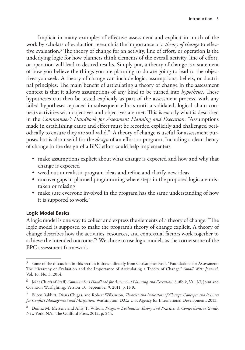Implicit in many examples of effective assessment and explicit in much of the work by scholars of evaluation research is the importance of a *theory of change* to effective evaluation.5 The theory of change for an activity, line of effort, or operation is the underlying logic for how planners think elements of the overall activity, line of effort, or operation will lead to desired results. Simply put, a theory of change is a statement of how you believe the things you are planning to do are going to lead to the objectives you seek. A theory of change can include logic, assumptions, beliefs, or doctrinal principles. The main benefit of articulating a theory of change in the assessment context is that it allows assumptions of any kind to be turned into *hypotheses*. These hypotheses can then be tested explicitly as part of the assessment process, with any failed hypotheses replaced in subsequent efforts until a validated, logical chain connects activities with objectives and objectives are met. This is exactly what is described in the *Commander's Handbook for Assessment Planning and Execution*: "Assumptions made in establishing cause and effect must be recorded explicitly and challenged periodically to ensure they are still valid."6 A theory of change is useful for assessment purposes but is also useful for the *design* of an effort or program. Including a clear theory of change in the design of a BPC effort could help implementers

- make assumptions explicit about what change is expected and how and why that change is expected
- weed out unrealistic program ideas and refine and clarify new ideas
- uncover gaps in planned programming where steps in the proposed logic are mistaken or missing
- make sure everyone involved in the program has the same understanding of how it is supposed to work.7

## **Logic Model Basics**

A logic model is one way to collect and express the elements of a theory of change: "The logic model is supposed to make the program's theory of change explicit. A theory of change describes how the activities, resources, and contextual factors work together to achieve the intended outcome."8 We chose to use logic models as the cornerstone of the BPC assessment framework.

<sup>5</sup> Some of the discussion in this section is drawn directly from Christopher Paul, "Foundations for Assessment: The Hierarchy of Evaluation and the Importance of Articulating a Theory of Change," *Small Wars Journal*, Vol. 10, No. 3, 2014.

<sup>6</sup> Joint Chiefs of Staff, *Commander's Handbook for Assessment Planning and Execution*, Suffolk, Va.: J-7, Joint and Coalition Warfighting, Version 1.0, September 9, 2011, p. II-10.

<sup>7</sup> Eileen Babbitt, Diana Chigas, and Robert Wilkinson, *Theories and Indicators of Change: Concepts and Primers for Conflict Management and Mitigation*, Washington, D.C.: U.S. Agency for International Development, 2013.

<sup>8</sup> Donna M. Mertens and Amy T. Wilson, *Program Evaluation Theory and Practice: A Comprehensive Guide*, New York, N.Y.: The Guilford Press, 2012, p. 244.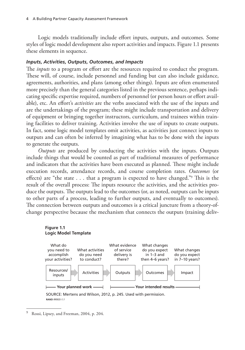Logic models traditionally include effort inputs, outputs, and outcomes. Some styles of logic model development also report activities and impacts. Figure 1.1 presents these elements in sequence.

#### *Inputs, Activities, Outputs, Outcomes, and Impacts*

The *inputs* to a program or effort are the resources required to conduct the program. These will, of course, include personnel and funding but can also include guidance, agreements, authorities, and plans (among other things). Inputs are often enumerated more precisely than the general categories listed in the previous sentence, perhaps indicating specific expertise required, numbers of personnel (or person hours or effort available), etc. An effort's *activities* are the verbs associated with the use of the inputs and are the undertakings of the program; these might include transportation and delivery of equipment or bringing together instructors, curriculum, and trainees within training facilities to deliver training. Activities involve the use of inputs to create outputs. In fact, some logic model templates omit activities, as activities just connect inputs to outputs and can often be inferred by imagining what has to be done with the inputs to generate the outputs.

*Outputs* are produced by conducting the activities with the inputs. Outputs include things that would be counted as part of traditional measures of performance and indicators that the activities have been executed as planned. These might include execution records, attendance records, and course completion rates. *Outcomes* (or effects) are "the state  $\ldots$  that a program is expected to have changed."<sup>9</sup> This is the result of the overall process: The inputs resource the activities, and the activities produce the outputs. The outputs lead to the outcomes (or, as noted, outputs can be inputs to other parts of a process, leading to further outputs, and eventually to outcomes). The connection between outputs and outcomes is a critical juncture from a theory-ofchange perspective because the mechanism that connects the outputs (training deliv-

#### **Figure 1.1 Logic Model Template**



<sup>9</sup> Rossi, Lipsey, and Freeman, 2004, p. 204.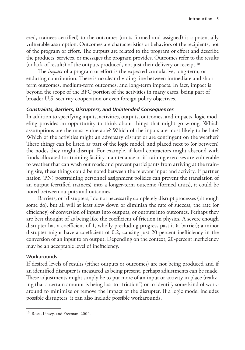ered, trainees certified) to the outcomes (units formed and assigned) is a potentially vulnerable assumption. Outcomes are characteristics or behaviors of the recipients, not of the program or effort. The outputs are related to the program or effort and describe the products, services, or messages the program provides. Outcomes refer to the results (or lack of results) of the outputs produced, not just their delivery or receipt.10

The *impact* of a program or effort is the expected cumulative, long-term, or enduring contribution. There is no clear dividing line between immediate and shortterm outcomes, medium-term outcomes, and long-term impacts. In fact, impact is beyond the scope of the BPC portion of the activities in many cases, being part of broader U.S. security cooperation or even foreign policy objectives.

## *Constraints, Barriers, Disrupters, and Unintended Consequences*

In addition to specifying inputs, activities, outputs, outcomes, and impacts, logic modeling provides an opportunity to think about things that might go wrong. Which assumptions are the most vulnerable? Which of the inputs are most likely to be late? Which of the activities might an adversary disrupt or are contingent on the weather? These things can be listed as part of the logic model, and placed next to (or between) the nodes they might disrupt. For example, if local contractors might abscond with funds allocated for training facility maintenance or if training exercises are vulnerable to weather that can wash out roads and prevent participants from arriving at the training site, these things could be noted between the relevant input and activity. If partner nation (PN) posttraining personnel assignment policies can prevent the translation of an output (certified trainees) into a longer-term outcome (formed units), it could be noted between outputs and outcomes.

Barriers, or "disrupters," do not necessarily completely disrupt processes (although some do), but all will at least slow down or diminish the rate of success, the rate (or efficiency) of conversion of inputs into outputs, or outputs into outcomes. Perhaps they are best thought of as being like the coefficient of friction in physics. A severe enough disrupter has a coefficient of 1, wholly precluding progress past it (a barrier); a minor disrupter might have a coefficient of 0.2, causing just 20-percent inefficiency in the conversion of an input to an output. Depending on the context, 20-percent inefficiency may be an acceptable level of inefficiency.

## **Workarounds**

If desired levels of results (either outputs or outcomes) are not being produced and if an identified disrupter is measured as being present, perhaps adjustments can be made. These adjustments might simply be to put more of an input or activity in place (realizing that a certain amount is being lost to "friction") or to identify some kind of workaround to minimize or remove the impact of the disrupter. If a logic model includes possible disrupters, it can also include possible workarounds.

<sup>10</sup> Rossi, Lipsey, and Freeman, 2004.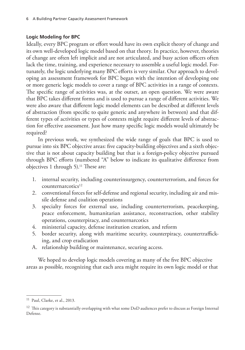## **Logic Modeling for BPC**

Ideally, every BPC program or effort would have its own explicit theory of change and its own well-developed logic model based on that theory. In practice, however, theories of change are often left implicit and are not articulated, and busy action officers often lack the time, training, and experience necessary to assemble a useful logic model. Fortunately, the logic underlying many BPC efforts is very similar. Our approach to developing an assessment framework for BPC began with the intention of developing one or more generic logic models to cover a range of BPC activities in a range of contexts. The specific range of activities was, at the outset, an open question. We were aware that BPC takes different forms and is used to pursue a range of different activities. We were also aware that different logic model elements can be described at different levels of abstraction (from specific to quite generic and anywhere in between) and that different types of activities or types of contexts might require different levels of abstraction for effective assessment. Just how many specific logic models would ultimately be required?

In previous work, we synthesized the wide range of goals that BPC is used to pursue into six BPC objective areas: five capacity-building objectives and a sixth objective that is not about capacity building but that is a foreign-policy objective pursued through BPC efforts (numbered "A" below to indicate its qualitative difference from objectives 1 through 5).<sup>11</sup> These are:

- 1. internal security, including counterinsurgency, counterterrorism, and forces for counternarcotics<sup>12</sup>
- 2. conventional forces for self-defense and regional security, including air and missile defense and coalition operations
- 3. specialty forces for external use, including counterterrorism, peacekeeping, peace enforcement, humanitarian assistance, reconstruction, other stability operations, counterpiracy, and counternarcotics
- 4. ministerial capacity, defense institution creation, and reform
- 5. border security, along with maritime security, counterpiracy, countertrafficking, and crop eradication
- A. relationship building or maintenance, securing access.

We hoped to develop logic models covering as many of the five BPC objective areas as possible, recognizing that each area might require its own logic model or that

<sup>11</sup> Paul, Clarke, et al., 2013.

<sup>12</sup> This category is substantially overlapping with what some DoD audiences prefer to discuss as Foreign Internal Defense.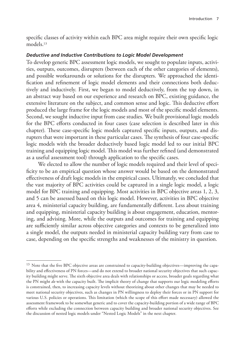specific classes of activity within each BPC area might require their own specific logic models.13

#### *Deductive and Inductive Contributions to Logic Model Development*

To develop generic BPC assessment logic models, we sought to populate inputs, activities, outputs, outcomes, disrupters (between each of the other categories of elements), and possible workarounds or solutions for the disrupters. We approached the identification and refinement of logic model elements and their connections both deductively and inductively. First, we began to model deductively, from the top down, in an abstract way based on our experience and research on BPC, existing guidance, the extensive literature on the subject, and common sense and logic. This deductive effort produced the large frame for the logic models and most of the specific model elements. Second, we sought inductive input from case studies. We built provisional logic models for the BPC efforts conducted in four cases (case selection is described later in this chapter). These case-specific logic models captured specific inputs, outputs, and disrupters that were important in these particular cases. The synthesis of four case-specific logic models with the broader deductively based logic model led to our initial BPC training and equipping logic model. This model was further refined (and demonstrated as a useful assessment tool) through application to the specific cases.

We elected to allow the number of logic models required and their level of specificity to be an empirical question whose answer would be based on the demonstrated effectiveness of draft logic models in the empirical cases. Ultimately, we concluded that the vast majority of BPC activities could be captured in a single logic model, a logic model for BPC training and equipping. Most activities in BPC objective areas 1, 2, 3, and 5 can be assessed based on this logic model. However, activities in BPC objective area 4, ministerial capacity building, are fundamentally different. Less about training and equipping, ministerial capacity building is about engagement, education, mentoring, and advising. More, while the outputs and outcomes for training and equipping are sufficiently similar across objective categories and contexts to be generalized into a single model, the outputs needed in ministerial capacity building vary from case to case, depending on the specific strengths and weaknesses of the ministry in question.

<sup>&</sup>lt;sup>13</sup> Note that the five BPC objective areas are constrained to capacity-building objectives—improving the capability and effectiveness of PN forces—and do not extend to broader national security objectives that such capacity building might serve. The sixth objective area deals with relationships or access, broader goals regarding what the PN might *do* with the capacity built. The implicit theory of change that supports our logic modeling efforts is constrained, then, to increasing capacity levels without theorizing about other changes that may be needed to meet national security objectives, such as changes in PN willingness to deploy their forces or in PN support for various U.S. policies or operations. This limitation (which the scope of this effort made necessary) allowed the assessment framework to be somewhat generic and to cover the capacity-building portion of a wide range of BPC efforts while excluding the connection between capacity building and broader national security objectives. See the discussion of nested logic models under "Nested Logic Models" in the next chapter.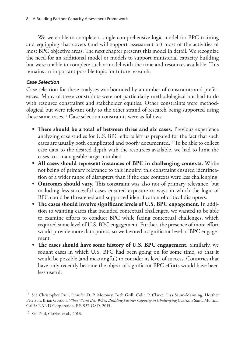We were able to complete a single comprehensive logic model for BPC training and equipping that covers (and will support assessment of) most of the activities of most BPC objective areas. The next chapter presents this model in detail. We recognize the need for an additional model or models to support ministerial capacity building but were unable to complete such a model with the time and resources available. This remains an important possible topic for future research.

## *Case Selection*

Case selection for these analyses was bounded by a number of constraints and preferences. Many of these constraints were not particularly methodological but had to do with resource constraints and stakeholder equities. Other constraints were methodological but were relevant only to the other strand of research being supported using these same cases.14 Case selection constraints were as follows:

- **• There should be a total of between three and six cases.** Previous experience analyzing case studies for U.S. BPC efforts left us prepared for the fact that such cases are usually both complicated and poorly documented.15 To be able to collect case data to the desired depth with the resources available, we had to limit the cases to a manageable target number.
- **• All cases should represent instances of BPC in challenging contexts.** While not being of primary relevance to this inquiry, this constraint ensured identification of a wider range of disrupters than if the case contexts were less challenging.
- **• Outcomes should vary.** This constraint was also not of primary relevance, but including less-successful cases ensured exposure to ways in which the logic of BPC could be threatened and supported identification of critical disrupters.
- **• The cases should involve significant levels of U.S. BPC engagement.** In addition to wanting cases that included contextual challenges, we wanted to be able to examine efforts to conduct BPC while facing contextual challenges, which required some level of U.S. BPC engagement. Further, the presence of more effort would provide more data points, so we favored a significant level of BPC engagement.
- **• The cases should have some history of U.S. BPC engagement.** Similarly, we sought cases in which U.S. BPC had been going on for some time, so that it would be possible (and meaningful) to consider its level of success. Countries that have only recently become the object of significant BPC efforts would have been less useful.

<sup>14</sup> See Christopher Paul, Jennifer D. P. Moroney, Beth Grill, Colin P. Clarke, Lisa Saum-Manning, Heather Peterson, Brian Gordon, *What Works Best When Building Partner Capacity in Challenging Contexts?* Santa Monica, Calif.: RAND Corporation, RR-937-OSD, 2015.

<sup>&</sup>lt;sup>15</sup> See Paul, Clarke, et al., 2013.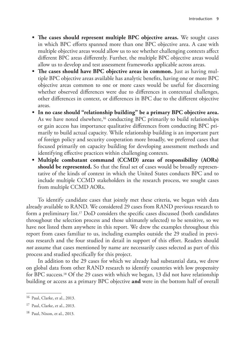- **• The cases should represent multiple BPC objective areas.** We sought cases in which BPC efforts spanned more than one BPC objective area. A case with multiple objective areas would allow us to see whether challenging contexts affect different BPC areas differently. Further, the multiple BPC objective areas would allow us to develop and test assessment frameworks applicable across areas.
- **• The cases should have BPC objective areas in common.** Just as having multiple BPC objective areas available has analytic benefits, having one or more BPC objective areas common to one or more cases would be useful for discerning whether observed differences were due to differences in contextual challenges, other differences in context, or differences in BPC due to the different objective areas.
- **• In no case should "relationship building" be a primary BPC objective area.** As we have noted elsewhere,<sup>16</sup> conducting BPC primarily to build relationships or gain access has importance qualitative differences from conducting BPC primarily to build actual capacity. While relationship building is an important part of foreign policy and security cooperation more broadly, we preferred cases that focused primarily on capacity building for developing assessment methods and identifying effective practices within challenging contexts.
- **• Multiple combatant command (CCMD) areas of responsibility (AORs) should be represented.** So that the final set of cases would be broadly representative of the kinds of context in which the United States conducts BPC and to include multiple CCMD stakeholders in the research process, we sought cases from multiple CCMD AORs.

To identify candidate cases that jointly met these criteria, we began with data already available to RAND. We considered 29 cases from RAND previous research to form a preliminary list.17 DoD considers the specific cases discussed (both candidates throughout the selection process and those ultimately selected) to be sensitive, so we have not listed them anywhere in this report. We drew the examples throughout this report from cases familiar to us, including examples outside the 29 studied in previous research and the four studied in detail in support of this effort. Readers should *not* assume that cases mentioned by name are necessarily cases selected as part of this process and studied specifically for this project.

In addition to the 29 cases for which we already had substantial data, we drew on global data from other RAND research to identify countries with low propensity for BPC success.18 Of the 29 cases with which we began, 13 did not have relationship building or access as a primary BPC objective **and** were in the bottom half of overall

<sup>16</sup> Paul, Clarke, et al., 2013.

<sup>17</sup> Paul, Clarke, et al., 2013.

<sup>18</sup> Paul, Nixon, et al., 2013.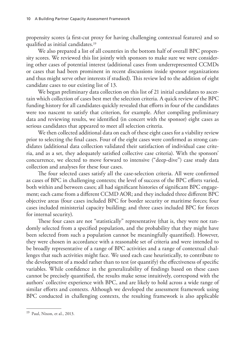propensity scores (a first-cut proxy for having challenging contextual features) and so qualified as initial candidates.19

We also prepared a list of all countries in the bottom half of overall BPC propensity scores. We reviewed this list jointly with sponsors to make sure we were considering other cases of potential interest (additional cases from underrepresented CCMDs or cases that had been prominent in recent discussions inside sponsor organizations and thus might serve other interests if studied). This review led to the addition of eight candidate cases to our existing list of 13.

We began preliminary data collection on this list of 21 initial candidates to ascertain which collection of cases best met the selection criteria. A quick review of the BPC funding history for all candidates quickly revealed that efforts in four of the candidates were too nascent to satisfy that criterion, for example. After compiling preliminary data and reviewing results, we identified (in concert with the sponsor) eight cases as serious candidates that appeared to meet all selection criteria.

We then collected additional data on each of these eight cases for a viability review prior to selecting the final cases. Four of the eight cases were confirmed as strong candidates (additional data collection validated their satisfaction of individual case criteria, and as a set, they adequately satisfied collective case criteria). With the sponsors' concurrence, we elected to move forward to intensive ("deep-dive") case study data collection and analyses for these four cases.

The four selected cases satisfy all the case-selection criteria. All were confirmed as cases of BPC in challenging contexts; the level of success of the BPC efforts varied, both within and between cases; all had significant histories of significant BPC engagement; each came from a different CCMD AOR; and they included three different BPC objective areas (four cases included BPC for border security or maritime forces; four cases included ministerial capacity building; and three cases included BPC for forces for internal security).

These four cases are not "statistically" representative (that is, they were not randomly selected from a specified population, and the probability that they might have been selected from such a population cannot be meaningfully quantified). However, they were chosen in accordance with a reasonable set of criteria and were intended to be broadly representative of a range of BPC activities and a range of contextual challenges that such activities might face. We used each case heuristically, to contribute to the development of a model rather than to test (or quantify) the effectiveness of specific variables. While confidence in the generalizability of findings based on these cases cannot be precisely quantified, the results make sense intuitively, correspond with the authors' collective experience with BPC, and are likely to hold across a wide range of similar efforts and contexts. Although we developed the assessment framework using BPC conducted in challenging contexts, the resulting framework is also applicable

<sup>19</sup> Paul, Nixon, et al., 2013.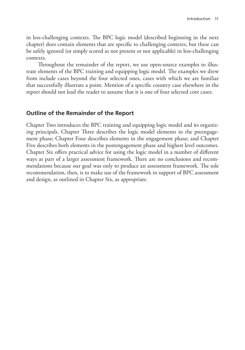in less-challenging contexts. The BPC logic model (described beginning in the next chapter) does contain elements that are specific to challenging contexts, but these can be safely ignored (or simply scored as not present or not applicable) in less-challenging contexts.

Throughout the remainder of the report, we use open-source examples to illustrate elements of the BPC training and equipping logic model. The examples we drew from include cases beyond the four selected ones, cases with which we are familiar that successfully illustrate a point. Mention of a specific country case elsewhere in the report should not lead the reader to assume that it is one of four selected core cases.

# **Outline of the Remainder of the Report**

Chapter Two introduces the BPC training and equipping logic model and its organizing principals. Chapter Three describes the logic model elements in the preengagement phase; Chapter Four describes elements in the engagement phase; and Chapter Five describes both elements in the postengagement phase and highest level outcomes. Chapter Six offers practical advice for using the logic model in a number of different ways as part of a larger assessment framework. There are no conclusions and recommendations because our goal was only to produce an assessment framework. The sole recommendation, then, is to make use of the framework in support of BPC assessment and design, as outlined in Chapter Six, as appropriate.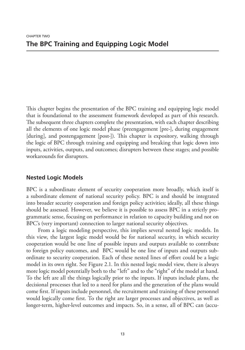This chapter begins the presentation of the BPC training and equipping logic model that is foundational to the assessment framework developed as part of this research. The subsequent three chapters complete the presentation, with each chapter describing all the elements of one logic model phase (preengagement [pre-], during engagement [during], and postengagement [post-]). This chapter is expository, walking through the logic of BPC through training and equipping and breaking that logic down into inputs, activities, outputs, and outcomes; disrupters between these stages; and possible workarounds for disrupters.

# **Nested Logic Models**

BPC is a subordinate element of security cooperation more broadly, which itself is a subordinate element of national security policy. BPC is and should be integrated into broader security cooperation and foreign policy activities; ideally, all these things should be assessed. However, we believe it is possible to assess BPC in a strictly programmatic sense, focusing on performance in relation to capacity building and not on BPC's (very important) connection to larger national security objectives.

From a logic modeling perspective, this implies several nested logic models. In this view, the largest logic model would be for national security, in which security cooperation would be one line of possible inputs and outputs available to contribute to foreign policy outcomes, and BPC would be one line of inputs and outputs subordinate to security cooperation. Each of these nested lines of effort could be a logic model in its own right. See Figure 2.1. In this nested logic model view, there is always more logic model potentially both to the "left" and to the "right" of the model at hand. To the left are all the things logically prior to the inputs. If inputs include plans, the decisional processes that led to a need for plans and the generation of the plans would come first. If inputs include personnel, the recruitment and training of these personnel would logically come first. To the right are larger processes and objectives, as well as longer-term, higher-level outcomes and impacts. So, in a sense, all of BPC can (accu-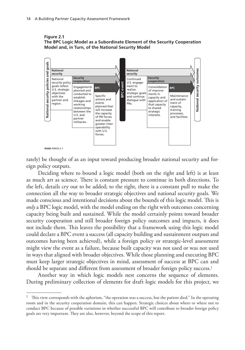**Figure 2.1 The BPC Logic Model as a Subordinate Element of the Security Cooperation Model and, in Turn, of the National Security Model**



rately) be thought of as an input toward producing broader national security and foreign policy outputs.

Deciding where to bound a logic model (both on the right and left) is at least as much art as science. There is constant pressure to continue in both directions. To the left, details cry out to be added; to the right, there is a constant pull to make the connection all the way to broader strategic objectives and national security goals. We made conscious and intentional decisions about the bounds of this logic model. This is *only* a BPC logic model, with the model ending on the right with outcomes concerning capacity being built and sustained. While the model certainly points toward broader security cooperation and still broader foreign policy outcomes and impacts, it does not include them. This leaves the possibility that a framework using this logic model could declare a BPC event a success (all capacity building and sustainment outputs and outcomes having been achieved), while a foreign policy or strategic-level assessment might view the event as a failure, because built capacity was not used or was not used in ways that aligned with broader objectives. While those planning and executing BPC must keep larger strategic objectives in mind, assessment of success at BPC can and should be separate and different from assessment of broader foreign policy success.<sup>1</sup>

Another way in which logic models nest concerns the sequence of elements. During preliminary collection of elements for draft logic models for this project, we

<sup>&</sup>lt;sup>1</sup> This view corresponds with the aphorism, "the operation was a success, but the patient died." In the operating room and in the security cooperation domain, this can happen. Strategic choices about where or where not to conduct BPC because of possible variations in whether successful BPC will contribute to broader foreign policy goals are very important. They are also, however, beyond the scope of this report.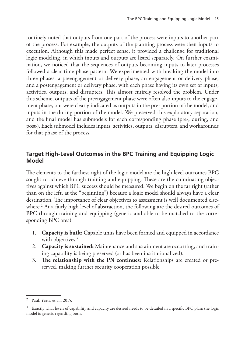routinely noted that outputs from one part of the process were inputs to another part of the process. For example, the outputs of the planning process were then inputs to execution. Although this made perfect sense, it provided a challenge for traditional logic modeling, in which inputs and outputs are listed separately. On further examination, we noticed that the sequences of outputs becoming inputs to later processes followed a clear time phase pattern. We experimented with breaking the model into three phases: a preengagement or delivery phase, an engagement or delivery phase, and a postengagement or delivery phase, with each phase having its own set of inputs, activities, outputs, and disrupters. This almost entirely resolved the problem. Under this scheme, outputs of the preengagement phase were often also inputs to the engagement phase, but were clearly indicated as outputs in the pre- portion of the model, and inputs in the during portion of the model. We preserved this exploratory separation, and the final model has submodels for each corresponding phase (pre-, during, and post-). Each submodel includes inputs, activities, outputs, disrupters, and workarounds for that phase of the process.

# **Target High-Level Outcomes in the BPC Training and Equipping Logic Model**

The elements to the farthest right of the logic model are the high-level outcomes BPC sought to achieve through training and equipping. These are the culminating objectives against which BPC success should be measured. We begin on the far right (rather than on the left, at the "beginning") because a logic model should always have a clear destination. The importance of clear objectives to assessment is well documented elsewhere.<sup>2</sup> At a fairly high level of abstraction, the following are the desired outcomes of BPC through training and equipping (generic and able to be matched to the corresponding BPC area):

- 1. **Capacity is built:** Capable units have been formed and equipped in accordance with objectives.<sup>3</sup>
- 2. **Capacity is sustained:** Maintenance and sustainment are occurring, and training capability is being preserved (or has been institutionalized).
- 3. **The relationship with the PN continues:** Relationships are created or preserved, making further security cooperation possible.

<sup>2</sup> Paul, Yeats, et al., 2015.

 $3$  Exactly what levels of capability and capacity are desired needs to be detailed in a specific BPC plan; the logic model is generic regarding both.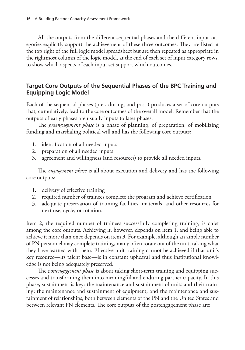All the outputs from the different sequential phases and the different input categories explicitly support the achievement of these three outcomes. They are listed at the top right of the full logic model spreadsheet but are then repeated as appropriate in the rightmost column of the logic model, at the end of each set of input category rows, to show which aspects of each input set support which outcomes.

# **Target Core Outputs of the Sequential Phases of the BPC Training and Equipping Logic Model**

Each of the sequential phases (pre-, during, and post-) produces a set of core outputs that, cumulatively, lead to the core outcomes of the overall model. Remember that the outputs of early phases are usually inputs to later phases.

The *preengagement phase* is a phase of planning, of preparation, of mobilizing funding and marshaling political will and has the following core outputs:

- 1. identification of all needed inputs
- 2. preparation of all needed inputs
- 3. agreement and willingness (and resources) to provide all needed inputs.

The *engagement phase* is all about execution and delivery and has the following core outputs:

- 1. delivery of effective training
- 2. required number of trainees complete the program and achieve certification
- 3. adequate preservation of training facilities, materials, and other resources for next use, cycle, or rotation.

Item 2, the required number of trainees successfully completing training, is chief among the core outputs. Achieving it, however, depends on item 1, and being able to achieve it more than once depends on item 3. For example, although an ample number of PN personnel may complete training, many often rotate out of the unit, taking what they have learned with them. Effective unit training cannot be achieved if that unit's key resource—its talent base—is in constant upheaval and thus institutional knowledge is not being adequately preserved.

The *postengagement phase* is about taking short-term training and equipping successes and transforming them into meaningful and enduring partner capacity. In this phase, sustainment is key: the maintenance and sustainment of units and their training; the maintenance and sustainment of equipment; and the maintenance and sustainment of relationships, both between elements of the PN and the United States and between relevant PN elements. The core outputs of the postengagement phase are: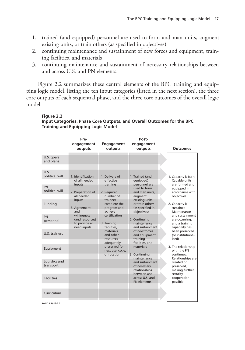- 1. trained (and equipped) personnel are used to form and man units, augment existing units, or train others (as specified in objectives)
- 2. continuing maintenance and sustainment of new forces and equipment, training facilities, and materials
- 3. continuing maintenance and sustainment of necessary relationships between and across U.S. and PN elements.

Figure 2.2 summarizes these central elements of the BPC training and equipping logic model, listing the ten input categories (listed in the next section), the three core outputs of each sequential phase, and the three core outcomes of the overall logic model.

#### **Figure 2.2**

**Input Categories, Phase Core Outputs, and Overall Outcomes for the BPC Training and Equipping Logic Model**

|                            | Pre-<br>engagement<br>outputs  | <b>Engagement</b><br>outputs                    | Post-<br>engagement<br>outputs                         | <b>Outcomes</b>                               |
|----------------------------|--------------------------------|-------------------------------------------------|--------------------------------------------------------|-----------------------------------------------|
| U.S. goals<br>and plans    |                                |                                                 |                                                        |                                               |
|                            |                                |                                                 |                                                        |                                               |
| U.S.<br>political will     | 1. Identification              | 1. Delivery of                                  | 1. Trained (and                                        | 1. Capacity is built:                         |
|                            | of all needed                  | effective<br>training                           | equipped)<br>personnel are                             | Capable units<br>are formed and               |
| PN<br>political will       | inputs<br>2. Preparation of    | 2. Required                                     | used to form<br>and man units.                         | equipped in<br>accordance with                |
|                            | all needed                     | number of                                       | augment                                                | objectives                                    |
| Funding                    | inputs<br>3. Agreement         | trainees<br>complete the<br>program and         | existing units,<br>or train others<br>(as specified in | 2. Capacity is<br>sustained:                  |
|                            | and                            | achieve                                         | objectives)                                            | Maintenance                                   |
| PN<br>personnel            | willingness<br>(and resources) | certification                                   | 2. Continuing                                          | and sustainment<br>are occurring,             |
|                            | to provide all<br>need inputs  | 3. Training<br>facilities.                      | maintenance<br>and sustainment                         | and a training<br>capability has              |
| U.S. trainers              |                                | materials.<br>and other                         | of new forces<br>and equipment,                        | been preserved<br>(or institutional-          |
|                            |                                | resources                                       | training                                               | ized)                                         |
| Equipment                  |                                | adequately<br>preserved for<br>next use, cycle, | facilities, and<br>materials                           | 3. The relationship<br>with the PN            |
|                            |                                | or rotation                                     | 3. Continuing                                          | continues:                                    |
| Logistics and<br>transport |                                |                                                 | maintenance<br>and sustainment<br>of necessary         | Relationships are<br>created or<br>preserved, |
|                            |                                |                                                 | relationships                                          | making further                                |
| <b>Facilities</b>          |                                |                                                 | between and<br>across U.S. and<br>PN elements          | security<br>cooperation<br>possible           |
|                            |                                |                                                 |                                                        |                                               |
| Curriculum                 |                                |                                                 |                                                        |                                               |
|                            |                                |                                                 |                                                        |                                               |

**RAND** *RR935-2.2*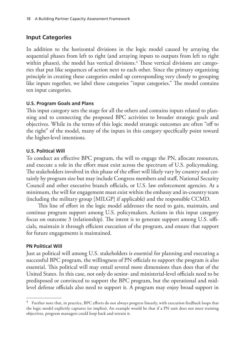# **Input Categories**

In addition to the horizontal divisions in the logic model caused by arraying the sequential phases from left to right (and arraying inputs to outputs from left to right within phases), the model has vertical divisions.<sup>4</sup> These vertical divisions are categories that put like sequences of action next to each other. Since the primary organizing principle in creating these categories ended up corresponding very closely to grouping like inputs together, we label these categories "input categories." The model contains ten input categories.

## **U.S. Program Goals and Plans**

This input category sets the stage for all the others and contains inputs related to planning and to connecting the proposed BPC activities to broader strategic goals and objectives. While in the terms of this logic model strategic outcomes are often "off to the right" of the model, many of the inputs in this category specifically point toward the higher-level intentions.

### **U.S. Political Will**

To conduct an effective BPC program, the will to engage the PN, allocate resources, and execute a role in the effort must exist across the spectrum of U.S. policymaking. The stakeholders involved in this phase of the effort will likely vary by country and certainly by program size but may include Congress members and staff, National Security Council and other executive branch officials, or U.S. law enforcement agencies. At a minimum, the will for engagement must exist within the embassy and in-country team (including the military group [MILGP] if applicable) and the responsible CCMD.

This line of effort in the logic model addresses the need to gain, maintain, and continue program support among U.S. policymakers. Actions in this input category focus on outcome 3 (relationship). The intent is to generate support among U.S. officials, maintain it through efficient execution of the program, and ensure that support for future engagements is maintained.

### **PN Political Will**

Just as political will among U.S. stakeholders is essential for planning and executing a successful BPC program, the willingness of PN officials to support the program is also essential. This political will may entail several more dimensions than does that of the United States. In this case, not only do senior- and ministerial-level officials need to be predisposed or convinced to support the BPC program, but the operational and midlevel defense officials also need to support it. A program may enjoy broad support in

<sup>4</sup> Further note that, in practice, BPC efforts do not always progress linearly, with execution feedback loops that the logic model explicitly captures (or implies). An example would be that if a PN unit does not meet training objectives, program managers could loop back and retrain it.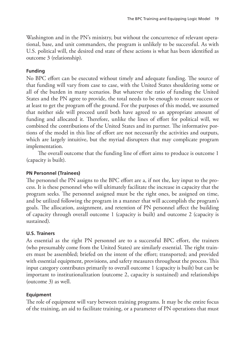Washington and in the PN's ministry, but without the concurrence of relevant operational, base, and unit commanders, the program is unlikely to be successful. As with U.S. political will, the desired end state of these actions is what has been identified as outcome 3 (relationship).

# **Funding**

No BPC effort can be executed without timely and adequate funding. The source of that funding will vary from case to case, with the United States shouldering some or all of the burden in many scenarios. But whatever the ratio of funding the United States and the PN agree to provide, the total needs to be enough to ensure success or at least to get the program off the ground. For the purposes of this model, we assumed that neither side will proceed until both have agreed to an appropriate amount of funding and allocated it. Therefore, unlike the lines of effort for political will, we combined the contributions of the United States and its partner. The informative portions of the model in this line of effort are not necessarily the activities and outputs, which are largely intuitive, but the myriad disrupters that may complicate program implementation.

The overall outcome that the funding line of effort aims to produce is outcome 1 (capacity is built).

# **PN Personnel (Trainees)**

The personnel the PN assigns to the BPC effort are a, if not the, key input to the process. It is these personnel who will ultimately facilitate the increase in capacity that the program seeks. The personnel assigned must be the right ones, be assigned on time, and be utilized following the program in a manner that will accomplish the program's goals. The allocation, assignment, and retention of PN personnel affect the building of capacity through overall outcome 1 (capacity is built) and outcome 2 (capacity is sustained).

## **U.S. Trainers**

As essential as the right PN personnel are to a successful BPC effort, the trainers (who presumably come from the United States) are similarly essential. The right trainers must be assembled; briefed on the intent of the effort; transported; and provided with essential equipment, provisions, and safety measures throughout the process. This input category contributes primarily to overall outcome 1 (capacity is built) but can be important to institutionalization (outcome 2, capacity is sustained) and relationships (outcome 3) as well.

## **Equipment**

The role of equipment will vary between training programs. It may be the entire focus of the training, an aid to facilitate training, or a parameter of PN operations that must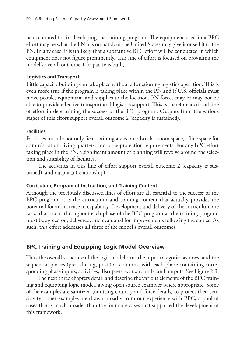be accounted for in developing the training program. The equipment used in a BPC effort may be what the PN has on hand, or the United States may give it or sell it to the PN. In any case, it is unlikely that a substantive BPC effort will be conducted in which equipment does not figure prominently. This line of effort is focused on providing the model's overall outcome 1 (capacity is built).

### **Logistics and Transport**

Little capacity building can take place without a functioning logistics operation. This is even more true if the program is taking place within the PN and if U.S. officials must move people, equipment, and supplies to the location. PN forces may or may not be able to provide effective transport and logistics support. This is therefore a critical line of effort in determining the success of the BPC program. Outputs from the various stages of this effort support overall outcome 2 (capacity is sustained).

### **Facilities**

Facilities include not only field training areas but also classroom space, office space for administration, living quarters, and force-protection requirements. For any BPC effort taking place in the PN, a significant amount of planning will revolve around the selection and suitability of facilities.

The activities in this line of effort support overall outcome 2 (capacity is sustained), and output 3 (relationship)

## **Curriculum, Program of Instruction, and Training Content**

Although the previously discussed lines of effort are all essential to the success of the BPC program, it is the curriculum and training content that actually provides the potential for an increase in capability. Development and delivery of the curriculum are tasks that occur throughout each phase of the BPC program as the training program must be agreed on, delivered, and evaluated for improvements following the course. As such, this effort addresses all three of the model's overall outcomes.

# **BPC Training and Equipping Logic Model Overview**

Thus the overall structure of the logic model runs the input categories as rows, and the sequential phases (pre-, during, post-) as columns, with each phase containing corresponding phase inputs, activities, disrupters, workarounds, and outputs. See Figure 2.3.

The next three chapters detail and describe the various elements of the BPC training and equipping logic model, giving open source examples where appropriate. Some of the examples are sanitized (omitting country and force details) to protect their sensitivity; other examples are drawn broadly from our experience with BPC, a pool of cases that is much broader than the four core cases that supported the development of this framework.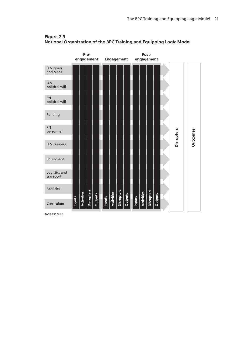

### **Figure 2.3 Notional Organization of the BPC Training and Equipping Logic Model**

**RAND** *RR935-2.3*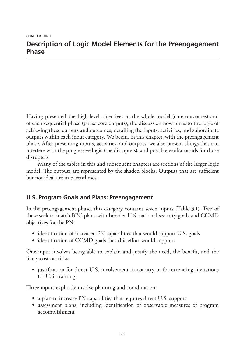Having presented the high-level objectives of the whole model (core outcomes) and of each sequential phase (phase core outputs), the discussion now turns to the logic of achieving these outputs and outcomes, detailing the inputs, activities, and subordinate outputs within each input category. We begin, in this chapter, with the preengagement phase. After presenting inputs, activities, and outputs, we also present things that can interfere with the progressive logic (the disrupters), and possible workarounds for those disrupters.

Many of the tables in this and subsequent chapters are sections of the larger logic model. The outputs are represented by the shaded blocks. Outputs that are sufficient but not ideal are in parentheses.

# **U.S. Program Goals and Plans: Preengagement**

In the preengagement phase, this category contains seven inputs (Table 3.1). Two of these seek to match BPC plans with broader U.S. national security goals and CCMD objectives for the PN:

- identification of increased PN capabilities that would support U.S. goals
- identification of CCMD goals that this effort would support.

One input involves being able to explain and justify the need, the benefit, and the likely costs as risks:

• justification for direct U.S. involvement in country or for extending invitations for U.S. training.

Three inputs explicitly involve planning and coordination:

- a plan to increase PN capabilities that requires direct U.S. support
- assessment plans, including identification of observable measures of program accomplishment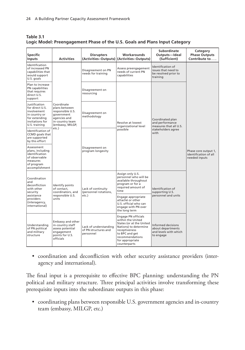| Table 3.1                                                                   |  |
|-----------------------------------------------------------------------------|--|
| Logic Model: Preengagement Phase of the U.S. Goals and Plans Input Category |  |

| <b>Specific</b><br>Inputs                                                                                             | <b>Activities</b>                                                                                                    | <b>Disrupters</b>                                          | Workarounds<br>(Activities-Outputs) (Activities-Outputs)                                                                                                                               | Subordinate<br>Outputs-Ideal<br>(Sufficient)                                                | Category<br><b>Phase Outputs</b><br>Contribute to              |
|-----------------------------------------------------------------------------------------------------------------------|----------------------------------------------------------------------------------------------------------------------|------------------------------------------------------------|----------------------------------------------------------------------------------------------------------------------------------------------------------------------------------------|---------------------------------------------------------------------------------------------|----------------------------------------------------------------|
| Identification<br>of increased PN<br>capabilities that<br>would support<br>U.S. goals                                 |                                                                                                                      | Disagreement on PN<br>needs for training                   | Assess preengagement<br>needs of current PN<br>capabilities                                                                                                                            | Identification of<br>issues that need to<br>be resolved prior to<br>training                |                                                                |
| Plan to increase<br>PN capabilities<br>that requires<br>direct U.S.<br>support                                        |                                                                                                                      | Disagreement on<br>resourcing                              |                                                                                                                                                                                        |                                                                                             |                                                                |
| Justification<br>for direct U.S.<br>involvement<br>in country or<br>for extending<br>invitations for<br>U.S. training | Coordinate<br>plans between<br>responsible U.S.<br>government<br>agencies and<br>in-country team<br>(embassy, MILGP, | Disagreement on<br>methodology                             | Resolve at lowest<br>organizational level<br>possible                                                                                                                                  | Coordinated plan<br>and performance<br>measures that all U.S.<br>stakeholders agree<br>with | Phase core output 1,<br>identification of all<br>needed inputs |
| Identification of<br>CCMD goals that<br>are supported<br>by this effort                                               | etc.)                                                                                                                |                                                            |                                                                                                                                                                                        |                                                                                             |                                                                |
| Assessment<br>plans, including<br>identification<br>of observable<br>measures<br>of program<br>accomplishment         |                                                                                                                      | Disagreement on<br>program longevity                       |                                                                                                                                                                                        |                                                                                             |                                                                |
| Coordination<br>and<br>deconfliction<br>with other<br>security                                                        | Identify points<br>of contact.<br>coordinators, and                                                                  | Lack of continuity<br>(personnel rotations,                | Assign only U.S.<br>personnel who will be<br>available throughout<br>program or for a<br>required amount of<br>time                                                                    | Identification of<br>supporting U.S.                                                        |                                                                |
| assistance<br>providers<br>(interagency,<br>international)                                                            | responsible U.S.<br>units                                                                                            | etc.)                                                      | Engage appropriate<br>attaché or other<br>U.S. official who can<br>engage with PN over<br>the long term                                                                                | personnel and units                                                                         |                                                                |
| Understanding<br>of PN political<br>and military<br>structure                                                         | Embassy and other<br>in-country staff<br>assess potential<br>engagement<br>points for U.S.<br>officials              | Lack of understanding<br>of PN structures and<br>personnel | Engage PN officials<br>within the United<br>States (or at the United<br>Nations) to determine<br>receptiveness<br>to BPC and get<br>recommendations<br>for appropriate<br>counterparts | Informed decisions<br>about departments<br>and levels with which<br>to engage               |                                                                |

• coordination and deconfliction with other security assistance providers (interagency and international).

The final input is a prerequisite to effective BPC planning: understanding the PN political and military structure. Three principal activities involve transforming these prerequisite inputs into the subordinate outputs in this phase:

• coordinating plans between responsible U.S. government agencies and in-country team (embassy, MILGP, etc.)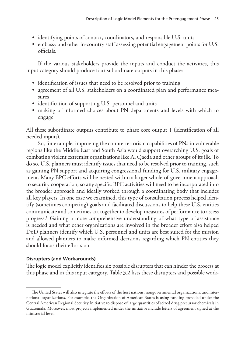- identifying points of contact, coordinators, and responsible U.S. units
- embassy and other in-country staff assessing potential engagement points for U.S. officials.

If the various stakeholders provide the inputs and conduct the activities, this input category should produce four subordinate outputs in this phase:

- identification of issues that need to be resolved prior to training
- agreement of all U.S. stakeholders on a coordinated plan and performance measures
- identification of supporting U.S. personnel and units
- making of informed choices about PN departments and levels with which to engage.

All these subordinate outputs contribute to phase core output 1 (identification of all needed inputs).

So, for example, improving the counterterrorism capabilities of PNs in vulnerable regions like the Middle East and South Asia would support overarching U.S. goals of combating violent extremist organizations like Al Qaeda and other groups of its ilk. To do so, U.S. planners must identify issues that need to be resolved prior to training, such as gaining PN support and acquiring congressional funding for U.S. military engagement. Many BPC efforts will be nested within a larger whole-of-government approach to security cooperation, so any specific BPC activities will need to be incorporated into the broader approach and ideally worked through a coordinating body that includes all key players. In one case we examined, this type of consultation process helped identify (sometimes competing) goals and facilitated discussions to help these U.S. entities communicate and sometimes act together to develop measures of performance to assess progress.1 Gaining a more-comprehensive understanding of what type of assistance is needed and what other organizations are involved in the broader effort also helped DoD planners identify which U.S. personnel and units are best suited for the mission and allowed planners to make informed decisions regarding which PN entities they should focus their efforts on.

## **Disrupters (and Workarounds)**

The logic model explicitly identifies six possible disrupters that can hinder the process at this phase and in this input category. Table 3.2 lists these disrupters and possible work-

 $1$  The United States will also integrate the efforts of the host nations, nongovernmental organizations, and international organizations. For example, the Organization of American States is using funding provided under the Central American Regional Security Initiative to dispose of large quantities of seized drug precursor chemicals in Guatemala. Moreover, most projects implemented under the initiative include letters of agreement signed at the ministerial level.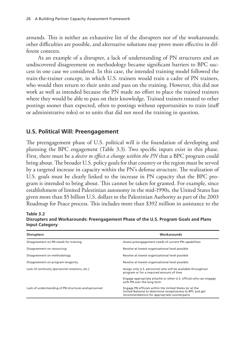arounds. This is neither an exhaustive list of the disrupters nor of the workarounds; other difficulties are possible, and alternative solutions may prove more effective in different contexts.

As an example of a disrupter, a lack of understanding of PN structures and an undiscovered disagreement on methodology became significant barriers to BPC success in one case we considered. In this case, the intended training model followed the train-the-trainer concept, in which U.S. trainers would train a cadre of PN trainers, who would then return to their units and pass on the training. However, this did not work as well as intended because the PN made no effort to place the trained trainers where they would be able to pass on their knowledge. Trained trainers rotated to other postings sooner than expected, often to postings without opportunities to train (staff or administrative roles) or to units that did not need the training in question.

# **U.S. Political Will: Preengagement**

The preengagement phase of U.S. political will is the foundation of developing and planning the BPC engagement (Table 3.3). Two specific inputs exist in this phase. First, there must be a *desire to effect a change within the PN* that a BPC program could bring about. The broader U.S. policy goals for that country or the region must be served by a targeted increase in capacity within the PN's defense structure. The realization of U.S. goals must be clearly linked to the increase in PN capacity that the BPC program is intended to bring about. This cannot be taken for granted. For example, since establishment of limited Palestinian autonomy in the mid-1990s, the United States has given more than \$5 billion U.S. dollars to the Palestinian Authority as part of the 2003 Roadmap for Peace process. This includes more than \$392 million in assistance to the

| <b>Disrupters</b>                                    | Workarounds                                                                                                                                                          |
|------------------------------------------------------|----------------------------------------------------------------------------------------------------------------------------------------------------------------------|
| Disagreement on PN needs for training                | Assess preengagement needs of current PN capabilities                                                                                                                |
| Disagreement on resourcing                           | Resolve at lowest organizational level possible                                                                                                                      |
| Disagreement on methodology                          | Resolve at lowest organizational level possible                                                                                                                      |
| Disagreement on program longevity                    | Resolve at lowest organizational level possible                                                                                                                      |
| Lack of continuity (personnel rotations, etc.)       | Assign only U.S. personnel who will be available throughout<br>program or for a required amount of time                                                              |
|                                                      | Engage appropriate attaché or other U.S. official who can engage<br>with PN over the long term                                                                       |
| Lack of understanding of PN structures and personnel | Engage PN officials within the United States (or at the<br>United Nations) to determine receptiveness to BPC and get<br>recommendations for appropriate counterparts |

**Table 3.2 Disrupters and Workarounds: Preengagement Phase of the U.S. Program Goals and Plans Input Category**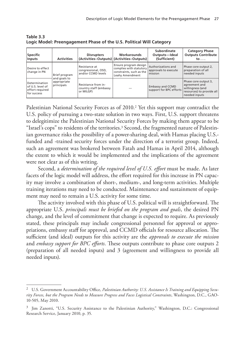| <b>Specific</b><br><b>Inputs</b>                                    | <b>Activities</b>                         | <b>Disrupters</b>                                          | <b>Workarounds</b><br>(Activities-Outputs) (Activities-Outputs)                                 | Subordinate<br>Outputs-Ideal<br>(Sufficient)          | <b>Category Phase</b><br><b>Outputs Contribute</b><br>to $\ldots$                                       |
|---------------------------------------------------------------------|-------------------------------------------|------------------------------------------------------------|-------------------------------------------------------------------------------------------------|-------------------------------------------------------|---------------------------------------------------------------------------------------------------------|
| Desire to effect<br>change in PN                                    | Brief program                             | Resistance at<br>congressional, OSD,<br>and/or CCMD levels | Ensure program design<br>complies with statutory<br>constraints, such as the<br>Leahy Amendment | Authorizations and<br>approvals to execute<br>mission | Phase core output 2,<br>preparation of all<br>needed inputs                                             |
| Determination<br>of U.S. level of<br>effort required<br>for success | and goals to<br>appropriate<br>principals | Resistance from in-<br>country staff (embassy<br>or MILGP) |                                                                                                 | <b>Embassy and CCMD</b><br>support for BPC efforts    | Phase core output 3,<br>agreement and<br>willingness (and<br>resources) to provide all<br>needed inputs |

**Table 3.3 Logic Model: Preengagement Phase of the U.S. Political Will Category**

Palestinian National Security Forces as of 2010.2 Yet this support may contradict the U.S. policy of pursuing a two-state solution in two ways. First, U.S. support threatens to delegitimize the Palestinian National Security Forces by making them appear to be "Israel's cops" to residents of the territories.<sup>3</sup> Second, the fragmented nature of Palestinian governance risks the possibility of a power-sharing deal, with Hamas placing U.S. funded and -trained security forces under the direction of a terrorist group. Indeed, such an agreement was brokered between Fatah and Hamas in April 2014, although the extent to which it would be implemented and the implications of the agreement were not clear as of this writing.

Second, a *determination of the required level of U.S. effort* must be made. As later facets of the logic model will address, the effort required for this increase in PN capacity may involve a combination of short-, medium-, and long-term activities. Multiple training iterations may need to be conducted. Maintenance and sustainment of equipment may need to remain a U.S. activity for some time.

The activity involved with this phase of U.S. political will is straightforward. The appropriate U.S. *principals must be briefed on the program and goals*, the desired PN change, and the level of commitment that change is expected to require. As previously stated, these principals may include congressional personnel for approval or appropriations, embassy staff for approval, and CCMD officials for resource allocation. The sufficient (and ideal) outputs for this activity are the *approvals to execute the mission* and *embassy support for BPC efforts*. These outputs contribute to phase core outputs 2 (preparation of all needed inputs) and 3 (agreement and willingness to provide all needed inputs).

<sup>2</sup> U.S. Government Accountability Office, *Palestinian Authority: U.S. Assistance Is Training and Equipping Security Forces, but the Program Needs to Measure Progress and Faces Logistical Constraints*, Washington, D.C., GAO-10-505, May 2010.

<sup>3</sup> Jim Zanotti, "U.S. Security Assistance to the Palestinian Authority," Washington, D.C.: Congressional Research Service, January 2010, p. 35.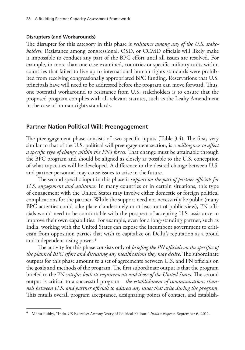#### **Disrupters (and Workarounds)**

The disrupter for this category in this phase is *resistance among any of the U.S. stakeholders*. Resistance among congressional, OSD, or CCMD officials will likely make it impossible to conduct any part of the BPC effort until all issues are resolved. For example, in more than one case examined, countries or specific military units within countries that failed to live up to international human rights standards were prohibited from receiving congressionally appropriated BPC funding. Reservations that U.S. principals have will need to be addressed before the program can move forward. Thus, one potential workaround to resistance from U.S. stakeholders is to ensure that the proposed program complies with all relevant statutes, such as the Leahy Amendment in the case of human rights standards.

### **Partner Nation Political Will: Preengagement**

The preengagement phase consists of two specific inputs (Table 3.4). The first, very similar to that of the U.S. political will preengagement section, is a *willingness to affect a specific type of change within the PN's forces*. That change must be attainable through the BPC program and should be aligned as closely as possible to the U.S. conception of what capacities will be developed. A difference in the desired change between U.S. and partner personnel may cause issues to arise in the future.

The second specific input in this phase is *support on the part of partner officials for U.S. engagement and assistance*. In many countries or in certain situations, this type of engagement with the United States may involve either domestic or foreign political complications for the partner. While the support need not necessarily be public (many BPC activities could take place clandestinely or at least out of public view), PN officials would need to be comfortable with the prospect of accepting U.S. assistance to improve their own capabilities. For example, even for a long-standing partner, such as India, working with the United States can expose the incumbent government to criticism from opposition parties that wish to capitalize on Delhi's reputation as a proud and independent rising power.<sup>4</sup>

The activity for this phase consists only of *briefing the PN officials on the specifics of the planned BPC effort and discussing any modifications they may desire*. The subordinate outputs for this phase amount to a set of agreements between U.S. and PN officials on the goals and methods of the program. The first subordinate output is that the program briefed to the PN *satisfies both its requirements and those of the United States.* The second output is critical to a successful program—*the establishment of communications channels between U.S. and partner officials to address any issues that arise during the program*. This entails overall program acceptance, designating points of contact, and establish-

<sup>4</sup> Manu Pubby, "Indo-US Exercise: Antony Wary of Political Fallout," *Indian Express*, September 6, 2011.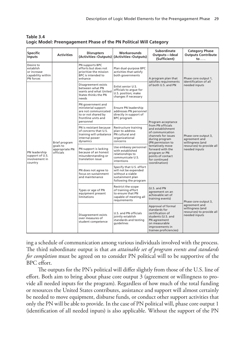| <b>Specific</b><br>Inputs                                               | <b>Activities</b>                                        | <b>Disrupters</b>                                                                                                           | <b>Workarounds</b><br>(Activities-Outputs) (Activities-Outputs)                                                   | Subordinate<br>Outputs-Ideal<br>(Sufficient)                                                                                                                                                                                                                                                                                                                                                                                                                                                                                                                                      | <b>Category Phase</b><br><b>Outputs Contribute</b><br>to $\ldots$                                       |
|-------------------------------------------------------------------------|----------------------------------------------------------|-----------------------------------------------------------------------------------------------------------------------------|-------------------------------------------------------------------------------------------------------------------|-----------------------------------------------------------------------------------------------------------------------------------------------------------------------------------------------------------------------------------------------------------------------------------------------------------------------------------------------------------------------------------------------------------------------------------------------------------------------------------------------------------------------------------------------------------------------------------|---------------------------------------------------------------------------------------------------------|
| Desire to<br>establish<br>or increase<br>capability within<br>PN forces |                                                          | PN supports BPC<br>efforts but does not<br>prioritize the mission<br>BPC is intended to<br>enhance                          | Plan dual-purpose BPC<br>activities that satisfy<br>both governments                                              | A program plan that<br>satisfies requirements<br>of both U.S. and PN<br>Program acceptance<br>from PN officials<br>and establishment<br>of communication<br>channels for issues<br>during program<br>(PN permission to<br>tentatively move<br>forward with the<br>program or PN<br>points of contact<br>for continued<br>coordination)<br>(U.S. and PN<br>agreement on an<br>achievable set of<br>training events)<br>Approval of formal<br>standards for<br>certification of<br>students (U.S. and<br>PN agreement<br>on measurable<br>improvements in<br>trainee proficiencies) | Phase core output 1,<br>identification of all<br>needed inputs                                          |
| PN leadership<br>support of U.S.<br>involvement in<br>country           |                                                          | Disagreement exists<br>between what PN<br>wants and what United<br>States thinks the PN<br>needs                            | Enlist senior U.S.<br>officials to arque for<br>U.S. position; make<br>changes if necessary                       |                                                                                                                                                                                                                                                                                                                                                                                                                                                                                                                                                                                   |                                                                                                         |
|                                                                         | Brief program<br>goals to<br>appropriate PN<br>officials | PN government and<br>ministerial support<br>are not communicated<br>to or not shared by<br>frontline units and<br>personnel | Ensure PN leadership<br>addresses PN personnel<br>directly in support of<br><b>BPC</b> program                    |                                                                                                                                                                                                                                                                                                                                                                                                                                                                                                                                                                                   | Phase core output 3,<br>agreement and<br>willingness (and<br>resources) to provide all<br>needed inputs |
|                                                                         |                                                          | PN is resistant because<br>of concerns that U.S.<br>training will unbalance<br>internal power<br>dynamics                   | Restructure training<br>plan to address<br>PN cultural and<br>organizational<br>concerns                          |                                                                                                                                                                                                                                                                                                                                                                                                                                                                                                                                                                                   |                                                                                                         |
|                                                                         |                                                          | PN support is lacking<br>because of an honest<br>misunderstanding or<br>translation issue                                   | Use embassy personnel<br>with established<br>relationships to<br>communicate U.S.<br>intentions                   |                                                                                                                                                                                                                                                                                                                                                                                                                                                                                                                                                                                   |                                                                                                         |
|                                                                         |                                                          | PN does not agree to<br>focus on sustainment<br>and maintenance                                                             | Specify that U.S. effort<br>will not be expended<br>without a viable<br>sustainment plan<br>following the program |                                                                                                                                                                                                                                                                                                                                                                                                                                                                                                                                                                                   |                                                                                                         |
|                                                                         |                                                          | Types or age of PN<br>equipment present<br>limitations                                                                      | Restrict the scope<br>of training effort<br>to ensure that PN<br>capable of meeting all<br>requirements           |                                                                                                                                                                                                                                                                                                                                                                                                                                                                                                                                                                                   | Phase core output 3,<br>agreement and<br>willingness (and<br>resources) to provide all<br>needed inputs |
|                                                                         |                                                          | Disagreement exists<br>over measures of<br>student competence                                                               | U.S. and PN officials<br>jointly establish<br>standards and testing<br>guidelines                                 |                                                                                                                                                                                                                                                                                                                                                                                                                                                                                                                                                                                   |                                                                                                         |

**Table 3.4 Logic Model: Preengagement Phase of the PN Political Will Category**

ing a schedule of communication among various individuals involved with the process. The third subordinate output is that *an attainable set of program events and standards for completion* must be agreed on to consider PN political will to be supportive of the BPC effort.

The outputs for the PN's political will differ slightly from those of the U.S. line of effort. Both aim to bring about phase core output 3 (agreement or willingness to provide all needed inputs for the program). Regardless of how much of the total funding or resources the United States contributes, assistance and support will almost certainly be needed to move equipment, disburse funds, or conduct other support activities that only the PN will be able to provide. In the case of PN political will, phase core output 1 (identification of all needed inputs) is also applicable. Without the support of the PN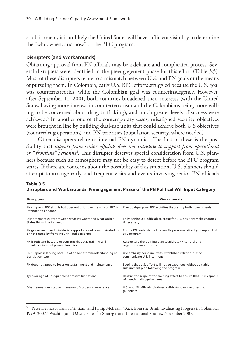establishment, it is unlikely the United States will have sufficient visibility to determine the "who, when, and how" of the BPC program.

#### **Disrupters (and Workarounds)**

Obtaining approval from PN officials may be a delicate and complicated process. Several disrupters were identified in the preengagement phase for this effort (Table 3.5). Most of these disrupters relate to a mismatch between U.S. and PN goals or the means of pursuing them. In Colombia, early U.S. BPC efforts struggled because the U.S. goal was counternarcotics, while the Colombian goal was counterinsurgency. However, after September 11, 2001, both countries broadened their interests (with the United States having more interest in counterterrorism and the Colombians being more willing to be concerned about drug trafficking), and much greater levels of success were achieved.<sup>5</sup> In another one of the contemporary cases, misaligned security objectives were brought in line by building dual-use units that could achieve both U.S objectives (counterdrug operations) and PN priorities (population security, where needed).

Other disrupters relate to internal PN dynamics. The first of these is the possibility that *support from senior officials does not translate to support from operational or " frontline" personnel*. This disrupter deserves special consideration from U.S. planners because such an atmosphere may not be easy to detect before the BPC program starts. If there are concerns about the possibility of this situation, U.S. planners should attempt to arrange early and frequent visits and events involving senior PN officials

| <b>Disrupters</b>                                                                                               | Workarounds                                                                                              |
|-----------------------------------------------------------------------------------------------------------------|----------------------------------------------------------------------------------------------------------|
| PN supports BPC efforts but does not prioritize the mission BPC is<br>intended to enhance                       | Plan dual-purpose BPC activities that satisfy both governments                                           |
| Disagreement exists between what PN wants and what United<br>States thinks the PN needs                         | Enlist senior U.S. officials to argue for U.S. position; make changes<br>if necessary                    |
| PN government and ministerial support are not communicated to<br>or not shared by frontline units and personnel | Ensure PN leadership addresses PN personnel directly in support of<br><b>BPC</b> program                 |
| PN is resistant because of concerns that U.S. training will<br>unbalance internal power dynamics                | Restructure the training plan to address PN cultural and<br>organizational concerns                      |
| PN support is lacking because of an honest misunderstanding or<br>translation issue                             | Use embassy personnel with established relationships to<br>communicate U.S. intentions                   |
| PN does not agree to focus on sustainment and maintenance                                                       | Specify that U.S. effort will not be expended without a viable<br>sustainment plan following the program |
| Types or age of PN equipment present limitations                                                                | Restrict the scope of the training effort to ensure that PN is capable<br>of meeting all requirements    |
| Disagreement exists over measures of student competence                                                         | U.S. and PN officials jointly establish standards and testing<br>guidelines                              |

**Table 3.5 Disrupters and Workarounds: Preengagement Phase of the PN Political Will Input Category**

<sup>5</sup> Peter DeShazo, Tanya Primiani, and Philip McLean, "Back from the Brink: Evaluating Progress in Colombia, 1999–2007," Washington, D.C.: Center for Strategic and International Studies, November 2007.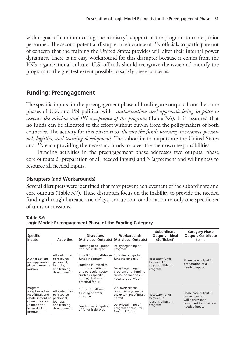with a goal of communicating the ministry's support of the program to more-junior personnel. The second potential disrupter a reluctance of PN officials to participate out of concern that the training the United States provides will alter their internal power dynamics. There is no easy workaround for this disrupter because it comes from the PN's organizational culture. U.S. officials should recognize the issue and modify the program to the greatest extent possible to satisfy these concerns.

# **Funding: Preengagement**

The specific inputs for the preengagement phase of funding are outputs from the same phases of U.S. and PN political will—*authorizations and approvals being in place to execute the mission and PN acceptance of the program* (Table 3.6). It is assumed that no funds can be allocated to the effort without buy-in from the policymakers of both countries. The activity for this phase is to *allocate the funds necessary to resource personnel, logistics, and training development*. The subordinate outputs are the United States and PN each providing the necessary funds to cover the their own responsibilities.

Funding activities in the preengagement phase addresses two outputs: phase core outputs 2 (preparation of all needed inputs) and 3 (agreement and willingness to resource all needed inputs.

## **Disrupters (and Workarounds)**

Several disrupters were identified that may prevent achievement of the subordinate and core outputs (Table 3.7). These disrupters focus on the inability to provide the needed funding through bureaucratic delays, corruption, or allocation to only one specific set of units or missions.

#### **Table 3.6**

| <b>Specific</b><br>Inputs                                                                                                       | <b>Activities</b>                                                                        | <b>Disrupters</b>                                                                                                                          | Workarounds<br>(Activities-Outputs) (Activities-Outputs)                                    | Subordinate<br>Outputs-Ideal<br>(Sufficient)                       | <b>Category Phase</b><br><b>Outputs Contribute</b><br>$\mathsf{to} \ldots$                              |
|---------------------------------------------------------------------------------------------------------------------------------|------------------------------------------------------------------------------------------|--------------------------------------------------------------------------------------------------------------------------------------------|---------------------------------------------------------------------------------------------|--------------------------------------------------------------------|---------------------------------------------------------------------------------------------------------|
| Authorizations<br>and approvals in<br>place to execute<br>mission                                                               | Allocate funds<br>to resource<br>personnel,<br>logistics,<br>and training<br>development | Funding or obligation<br>of funds is delayed                                                                                               | Delay beginning of<br>program                                                               | Necessary funds<br>to cover U.S.<br>responsibilities in<br>program | Phase core output 2,<br>preparation of all<br>needed inputs                                             |
|                                                                                                                                 |                                                                                          | It is difficult to disburse   Consider obligating<br>funds in country                                                                      | funds to embassy                                                                            |                                                                    |                                                                                                         |
|                                                                                                                                 |                                                                                          | Funding is limited to<br>units or activities in<br>one particular sector<br>(such as a specific<br>border) that is not<br>practical for PN | Delay beginning of<br>program until funding<br>can be opened to all<br>necessary activities |                                                                    |                                                                                                         |
| Program<br>acceptance from<br>PN officials and<br>establishment of<br>communication<br>channels for<br>issues during<br>program | Allocate funds<br>to resource<br>personnel,<br>logistics,<br>and training<br>development | Corruption diverts<br>funding or other<br>resources                                                                                        | U.S. oversees the<br>resourcing system to<br>the extent PN officials<br>permit              | Necessary funds<br>to cover PN<br>responsibilities in<br>program   | Phase core output 3,<br>agreement and<br>willingness (and<br>resources) to provide all<br>needed inputs |
|                                                                                                                                 |                                                                                          | Funding or obligation<br>of funds is delayed                                                                                               | Delay beginning of<br>program or resource<br>from U.S. funds                                |                                                                    |                                                                                                         |

**Logic Model: Preengagement Phase of the Funding Category**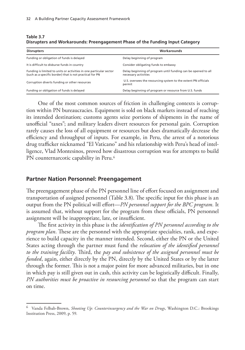| <b>Disrupters</b>                                                                                                              | Workarounds                                                                           |
|--------------------------------------------------------------------------------------------------------------------------------|---------------------------------------------------------------------------------------|
| Funding or obligation of funds is delayed                                                                                      | Delay beginning of program                                                            |
| It is difficult to disburse funds in country                                                                                   | Consider obligating funds to embassy                                                  |
| Funding is limited to units or activities in one particular sector<br>(such as a specific border) that is not practical for PN | Delay beginning of program until funding can be opened to all<br>necessary activities |
| Corruption diverts funding or other resources                                                                                  | U.S. oversees the resourcing system to the extent PN officials<br>permit              |
| Funding or obligation of funds is delayed                                                                                      | Delay beginning of program or resource from U.S. funds                                |

**Table 3.7 Disrupters and Workarounds: Preengagement Phase of the Funding Input Category**

One of the most common sources of friction in challenging contexts is corruption within PN bureaucracies. Equipment is sold on black markets instead of reaching its intended destination; customs agents seize portions of shipments in the name of unofficial "taxes"; and military leaders divert resources for personal gain. Corruption rarely causes the loss of all equipment or resources but does dramatically decrease the efficiency and throughput of inputs. For example, in Peru, the arrest of a notorious drug trafficker nicknamed "El Vaticano" and his relationship with Peru's head of intelligence, Vlad Montesinos, proved how disastrous corruption was for attempts to build PN counternarcotic capability in Peru.<sup>6</sup>

#### **Partner Nation Personnel: Preengagement**

The preengagement phase of the PN personnel line of effort focused on assignment and transportation of assigned personnel (Table 3.8). The specific input for this phase is an output from the PN political will effort—*PN personnel support for the BPC program.* It is assumed that, without support for the program from these officials, PN personnel assignment will be inappropriate, late, or insufficient.

The first activity in this phase is the *identification of PN personnel according to the program plan*. These are the personnel with the appropriate specialties, rank, and experience to build capacity in the manner intended. Second, either the PN or the United States acting through the partner must fund the *relocation of the identified personnel to the training facility*. Third, the *pay and subsistence of the assigned personnel must be funded*, again, either directly by the PN, directly by the United States or by the latter through the former. This is not a major point for more advanced militaries, but in one in which pay is still given out in cash, this activity can be logistically difficult. Finally, *PN authorities must be proactive in resourcing personnel* so that the program can start on time.

<sup>6</sup> Vanda Felbab-Brown, *Shooting Up: Counterinsurgency and the War on Drugs*, Washington D.C.: Brookings Institution Press, 2009, p. 59.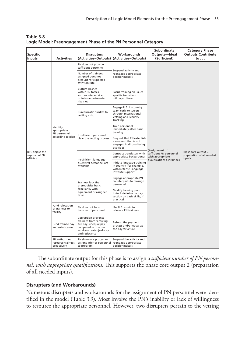| Specific<br>Inputs                           | <b>Activities</b>                                            | <b>Disrupters</b>                                                                                                                             | Workarounds<br>(Activities-Outputs) (Activities-Outputs)                                                    | <b>Subordinate</b><br>Outputs-Ideal<br>(Sufficient)                                          | <b>Category Phase</b><br><b>Outputs Contribute</b><br>to    |
|----------------------------------------------|--------------------------------------------------------------|-----------------------------------------------------------------------------------------------------------------------------------------------|-------------------------------------------------------------------------------------------------------------|----------------------------------------------------------------------------------------------|-------------------------------------------------------------|
|                                              |                                                              | PN does not provide<br>sufficient personnel                                                                                                   |                                                                                                             |                                                                                              |                                                             |
|                                              |                                                              | Number of trainees<br>assigned does not<br>account for expected<br>attrition rate                                                             | Suspend activity and<br>reengage appropriate<br>decisionmakers                                              |                                                                                              |                                                             |
|                                              |                                                              | Culture clashes<br>within PN forces.<br>such as interservice<br>or interdepartmental<br>rivalries                                             | Focus training on issues<br>specific to civilian-<br>military culture                                       |                                                                                              | Phase core output 2,<br>preparation of all needed<br>inputs |
|                                              |                                                              | <b>Bureaucratic hurdles to</b><br>vetting exist                                                                                               | Engage U.S. in-country<br>team early to screen<br>through International<br>Vetting and Security<br>Tracking |                                                                                              |                                                             |
|                                              | Identify<br>appropriate<br>PN personnel<br>according to plan | Insufficient personnel<br>clear the vetting process                                                                                           | Train personnel<br>immediately after basic<br>training                                                      | (Assignment of<br>sufficient PN personnel<br>with appropriate<br>qualifications as trainees) |                                                             |
|                                              |                                                              |                                                                                                                                               | Request that PN establish<br>a new unit that is not<br>engaged in disqualifying<br>activities               |                                                                                              |                                                             |
| BPC enjoys the<br>support of PN<br>officials |                                                              | Insufficient language-<br>fluent PN personnel are<br>available                                                                                | Contract translators with<br>appropriate backgrounds                                                        |                                                                                              |                                                             |
|                                              |                                                              |                                                                                                                                               | Initiate language training<br>in country (for example,<br>with Defense Language<br>Institute support)       |                                                                                              |                                                             |
|                                              |                                                              | Trainees lack the<br>prerequisite basic<br>familiarity with<br>equipment or assigned<br>tasks                                                 | Engage appropriate PN<br>counterparts to reassign<br>personnel                                              |                                                                                              |                                                             |
|                                              |                                                              |                                                                                                                                               | Modify training plan<br>to include introductory<br>section on basic skills, if<br>practical                 |                                                                                              |                                                             |
|                                              | <b>Fund relocation</b><br>of trainees to<br>facility         | PN does not fund<br>transfer of personnel                                                                                                     | Use U.S. assets to<br>relocate PN trainees                                                                  |                                                                                              |                                                             |
|                                              | Fund trainee pay<br>and subsistence                          | Corruption prevents<br>trainees from receiving<br>full pay; unequal pay<br>compared with other<br>services creates jealousy<br>and resistance | Reform the payment<br>process and/or equalize<br>the pay structure                                          |                                                                                              |                                                             |
|                                              | PN authorities<br>resource trainees<br>proactively           | PN slow-rolls process or<br>assigns inferior personnel<br>to program                                                                          | Suspend the activity and<br>reengage appropriate<br>decisionmakers                                          |                                                                                              |                                                             |

**Table 3.8 Logic Model: Preengagement Phase of the PN Personnel Category**

The subordinate output for this phase is to assign a *sufficient number of PN personnel, with appropriate qualifications*. This supports the phase core output 2 (preparation of all needed inputs).

### **Disrupters (and Workarounds)**

Numerous disrupters and workarounds for the assignment of PN personnel were identified in the model (Table 3.9). Most involve the PN's inability or lack of willingness to resource the appropriate personnel. However, two disrupters pertain to the vetting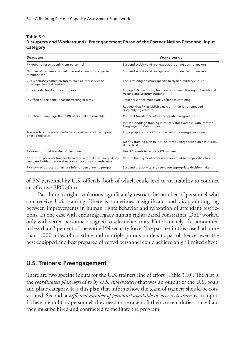#### **Table 3.9 Disrupters and Workarounds: Preengagement Phase of the Partner Nation Personnel Input Category**

| <b>Disrupters</b>                                                                                                                 | Workarounds                                                                                        |
|-----------------------------------------------------------------------------------------------------------------------------------|----------------------------------------------------------------------------------------------------|
| PN does not provide sufficient personnel                                                                                          | Suspend activity and reengage appropriate decisionmakers                                           |
| Number of trainees assigned does not account for expected<br>attrition rate                                                       | Suspend activity and reengage appropriate decisionmakers                                           |
| Culture clashes within PN forces, such as interservice or<br>interdepartmental rivalries                                          | Focus training on issues specific to civilian-military culture                                     |
| Bureaucratic hurdles to vetting exist                                                                                             | Engage U.S. in-country team early to screen through International<br>Vetting and Security Tracking |
| Insufficient personnel clear the vetting process                                                                                  | Train personnel immediately after basic training                                                   |
|                                                                                                                                   | Request that PN establish a new unit that is not engaged in<br>disqualifying activities            |
| Insufficient language-fluent PN personnel are available                                                                           | Contract translators with appropriate backgrounds                                                  |
|                                                                                                                                   | Initiate language training in country (for example, with Defense<br>Language Institute support)    |
| Trainees lack the prerequisite basic familiarity with equipment<br>or assigned tasks                                              | Engage appropriate PN counterparts to reassign personnel                                           |
|                                                                                                                                   | Modify training plan to include introductory section on basic skills,<br>if practical              |
| PN does not fund transfer of personnel                                                                                            | Use U.S. assets to relocate PN trainees                                                            |
| Corruption prevents trainees from receiving full pay; unequal pay<br>compared with other services creates jealousy and resistance | Reform the payment process and/or equalize the pay structure                                       |
| PN slow-rolls process or assigns inferior personnel to program                                                                    | Suspend the activity and reengage appropriate decisionmakers                                       |

of PN personnel by U.S. officials, both of which could lead to an inability to conduct an effective BPC effort.

Past human rights violations significantly restrict the number of personnel who can receive U.S. training. There is sometimes a significant and disappointing lag between improvements in human rights behavior and relaxation of attendant restrictions. In one case with enduring legacy human rights-based constraints, DoD worked only with vetted personnel assigned to select elite units. Unfortunately, this amounted to less than 3 percent of the entire PN security force. The partner in this case had more than 1,000 miles of coastline and multiple porous borders to patrol; hence, even the best equipped and best prepared of vetted personnel could achieve only a limited effect.

## **U.S. Trainers: Preengagement**

There are two specific inputs for the U.S. trainers line of effort (Table 3.10). The first is the *coordinated plan agreed to by U.S. stakeholders* that was an output of the U.S. goals and plans category. It is this plan that informs how the team of trainers should be constituted. Second, a *sufficient number of personnel available to serve as trainers* is an input. If these are military personnel, they need to be taken off their current duties. If civilian, they must be hired and contracted to facilitate the program.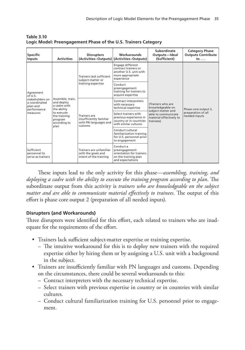| <b>Specific</b><br><b>Inputs</b>                                                                | <b>Activities</b>                                                                                                              | <b>Disrupters</b>                                                                  | <b>Workarounds</b><br>(Activities-Outputs) (Activities-Outputs)                                      | Subordinate<br>Outputs-Ideal<br>(Sufficient)                                                                               | <b>Category Phase</b><br><b>Outputs Contribute</b><br>to $\ldots$ |
|-------------------------------------------------------------------------------------------------|--------------------------------------------------------------------------------------------------------------------------------|------------------------------------------------------------------------------------|------------------------------------------------------------------------------------------------------|----------------------------------------------------------------------------------------------------------------------------|-------------------------------------------------------------------|
| Agreement<br>of U.S.<br>stakeholders on<br>a coordinated<br>plan and<br>performance<br>measures | Assemble, train,<br>and deploy<br>a cadre with<br>the ability<br>to execute<br>the training<br>program<br>according to<br>plan | Trainers lack sufficient<br>subject-matter or<br>training expertise                | Engage different<br>contract trainers or<br>another U.S. unit with<br>more appropriate<br>experience | (Trainers who are<br>knowledgeable on<br>subject matter and<br>able to communicate<br>material effectively to<br>trainees) | Phase core output 2,<br>preparation of all<br>needed inputs       |
|                                                                                                 |                                                                                                                                |                                                                                    | Conduct<br>preengagement<br>training for trainers to<br>acquire expertise                            |                                                                                                                            |                                                                   |
|                                                                                                 |                                                                                                                                | <b>Trainers</b> are<br>insufficiently familiar<br>with PN languages and<br>customs | Contract interpreters<br>with necessary<br>technical expertise                                       |                                                                                                                            |                                                                   |
|                                                                                                 |                                                                                                                                |                                                                                    | Select trainers with<br>previous experience in<br>country or in countries<br>with similar cultures   |                                                                                                                            |                                                                   |
|                                                                                                 |                                                                                                                                |                                                                                    | Conduct cultural<br>familiarization training<br>for U.S. personnel prior<br>to engagement            |                                                                                                                            |                                                                   |
| Sufficient<br>personnel to<br>serve as trainers                                                 |                                                                                                                                | Trainers are unfamiliar<br>with the goals and<br>intent of the training            | Conduct a<br>preengagement<br>orientation for trainers<br>on the training plan<br>and expectations   |                                                                                                                            |                                                                   |

**Table 3.10 Logic Model: Preengagement Phase of the U.S. Trainers Category**

These inputs lead to the only activity for this phase—*assembling, training, and deploying a cadre with the ability to execute the training program according to plan*. The subordinate output from this activity is *trainers who are knowledgeable on the subject matter and are able to communicate material effectively to trainees*. The output of this effort is phase core output 2 (preparation of all needed inputs).

### **Disrupters (and Workarounds)**

Three disrupters were identified for this effort, each related to trainers who are inadequate for the requirements of the effort.

- Trainers lack sufficient subject-matter expertise or training expertise.
	- The intuitive workaround for this is to deploy new trainers with the required expertise either by hiring them or by assigning a U.S. unit with a background in the subject.
- Trainers are insufficiently familiar with PN languages and customs. Depending on the circumstances, there could be several workarounds to this:
	- Contract interpreters with the necessary technical expertise.
	- Select trainers with previous expertise in country or in countries with similar cultures.
	- Conduct cultural familiarization training for U.S. personnel prior to engagement.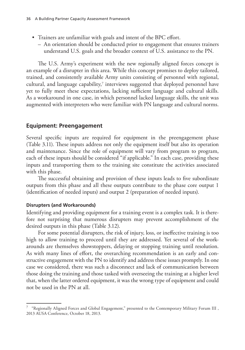- Trainers are unfamiliar with goals and intent of the BPC effort.
	- An orientation should be conducted prior to engagement that ensures trainers understand U.S. goals and the broader context of U.S. assistance to the PN.

The U.S. Army's experiment with the new regionally aligned forces concept is an example of a disrupter in this area. While this concept promises to deploy tailored, trained, and consistently available Army units consisting of personnel with regional, cultural, and language capability,<sup>7</sup> interviews suggested that deployed personnel have yet to fully meet these expectations, lacking sufficient language and cultural skills. As a workaround in one case, in which personnel lacked language skills, the unit was augmented with interpreters who were familiar with PN language and cultural norms.

### **Equipment: Preengagement**

Several specific inputs are required for equipment in the preengagement phase (Table 3.11). These inputs address not only the equipment itself but also its operation and maintenance. Since the role of equipment will vary from program to program, each of these inputs should be considered "if applicable." In each case, providing these inputs and transporting them to the training site constitute the activities associated with this phase.

The successful obtaining and provision of these inputs leads to five subordinate outputs from this phase and all these outputs contribute to the phase core output 1 (identification of needed inputs) and output 2 (preparation of needed inputs).

#### **Disrupters (and Workarounds)**

Identifying and providing equipment for a training event is a complex task. It is therefore not surprising that numerous disrupters may prevent accomplishment of the desired outputs in this phase (Table 3.12).

For some potential disrupters, the risk of injury, loss, or ineffective training is too high to allow training to proceed until they are addressed. Yet several of the workarounds are themselves showstoppers, delaying or stopping training until resolution. As with many lines of effort, the overarching recommendation is an early and constructive engagement with the PN to identify and address these issues promptly. In one case we considered, there was such a disconnect and lack of communication between those doing the training and those tasked with overseeing the training at a higher level that, when the latter ordered equipment, it was the wrong type of equipment and could not be used in the PN at all.

<sup>7</sup> "Regionally Aligned Forces and Global Engagement," presented to the Contemporary Military Forum III , 2013 AUSA Conference, October 18, 2013.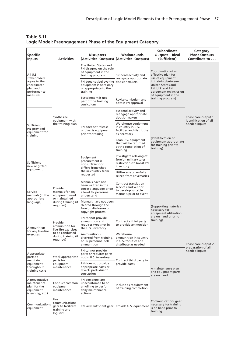| <b>Specific</b><br>Inputs                                                          | <b>Activities</b>                                                                                       | <b>Disrupters</b>                                                                                                                                                                     | Workarounds<br>(Activities-Outputs) (Activities-Outputs)                                     | Subordinate<br>Outputs-Ideal<br>(Sufficient)                                                                                                                                                             | Category<br><b>Phase Outputs</b><br>Contribute to              |
|------------------------------------------------------------------------------------|---------------------------------------------------------------------------------------------------------|---------------------------------------------------------------------------------------------------------------------------------------------------------------------------------------|----------------------------------------------------------------------------------------------|----------------------------------------------------------------------------------------------------------------------------------------------------------------------------------------------------------|----------------------------------------------------------------|
| All U.S.<br>stakeholders<br>agree to the<br>coordinated<br>plan and<br>performance |                                                                                                         | The United States and<br>PN disagree on the role<br>of equipment in the<br>training program<br>PN does not believe the<br>equipment is necessary<br>or appropriate to the<br>training | Suspend activity and<br>reengage appropriate<br>decisionmakers                               | Coordination of an<br>effective plan for<br>use of equipment<br>in training between<br><b>United States and</b><br>PN (U.S. and PN<br>agreement on inclusion<br>of equipment in the<br>training program) | Phase core output 1,<br>identification of all<br>needed inputs |
| measures                                                                           |                                                                                                         | Sustainment is not<br>part of the training<br>curriculum                                                                                                                              | Revise curriculum and<br>obtain PN approval                                                  |                                                                                                                                                                                                          |                                                                |
|                                                                                    | Synthesize<br>equipment with                                                                            |                                                                                                                                                                                       | Suspend activity and<br>reengage appropriate<br>decisionmakers                               | (Identification of<br>equipment appropriate<br>for training prior to<br>training)                                                                                                                        |                                                                |
| Sufficient<br>PN-provided<br>equipment for<br>training                             | the training plan                                                                                       | PN does not release<br>or diverts equipment<br>prior to training                                                                                                                      | Warehouse equipment<br>in country in U.S.<br>facilities and distribute<br>as necessary       |                                                                                                                                                                                                          |                                                                |
|                                                                                    |                                                                                                         |                                                                                                                                                                                       | Loan U.S. equipment<br>that will be returned<br>at the completion of<br>training             |                                                                                                                                                                                                          |                                                                |
| Sufficient<br>new or gifted                                                        |                                                                                                         | Equipment<br>procurement is<br>not sufficient or<br>differs from what                                                                                                                 | Investigate relaxing of<br>foreign military sales<br>restrictions to boost PN<br>inventory   |                                                                                                                                                                                                          |                                                                |
| equipment                                                                          |                                                                                                         | the in-country team<br>requested                                                                                                                                                      | Utilize assets lawfully<br>seized from adversaries                                           |                                                                                                                                                                                                          |                                                                |
| Service<br>manuals (in the<br>appropriate<br>language)                             | Provide<br>manuals for any<br>equipment used<br>or maintained<br>during training (if<br>required)       | Manuals have not<br>been written in the<br>correct language or on<br>a level PN personnel<br>understand                                                                               | Contract translation<br>services and vendor<br>to develop suitable<br>manuals prior to event | (Supporting materials<br>necessary for<br>equipment utilization<br>are on hand prior to<br>training)                                                                                                     | Phase core output 2,<br>preparation of all<br>needed inputs    |
|                                                                                    |                                                                                                         | Manuals have not been<br>cleared through the<br>foreign disclosure or<br>copyright process                                                                                            |                                                                                              |                                                                                                                                                                                                          |                                                                |
| Ammunition<br>for any live-fire<br>exercises                                       | Provide<br>ammunition for<br>live-fire exercises<br>to be conducted<br>during training (if<br>required) | PN cannot provide<br>ammunition and<br>requires types not in<br>the U.S. inventory                                                                                                    | Contract a third party<br>to provide ammunition                                              |                                                                                                                                                                                                          |                                                                |
|                                                                                    |                                                                                                         | Ammunition is<br>diverted from training,<br>or PN personnel sell<br>ammunition                                                                                                        | Warehouse<br>ammunition in country<br>in U.S. facilities and<br>distribute as needed         |                                                                                                                                                                                                          |                                                                |
| Appropriate<br>parts to<br>maintain<br>equipment<br> throughout<br>training cycle  | Stock appropriate<br>parts for<br>equipment<br>maintenance                                              | PN cannot provide<br>parts or requires parts<br>not in U.S. inventory                                                                                                                 |                                                                                              | A maintenance plan<br>and equipment parts<br>are on hand                                                                                                                                                 |                                                                |
|                                                                                    |                                                                                                         | PN does not provide<br>appropriate parts or<br>diverts parts due to<br>corruption                                                                                                     | Contract third party to<br>provide parts                                                     |                                                                                                                                                                                                          |                                                                |
| A preventative<br>maintenance<br>plan for the<br>equipment<br>(cleaning, etc.)     | Conduct common<br>equipment<br>maintenance                                                              | PN personnel are<br>unaccustomed to or<br>unwilling to perform<br>daily maintenance<br>actions                                                                                        | Include as requirement<br>of training completion                                             |                                                                                                                                                                                                          |                                                                |
| Communications<br>equipment                                                        | Use<br>communications<br>gear to facilitate<br>training and<br>logistics                                | PN lacks sufficient gear                                                                                                                                                              | Provide U.S. equipment                                                                       | Communications gear<br>necessary for training<br>is on hand prior to<br>training                                                                                                                         |                                                                |

**Table 3.11 Logic Model: Preengagement Phase of the Equipment Category**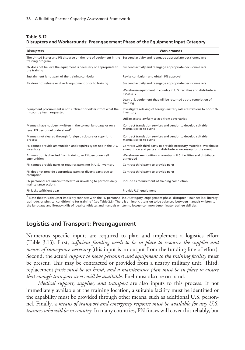#### **Table 3.12 Disrupters and Workarounds: Preengagement Phase of the Equipment Input Category**

| <b>Disrupters</b>                                                                                                                              | Workarounds                                                                                                                           |  |  |
|------------------------------------------------------------------------------------------------------------------------------------------------|---------------------------------------------------------------------------------------------------------------------------------------|--|--|
| The United States and PN disagree on the role of equipment in the Suspend activity and reengage appropriate decisionmakers<br>training program |                                                                                                                                       |  |  |
| PN does not believe the equipment is necessary or appropriate to<br>the training                                                               | Suspend activity and reengage appropriate decisionmakers                                                                              |  |  |
| Sustainment is not part of the training curriculum                                                                                             | Revise curriculum and obtain PN approval                                                                                              |  |  |
| PN does not release or diverts equipment prior to training                                                                                     | Suspend activity and reengage appropriate decisionmakers                                                                              |  |  |
|                                                                                                                                                | Warehouse equipment in country in U.S. facilities and distribute as<br>necessary                                                      |  |  |
|                                                                                                                                                | Loan U.S. equipment that will be returned at the completion of<br>training                                                            |  |  |
| Equipment procurement is not sufficient or differs from what the<br>in-country team requested                                                  | Investigate relaxing of foreign military sales restrictions to boost PN<br>inventory                                                  |  |  |
|                                                                                                                                                | Utilize assets lawfully seized from adversaries                                                                                       |  |  |
| Manuals have not been written in the correct language or on a<br>level PN personnel understand <sup>a</sup>                                    | Contract translation services and vendor to develop suitable<br>manuals prior to event                                                |  |  |
| Manuals not cleared through foreign disclosure or copyright<br>process                                                                         | Contract translation services and vendor to develop suitable<br>manuals prior to event                                                |  |  |
| PN cannot provide ammunition and requires types not in the U.S.<br>inventory                                                                   | Contract with third party to provide necessary materials; warehouse<br>ammunition and parts and distribute as necessary for the event |  |  |
| Ammunition is diverted from training, or PN personnel sell<br>ammunition                                                                       | Warehouse ammunition in country in U.S. facilities and distribute<br>as needed                                                        |  |  |
| PN cannot provide parts or requires parts not in U.S. inventory                                                                                | Contract third party to provide parts                                                                                                 |  |  |
| PN does not provide appropriate parts or diverts parts due to<br>corruption                                                                    | Contract third party to provide parts                                                                                                 |  |  |
| PN personnel are unaccustomed to or unwilling to perform daily<br>maintenance actions                                                          | Include as requirement of training completion                                                                                         |  |  |
| PN lacks sufficient gear                                                                                                                       | Provide U.S. equipment                                                                                                                |  |  |

a Note that this disrupter implicitly connects with the PN personnel input category, engagement phase, disrupter "Trainees lack literacy, aptitude, or physical conditioning for training" (see Table 2.8). There is an implicit tension to be balanced between manuals written to the language and literacy skills of ideal candidates and manuals written to lowest-common denominator trainee abilities.

## **Logistics and Transport: Preengagement**

Numerous specific inputs are required to plan and implement a logistics effort (Table 3.13). First, *sufficient funding needs to be in place to resource the supplies and means of conveyance necessary* (this input is an output from the funding line of effort). Second, the actual *support to move personnel and equipment to the training facility* must be present. This may be contracted or provided from a nearby military unit. Third, replacement *parts must be on hand, and a maintenance plan must be in place to ensure that enough transport assets will be available*. Fuel must also be on hand.

*Medical support, supplies, and transport* are also inputs to this process. If not immediately available at the training location, a suitable facility must be identified or the capability must be provided through other means, such as additional U.S. personnel. Finally, a *means of transport and emergency response must be available for any U.S. trainers who will be in country*. In many countries, PN forces will cover this reliably, but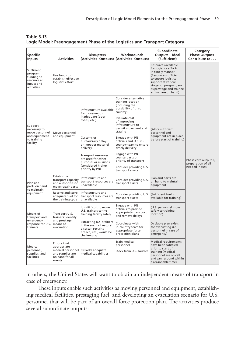| Table 3.13                                                               |
|--------------------------------------------------------------------------|
| Logic Model: Preengagement Phase of the Logistics and Transport Category |

| <b>Specific</b><br>Inputs                                                             | <b>Activities</b>                                                              | <b>Disrupters</b>                                                                                                         | Workarounds<br>(Activities-Outputs) (Activities-Outputs)                                        | <b>Subordinate</b><br>Outputs-Ideal<br>(Sufficient)                                                                                                                                                                   | Category<br><b>Phase Outputs</b><br>Contribute to           |
|---------------------------------------------------------------------------------------|--------------------------------------------------------------------------------|---------------------------------------------------------------------------------------------------------------------------|-------------------------------------------------------------------------------------------------|-----------------------------------------------------------------------------------------------------------------------------------------------------------------------------------------------------------------------|-------------------------------------------------------------|
| Sufficient<br>program<br>funding to<br>resource all<br>inputs and<br>activities       | Use funds to<br>establish effective<br>logistics effort                        |                                                                                                                           |                                                                                                 | Resources available<br>for logistics efforts<br>in timely manner<br>(Resources sufficient<br>to ensure logistics<br>support at various<br>stages of program, such<br>as prestage and trainee<br>arrival, are on hand) |                                                             |
| Support<br>necessary to<br>move personnel<br>and equipment<br>to training<br>facility | Move personnel<br>and equipment                                                | Infrastructure available<br>for movement is<br>inadequate (poor<br>roads, etc.)                                           | Consider alternative<br>training location<br>(including the<br>possibility of third<br>country) | (All or sufficient<br>personnel and<br>equipment are in place<br>before start of training)                                                                                                                            | Phase core output 2,<br>preparation of all<br>needed inputs |
|                                                                                       |                                                                                |                                                                                                                           | Evaluate cost<br>of improving<br>infrastructure to<br>permit movement and<br>staging            |                                                                                                                                                                                                                       |                                                             |
|                                                                                       |                                                                                | Customs or<br>bureaucracy delays<br>or impedes materiel<br>delivery                                                       | Engage with PN<br>officials and U.S. in-<br>country team to ensure<br>timely delivery           |                                                                                                                                                                                                                       |                                                             |
|                                                                                       |                                                                                | Transport resources<br>are used for other<br>purposes or missions<br>(considered higher<br>priority by PN)                | Engage with PN<br>counterparts on<br>priority of transport                                      |                                                                                                                                                                                                                       |                                                             |
|                                                                                       |                                                                                |                                                                                                                           | Consider providing U.S.<br>transport assets                                                     |                                                                                                                                                                                                                       |                                                             |
| Plan and<br>parts on hand                                                             | Establish a<br>transport capacity<br>and authorities to<br>move repair parts   | Infrastructure and<br>transport resources are<br>unavailable                                                              | Consider providing U.S.<br>transport assets                                                     | Plan and parts are<br>on hand to maintain<br>equipment                                                                                                                                                                |                                                             |
| to maintain<br>equipment                                                              | Receive and store<br>adequate fuel for<br>the training cycle                   | Infrastructure and<br>transport resources are<br>unavailable                                                              | Consider providing U.S.<br>transport assets                                                     | (Sufficient fuel is<br>available for training)                                                                                                                                                                        |                                                             |
| Means of<br>transport and<br>emergency<br>response for U.S.<br>trainers               | Transport U.S.<br>trainers; identify<br>and prestage<br>means of<br>evacuation | It is difficult to move<br>U.S. trainers to the<br>training facility safely                                               | Engage with PN<br>officials to provide<br>appropriate transport<br>and remove delays            | (U.S. personnel move<br>safely to training<br>location)                                                                                                                                                               |                                                             |
|                                                                                       |                                                                                | <b>Extracting U.S. trainers</b><br>in the event of natural<br>disaster, security<br>breach, etc., would be<br>challenging | Coordinate with<br>in-country team for<br>appropriate force<br>protection plans                 | (A viable plan exists<br>for evacuating U.S.<br>personnel in case of<br>emergency)                                                                                                                                    |                                                             |
| Medical                                                                               | Ensure that<br>appropriate                                                     |                                                                                                                           | Train medical<br>personnel                                                                      | Medical requirements<br>have been satisfied                                                                                                                                                                           |                                                             |
| personnel,<br>supplies, and<br>facilities                                             | medical personnel<br>and supplies are<br>on hand for all<br>events             | PN lacks adequate<br>medical capabilities                                                                                 | Stock from U.S. sources                                                                         | prior to start of<br>training (Medical<br>personnel are on call<br>and can respond within<br>a reasonable time)                                                                                                       |                                                             |

in others, the United States will want to obtain an independent means of transport in case of emergency.

These inputs enable such activities as moving personnel and equipment, establishing medical facilities, prestaging fuel, and developing an evacuation scenario for U.S. personnel that will be part of an overall force protection plan. The activities produce several subordinate outputs: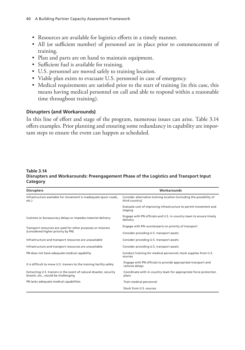- Resources are available for logistics efforts in a timely manner.
- All (or sufficient number) of personnel are in place prior to commencement of training.
- Plan and parts are on hand to maintain equipment.
- Sufficient fuel is available for training.
- U.S. personnel are moved safely to training location.
- Viable plan exists to evacuate U.S. personnel in case of emergency.
- Medical requirements are satisfied prior to the start of training (in this case, this means having medical personnel on call and able to respond within a reasonable time throughout training).

#### **Disrupters (and Workarounds)**

In this line of effort and stage of the program, numerous issues can arise. Table 3.14 offers examples. Prior planning and ensuring some redundancy in capability are important steps to ensure the event can happen as scheduled.

#### **Table 3.14 Disrupters and Workarounds: Preengagement Phase of the Logistics and Transport Input Category**

| <b>Disrupters</b>                                                                                         | Workarounds                                                                            |  |  |
|-----------------------------------------------------------------------------------------------------------|----------------------------------------------------------------------------------------|--|--|
| Infrastructure available for movement is inadequate (poor roads,<br>etc.)                                 | Consider alternative training location (including the possibility of<br>third country) |  |  |
|                                                                                                           | Evaluate cost of improving infrastructure to permit movement and<br>staging            |  |  |
| Customs or bureaucracy delays or impedes materiel delivery                                                | Engage with PN officials and U.S. in-country team to ensure timely<br>delivery         |  |  |
| Transport resources are used for other purposes or missions                                               | Engage with PN counterparts on priority of transport                                   |  |  |
| (considered higher priority by PN)                                                                        | Consider providing U.S. transport assets                                               |  |  |
| Infrastructure and transport resources are unavailable                                                    | Consider providing U.S. transport assets                                               |  |  |
| Infrastructure and transport resources are unavailable                                                    | Consider providing U.S. transport assets                                               |  |  |
| PN does not have adequate medical capability                                                              | Conduct training for medical personnel; stock supplies from U.S.<br>sources            |  |  |
| It is difficult to move U.S. trainers to the training facility safely                                     | Engage with PN officials to provide appropriate transport and<br>remove delays         |  |  |
| Extracting U.S. trainers in the event of natural disaster, security<br>breach, etc., would be challenging | Coordinate with in-country team for appropriate force protection<br>plans              |  |  |
| PN lacks adequate medical capabilities                                                                    | Train medical personnel                                                                |  |  |
|                                                                                                           | Stock from U.S. sources                                                                |  |  |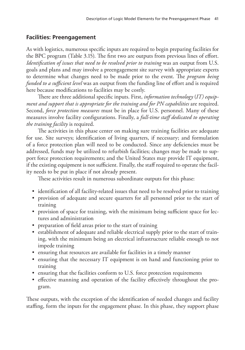# **Facilities: Preengagement**

As with logistics, numerous specific inputs are required to begin preparing facilities for the BPC program (Table 3.15). The first two are outputs from previous lines of effort. *Identification of issues that need to be resolved prior to training* was an output from U.S. goals and plans and may involve a preengagement site survey with appropriate experts to determine what changes need to be made prior to the event. The *program being funded to a sufficient level* was an output from the funding line of effort and is required here because modifications to facilities may be costly.

There are three additional specific inputs. First, *information technology* (*IT) equipment and support that is appropriate for the training and for PN capabilities* are required. Second, *force protection measures* must be in place for U.S. personnel. Many of these measures involve facility configurations. Finally, a *full-time staff dedicated to operating the training facility* is required.

The activities in this phase center on making sure training facilities are adequate for use. Site surveys; identification of living quarters, if necessary; and formulation of a force protection plan will need to be conducted. Since any deficiencies must be addressed, funds may be utilized to refurbish facilities; changes may be made to support force protection requirements; and the United States may provide IT equipment, if the existing equipment is not sufficient. Finally, the staff required to operate the facility needs to be put in place if not already present.

These activities result in numerous subordinate outputs for this phase:

- identification of all facility-related issues that need to be resolved prior to training
- provision of adequate and secure quarters for all personnel prior to the start of training
- provision of space for training, with the minimum being sufficient space for lectures and administration
- preparation of field areas prior to the start of training
- establishment of adequate and reliable electrical supply prior to the start of training, with the minimum being an electrical infrastructure reliable enough to not impede training
- ensuring that resources are available for facilities in a timely manner
- ensuring that the necessary IT equipment is on hand and functioning prior to training
- ensuring that the facilities conform to U.S. force protection requirements
- effective manning and operation of the facility effectively throughout the program.

These outputs, with the exception of the identification of needed changes and facility staffing, form the inputs for the engagement phase. In this phase, they support phase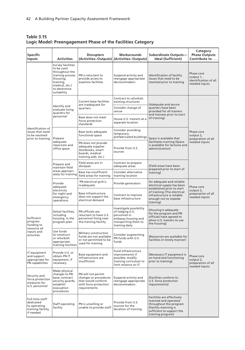**Table 3.15 Logic Model: Preengagement Phase of the Facilities Category**

| <b>Specific</b><br><b>Inputs</b>                                                | <b>Activities</b>                                                                                                                                       | <b>Disrupters</b>                                                                                          | Workarounds<br>(Activities-Outputs) (Activities-Outputs)                                                                    | Subordinate Outputs-<br><b>Ideal (Sufficient)</b>                                                                                                                                      | Category<br><b>Phase Outputs</b><br>Contribute to                 |
|---------------------------------------------------------------------------------|---------------------------------------------------------------------------------------------------------------------------------------------------------|------------------------------------------------------------------------------------------------------------|-----------------------------------------------------------------------------------------------------------------------------|----------------------------------------------------------------------------------------------------------------------------------------------------------------------------------------|-------------------------------------------------------------------|
|                                                                                 | <b>Survey facilities</b><br>to be used<br>throughout the<br>training process<br>(housing,<br>training,<br>medical, etc.)<br>to determine<br>suitability | PN is reluctant to<br>provide access to<br>examine facilities                                              | Suspend activity and<br>reengage appropriate<br>decisionmakers                                                              | Identification of facility<br>issues that need to be<br>resolved prior to training                                                                                                     | Phase core<br>output 1,<br>identification of all<br>needed inputs |
|                                                                                 |                                                                                                                                                         | <b>Current base facilities</b><br>are inadequate for                                                       | Contract to refurbish<br>existing structures                                                                                | (Adequate and secure<br>quarters have been<br>provided for all trainers                                                                                                                |                                                                   |
|                                                                                 | Identify and<br>evaluate living<br>quarters for                                                                                                         | quarters                                                                                                   | Consider change of<br>venue                                                                                                 |                                                                                                                                                                                        |                                                                   |
|                                                                                 | personnel                                                                                                                                               | Base does not meet<br>force protection<br>standards                                                        | House U.S. trainers at a<br>separate location                                                                               | and trainees prior to start<br>of training)                                                                                                                                            |                                                                   |
| Identification of<br>issues that need<br>to be resolved<br>prior to training    | Prepare                                                                                                                                                 | Base lacks adequate<br>functional space                                                                    | Consider providing<br>temporary,<br>prefabricated buildings                                                                 | Space is available that                                                                                                                                                                | Phase core<br>output 2,<br>preparation of all                     |
|                                                                                 | adeguate<br>classroom and<br>office space                                                                                                               | PN does not provide<br>adequate supplies<br>(textbooks, smart<br>boards, medical<br>training aids, etc.)   | Provide from U.S.<br>sources                                                                                                | facilitates training (Space<br>is available for lectures and<br>administration)                                                                                                        | needed inputs                                                     |
|                                                                                 | Prepare and<br>maintain field<br>areas appropri-<br>ately for training                                                                                  | Field areas are in<br>disrepair                                                                            | Contract to prepare<br>adequate areas                                                                                       | (Field areas have been<br>prepared prior to start of<br>training)                                                                                                                      |                                                                   |
|                                                                                 |                                                                                                                                                         | Base has insufficient<br>field areas for training                                                          | Consider alternative<br>training location                                                                                   |                                                                                                                                                                                        |                                                                   |
|                                                                                 | Provide<br>adequate<br>electricity<br>for night and<br>emergency<br>operations                                                                          | PN electrical grid is<br>inadequate                                                                        | Provide generators                                                                                                          | An adequate and reliable<br>electrical supply has been<br>established prior to start<br>of training (The electrical<br>infrastructure is reliable<br>enough not to impede<br>training) | Phase core<br>output 2,<br>preparation of all<br>needed inputs    |
|                                                                                 |                                                                                                                                                         | Base infrastructure<br>does not support the<br>electrical demand                                           | Contract to improve<br>base infrastructure                                                                                  |                                                                                                                                                                                        |                                                                   |
| Sufficient<br>program<br>funding to<br>resource all<br>inputs and<br>activities | Detail facilities,<br>including<br>housing, in the<br>program plan                                                                                      | PN officials are<br>reluctant to have U.S.<br>personnel living near<br>the training facility               | Investigate possibility<br>of lodging U.S.<br>personnel in<br>embassy housing and<br>transporting them to<br>training daily | (Housing is adequate<br>for the program and PN<br>officials have agreed to<br>allow U.S. trainers to use<br>the housing)                                                               |                                                                   |
|                                                                                 | Use funds<br>to construct<br>or refurbish<br>appropriate<br>training facilities                                                                         | Military construction<br>funds are not available<br>or not permitted to be<br>used for training            | Consider augmenting<br>PN funds with U.S.<br>funds                                                                          | (Resources are available for<br>facilities in timely manner)                                                                                                                           |                                                                   |
| IT equipment<br>and support<br>appropriate for<br>PN capabilities               | Provide U.S. or<br>obtain PN IT<br>equipment, if<br>necessary                                                                                           | Base equipment and<br>infrastructure are<br>insufficient                                                   | <b>Fund infrastructure</b><br>improvements if<br>possible; modify<br>training curriculum to<br>limit reliance on IT         | (Necessary IT equipment is<br>on hand and functioning<br>prior to training)                                                                                                            | Phase core<br>output 2,<br>preparation of all<br>needed inputs    |
| Security and<br>force protection<br>measures for<br>U.S. personnel              | Make physical<br>changes to PN<br>base; contract<br>security guards;<br>establish<br>evacuation<br>procedures                                           | PN will not permit<br>changes or procedures<br>that would conform<br>with force protection<br>requirements | Suspend activity and<br>reengage appropriate<br>decisionmakers                                                              | (Facilities conform to<br>U.S. force protection<br>requirements)                                                                                                                       |                                                                   |
| Full-time staff<br>dedicated<br>to operating<br>training facility,<br>if needed | Staff operating<br>facility                                                                                                                             | PN is unwilling or<br>unable to provide staff                                                              | Provide from U.S.<br>sources for the<br>duration of training                                                                | Facilities are effectively<br>manned and operated<br>throughout the program<br>(Facility manning is<br>sufficient to support the<br>training program)                                  |                                                                   |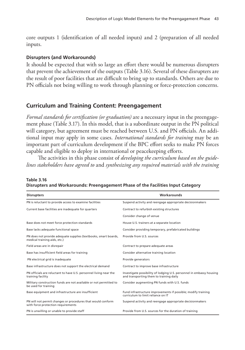core outputs 1 (identification of all needed inputs) and 2 (preparation of all needed inputs.

### **Disrupters (and Workarounds)**

It should be expected that with so large an effort there would be numerous disrupters that prevent the achievement of the outputs (Table 3.16). Several of these disrupters are the result of poor facilities that are difficult to bring up to standards. Others are due to PN officials not being willing to work through planning or force-protection concerns.

# **Curriculum and Training Content: Preengagement**

*Formal standards for certification (or graduation)* are a necessary input in the preengagement phase (Table 3.17). In this model, that is a subordinate output in the PN political will category, but agreement must be reached between U.S. and PN officials. An additional input may apply in some cases. *International standards for training* may be an important part of curriculum development if the BPC effort seeks to make PN forces capable and eligible to deploy in international or peacekeeping efforts.

The activities in this phase consist of *developing the curriculum based on the guidelines stakeholders have agreed to* and *synthesizing any required materials with the training* 

| <b>Disrupters</b>                                                                                 | Workarounds                                                                                                     |  |  |
|---------------------------------------------------------------------------------------------------|-----------------------------------------------------------------------------------------------------------------|--|--|
| PN is reluctant to provide access to examine facilities                                           | Suspend activity and reengage appropriate decisionmakers                                                        |  |  |
| Current base facilities are inadequate for quarters                                               | Contract to refurbish existing structures                                                                       |  |  |
|                                                                                                   | Consider change of venue                                                                                        |  |  |
| Base does not meet force protection standards                                                     | House U.S. trainers at a separate location                                                                      |  |  |
| Base lacks adequate functional space                                                              | Consider providing temporary, prefabricated buildings                                                           |  |  |
| PN does not provide adequate supplies (textbooks, smart boards,<br>medical training aids, etc.)   | Provide from U.S. sources                                                                                       |  |  |
| Field areas are in disrepair                                                                      | Contract to prepare adequate areas                                                                              |  |  |
| Base has insufficient field areas for training                                                    | Consider alternative training location                                                                          |  |  |
| PN electrical grid is inadequate                                                                  | Provide generators                                                                                              |  |  |
| Base infrastructure does not support the electrical demand                                        | Contract to improve base infrastructure                                                                         |  |  |
| PN officials are reluctant to have U.S. personnel living near the<br>training facility            | Investigate possibility of lodging U.S. personnel in embassy housing<br>and transporting them to training daily |  |  |
| Military construction funds are not available or not permitted to<br>be used for training         | Consider augmenting PN funds with U.S. funds                                                                    |  |  |
| Base equipment and infrastructure are insufficient                                                | Fund infrastructure improvements if possible; modify training<br>curriculum to limit reliance on IT             |  |  |
| PN will not permit changes or procedures that would conform<br>with force protection requirements | Suspend activity and reengage appropriate decisionmakers                                                        |  |  |
| PN is unwilling or unable to provide staff                                                        | Provide from U.S. sources for the duration of training                                                          |  |  |

**Table 3.16 Disrupters and Workarounds: Preengagement Phase of the Facilities Input Category**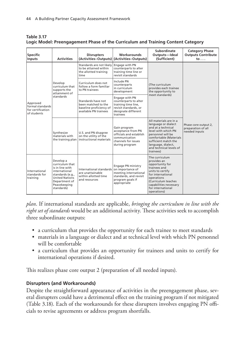| <b>Specific</b><br>Inputs                                        | <b>Activities</b>                                                                                                                                            | <b>Disrupters</b>                                                                                     | Workarounds<br>(Activities-Outputs) (Activities-Outputs)                                                                   | Subordinate<br>Outputs-Ideal<br>(Sufficient)                                                                                                                                                                                    | <b>Category Phase</b><br><b>Outputs Contribute</b><br>$\mathsf{to} \ldots$ |
|------------------------------------------------------------------|--------------------------------------------------------------------------------------------------------------------------------------------------------------|-------------------------------------------------------------------------------------------------------|----------------------------------------------------------------------------------------------------------------------------|---------------------------------------------------------------------------------------------------------------------------------------------------------------------------------------------------------------------------------|----------------------------------------------------------------------------|
| Approved<br>formal standards<br>for certification<br>of students | Develop<br>curriculum that<br>supports the<br>attainment of<br>standards                                                                                     | Standards are not likely<br>to be attained within<br>the allotted training<br>time                    | Engage with PN<br>counterparts to alter<br>training time line or<br>revisit standards                                      | (The curriculum<br>provides each trainee<br>the opportunity to<br>meet standards)                                                                                                                                               | Phase core output 2,<br>preparation of all<br>needed inputs                |
|                                                                  |                                                                                                                                                              | Curriculum does not<br>follow a form familiar<br>to PN trainees                                       | Include PN<br>counterparts<br>in curriculum<br>development                                                                 |                                                                                                                                                                                                                                 |                                                                            |
|                                                                  |                                                                                                                                                              | Standards have not<br>been matched to the<br>baseline proficiency of<br>available PN trainees         | Engage with PN<br>counterparts to alter<br>training time line,<br>revisit standards, or<br>designate different<br>trainees |                                                                                                                                                                                                                                 |                                                                            |
|                                                                  | Synthesize<br>materials with                                                                                                                                 | U.S. and PN disagree<br>on the utility of the<br>the training plan   instructional materials          | Gain program<br>acceptance from PN<br>officials and establish<br>communication<br>channels for issues<br>during program    | All materials are in a<br>language or dialect<br>and at a technical<br>level with which PN<br>personnel will be<br>comfortable (Materials<br>sufficient match the<br>language, dialect,<br>and technical levels of<br>trainees) |                                                                            |
| International<br>standards for<br>training                       | Develop a<br>curriculum that<br>is in line with<br>international<br>standards (e.g.,<br><b>United Nations</b><br>Department of<br>Peacekeeping<br>standards) | International standards on importance of<br>are unattainable<br>within allotted time<br>and resources | Engage PN ministry<br>meeting international<br>standards, and revisit<br>program goals if<br>appropriate                   | The curriculum<br>provides an<br>opportunity for<br>trainees and<br>units to certify<br>for international<br>operations<br>(Curriculum teaches<br>capabilities necessary<br>for international<br>operations)                    |                                                                            |

**Table 3.17 Logic Model: Preengagement Phase of the Curriculum and Training Content Category**

*plan*. If international standards are applicable, *bringing the curriculum in line with the right set of standards* would be an additional activity. These activities seek to accomplish three subordinate outputs:

- a curriculum that provides the opportunity for each trainee to meet standards
- materials in a language or dialect and at technical level with which PN personnel will be comfortable
- a curriculum that provides an opportunity for trainees and units to certify for international operations if desired.

This realizes phase core output 2 (preparation of all needed inputs).

# **Disrupters (and Workarounds)**

Despite the straightforward appearance of activities in the preengagement phase, several disrupters could have a detrimental effect on the training program if not mitigated (Table 3.18). Each of the workarounds for these disrupters involves engaging PN officials to revise agreements or address program shortfalls.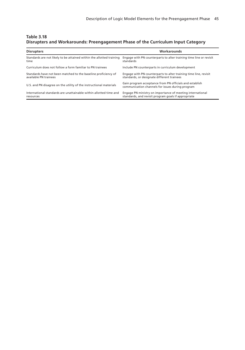#### **Table 3.18 Disrupters and Workarounds: Preengagement Phase of the Curriculum Input Category**

| <b>Disrupters</b>                                                    | Workarounds                                                                                                 |
|----------------------------------------------------------------------|-------------------------------------------------------------------------------------------------------------|
| Standards are not likely to be attained within the allotted training | Engage with PN counterparts to alter training time line or revisit                                          |
| time                                                                 | standards                                                                                                   |
| Curriculum does not follow a form familiar to PN trainees            | Include PN counterparts in curriculum development                                                           |
| Standards have not been matched to the baseline proficiency of       | Engage with PN counterparts to alter training time line, revisit                                            |
| available PN trainees                                                | standards, or designate different trainees                                                                  |
| U.S. and PN disagree on the utility of the instructional materials   | Gain program acceptance from PN officials and establish<br>communication channels for issues during program |
| International standards are unattainable within allotted time and    | Engage PN ministry on importance of meeting international                                                   |
| resources                                                            | standards, and revisit program goals if appropriate                                                         |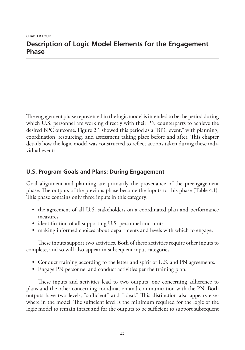The engagement phase represented in the logic model is intended to be the period during which U.S. personnel are working directly with their PN counterparts to achieve the desired BPC outcome. Figure 2.1 showed this period as a "BPC event," with planning, coordination, resourcing, and assessment taking place before and after. This chapter details how the logic model was constructed to reflect actions taken during these individual events.

# **U.S. Program Goals and Plans: During Engagement**

Goal alignment and planning are primarily the provenance of the preengagement phase. The outputs of the previous phase become the inputs to this phase (Table 4.1). This phase contains only three inputs in this category:

- the agreement of all U.S. stakeholders on a coordinated plan and performance measures
- identification of all supporting U.S. personnel and units
- making informed choices about departments and levels with which to engage.

These inputs support two activities. Both of these activities require other inputs to complete, and so will also appear in subsequent input categories:

- Conduct training according to the letter and spirit of U.S. and PN agreements.
- Engage PN personnel and conduct activities per the training plan.

These inputs and activities lead to two outputs, one concerning adherence to plans and the other concerning coordination and communication with the PN. Both outputs have two levels, "sufficient" and "ideal." This distinction also appears elsewhere in the model. The sufficient level is the minimum required for the logic of the logic model to remain intact and for the outputs to be sufficient to support subsequent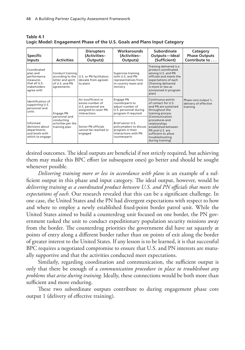| <b>Specific</b><br>Inputs                                                                         | <b>Activities</b>                                                                         | <b>Disrupters</b><br>(Activities-<br>Outputs)                                                        | <b>Workarounds</b><br>(Activities-<br>Outputs)                                                                  | Subordinate<br>Outputs-Ideal<br>(Sufficient)                                                                                                                                                          | Category<br><b>Phase Outputs</b><br>Contribute to         |
|---------------------------------------------------------------------------------------------------|-------------------------------------------------------------------------------------------|------------------------------------------------------------------------------------------------------|-----------------------------------------------------------------------------------------------------------------|-------------------------------------------------------------------------------------------------------------------------------------------------------------------------------------------------------|-----------------------------------------------------------|
| Coordinated<br>plan and<br>performance<br>measures<br>that all U.S.<br>stakeholders<br>agree with | Conduct training<br>according to the<br>letter and spirit<br>of U.S. and PN<br>agreements | U.S. or PN facilitators<br>deviate from agreed-<br>to plans                                          | Supervise training<br>with U.S. and PN<br>representatives from<br>in-country team and<br>ministry               | Training delivered is a<br>product coordinated<br>among U.S. and PN<br>officials and meets the<br>expectations of each<br>(Training delivered<br>is more or less as<br>envisioned in program<br>plan) |                                                           |
| Identification of<br>supporting U.S.<br>personnel and<br>units                                    | Engage PN<br>personnel and<br>conducting<br>activities per the<br>training plan           | An insufficient or<br>excess number of<br>U.S. personnel are<br>assigned to cover PN<br>interactions | Engage PN<br>counterparts to<br>adjust number of<br>U.S. personnel during<br>program if required                | Continuous points<br>of contact for U.S.<br>and PN are sustained<br>throughout the<br>training process                                                                                                | Phase core output 1,<br>delivery of effective<br>training |
| Informed<br>decisions about<br>departments<br>and levels with<br>which to engage                  |                                                                                           | Senior PN officials<br>cannot be reached or<br>engaged                                               | <b>Brief senior U.S.</b><br>policymakers to discuss<br>program in their<br>interactions with PN<br>counterparts | (Communication<br>procedures and<br>relationships<br>established between<br>PN and U.S. are<br>sufficient to allow<br>troubleshooting<br>during training)                                             |                                                           |

**Table 4.1 Logic Model: Engagement Phase of the U.S. Goals and Plans Input Category**

desired outcomes. The ideal outputs are beneficial if not strictly required, but achieving them may make this BPC effort (or subsequent ones) go better and should be sought whenever possible.

*Delivering training more or less in accordance with plans* is an example of a sufficient output in this phase and input category. The ideal output, however, would be *delivering training as a coordinated product between U.S. and PN officials that meets the expectations of each*. Our research revealed that this can be a significant challenge. In one case, the United States and the PN had divergent expectations with respect to how and where to employ a newly established fixed-point border patrol unit. While the United States aimed to build a counterdrug unit focused on one border, the PN government tasked the unit to conduct expeditionary population security missions away from the border. The counterdrug priorities the government did have sat squarely at points of entry along a different border rather than on points of exit along the border of greater interest to the United States. If any lesson is to be learned, it is that successful BPC requires a negotiated compromise to ensure that U.S. and PN interests are mutually supportive and that the activities conducted meet expectations.

Similarly, regarding coordination and communication, the sufficient output is only that there be enough of a *communication procedure in place to troubleshoot any problems that arise during training*. Ideally, these connections would be both more than sufficient and more enduring.

These two subordinate outputs contribute to during engagement phase core output 1 (delivery of effective training).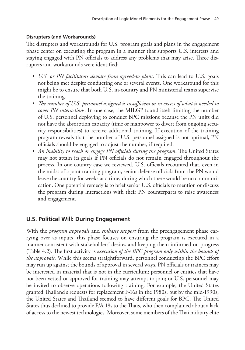### **Disrupters (and Workarounds)**

The disrupters and workarounds for U.S. program goals and plans in the engagement phase center on executing the program in a manner that supports U.S. interests and staying engaged with PN officials to address any problems that may arise. Three disrupters and workarounds were identified:

- *• U.S. or PN facilitators deviate from agreed-to plans*. This can lead to U.S. goals not being met despite conducting one or several events. One workaround for this might be to ensure that both U.S. in-country and PN ministerial teams supervise the training.
- *• The number of U.S. personnel assigned is insufficient or in excess of what is needed to cover PN interactions*. In one case, the MILGP found itself limiting the number of U.S. personnel deploying to conduct BPC missions because the PN units did not have the absorption capacity (time or manpower to divert from ongoing security responsibilities) to receive additional training. If execution of the training program reveals that the number of U.S. personnel assigned is not optimal, PN officials should be engaged to adjust the number, if required.
- *• An inability to reach or engage PN officials during the program*. The United States may not attain its goals if PN officials do not remain engaged throughout the process. In one country case we reviewed, U.S. officials recounted that, even in the midst of a joint training program, senior defense officials from the PN would leave the country for weeks at a time, during which there would be no communication. One potential remedy is to brief senior U.S. officials to mention or discuss the program during interactions with their PN counterparts to raise awareness and engagement.

# **U.S. Political Will: During Engagement**

With the *program approvals* and *embassy support* from the preengagement phase carrying over as inputs, this phase focuses on ensuring the program is executed in a manner consistent with stakeholders' desires and keeping them informed on progress (Table 4.2). The first activity is *execution of the BPC program only within the bounds of the approvals*. While this seems straightforward, personnel conducting the BPC effort may run up against the bounds of approval in several ways. PN officials or trainees may be interested in material that is not in the curriculum; personnel or entities that have not been vetted or approved for training may attempt to join; or U.S. personnel may be invited to observe operations following training. For example, the United States granted Thailand's requests for replacement F-16s in the 1980s, but by the mid-1990s, the United States and Thailand seemed to have different goals for BPC. The United States thus declined to provide F/A-18s to the Thais, who then complained about a lack of access to the newest technologies. Moreover, some members of the Thai military elite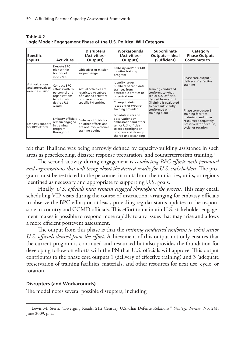| <b>Specific</b><br><b>Inputs</b>                      | <b>Activities</b>                                                                  | <b>Disrupters</b><br>(Activities-<br>Outputs)                                                      | <b>Workarounds</b><br>(Activities-<br>Outputs)                                                                                                                 | Subordinate<br>Outputs-Ideal<br>(Sufficient)                                                                                                                                 | Category<br><b>Phase Outputs</b><br>Contribute to                                                                     |
|-------------------------------------------------------|------------------------------------------------------------------------------------|----------------------------------------------------------------------------------------------------|----------------------------------------------------------------------------------------------------------------------------------------------------------------|------------------------------------------------------------------------------------------------------------------------------------------------------------------------------|-----------------------------------------------------------------------------------------------------------------------|
| Authorizations<br>and approvals to<br>execute mission | Execute BPC<br>plan within<br>bounds of<br>approvals                               | Objectives or mission<br>scope change                                                              | Embassy and/or CCMD<br>monitor training<br>program                                                                                                             | Training conducted<br>conforms to what<br>senior U.S. officials<br>desired from effort<br>(Training is evaluated<br>to have sufficiently<br>conformed with<br>training plan) | Phase core output 1,                                                                                                  |
|                                                       | Conduct BPC<br>efforts with PN<br>personnel and<br>organizations                   | Actual activities are<br>restricted to subset<br>of planned activities                             | Identify larger<br>numbers of candidate<br>trainees from<br>acceptable entities or<br>organizations                                                            |                                                                                                                                                                              | delivery of effective<br>training                                                                                     |
|                                                       | to bring about<br>desired U.S.<br>results                                          | or interactions with<br>specific PN entities                                                       | Change training<br>locations or types of<br>training provided                                                                                                  |                                                                                                                                                                              | Phase core output 3,                                                                                                  |
| Embassy support<br>for BPC efforts                    | <b>Embassy officials</b><br>remain engaged<br>in training<br>program<br>throughout | <b>Embassy officials focus</b><br>on other efforts and<br>are not involved once<br>training begins | Schedule visits and<br>observations by<br>ambassador and other<br>senior U.S. officials<br>to keep spotlight on<br>program and develop<br>shared understanding |                                                                                                                                                                              | training facilities,<br>materials, and other<br>resources adequately<br>preserved for next use,<br>cycle, or rotation |

**Table 4.2 Logic Model: Engagement Phase of the U.S. Political Will Category**

felt that Thailand was being narrowly defined by capacity-building assistance in such areas as peacekeeping, disaster response preparation, and counterterrorism training.1

The second activity during engagement is *conducting BPC efforts with personnel and organizations that will bring about the desired results for U.S. stakeholders*. The program must be restricted to the personnel in units from the ministries, units, or regions identified as necessary and appropriate to supporting U.S. goals.

Finally, *U.S. officials must remain engaged throughout the process*. This may entail scheduling VIP visits during the course of instruction; arranging for embassy officials to observe the BPC effort; or, at least, providing regular status updates to the responsible in-country and CCMD officials. This effort to maintain U.S. stakeholder engagement makes it possible to respond more rapidly to any issues that may arise and allows a more efficient postevent assessment.

The output from this phase is that the *training conducted conforms to what senior U.S. officials desired from the effort*. Achievement of this output not only ensures that the current program is continued and resourced but also provides the foundation for developing follow-on efforts with the PN that U.S. officials will approve. This output contributes to the phase core outputs 1 (delivery of effective training) and 3 (adequate preservation of training facilities, materials, and other resources for next use, cycle, or rotation.

### **Disrupters (and Workarounds)**

The model notes several possible disrupters, including

<sup>1</sup> Lewis M. Stern, "Diverging Roads: 21st Century U.S.-Thai Defense Relations," *Strategic Forum*, No. 241, June 2009, p. 2.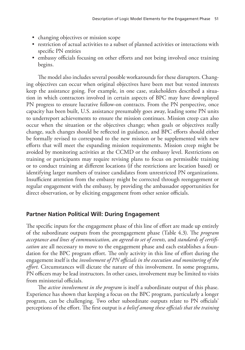- changing objectives or mission scope
- restriction of actual activities to a subset of planned activities or interactions with specific PN entities
- embassy officials focusing on other efforts and not being involved once training begins.

The model also includes several possible workarounds for these disrupters. Changing objectives can occur when original objectives have been met but vested interests keep the assistance going. For example, in one case, stakeholders described a situation in which contractors involved in certain aspects of BPC may have downplayed PN progress to ensure lucrative follow-on contracts. From the PN perspective, once capacity has been built, U.S. assistance presumably goes away, leading some PN units to underreport achievements to ensure the mission continues. Mission creep can also occur when the situation or the objectives change; when goals or objectives really change, such changes should be reflected in guidance, and BPC efforts should either be formally revised to correspond to the new mission or be supplemented with new efforts that will meet the expanding mission requirements. Mission creep might be avoided by monitoring activities at the CCMD or the embassy level. Restrictions on training or participants may require revising plans to focus on permissible training or to conduct training at different locations (if the restrictions are location based) or identifying larger numbers of trainee candidates from unrestricted PN organizations. Insufficient attention from the embassy might be corrected through reengagement or regular engagement with the embassy, by providing the ambassador opportunities for direct observation, or by eliciting engagement from other senior officials.

### **Partner Nation Political Will: During Engagement**

The specific inputs for the engagement phase of this line of effort are made up entirely of the subordinate outputs from the preengagement phase (Table 4.3). The *program acceptance and lines of communication, an agreed-to set of events,* and *standards of certification* are all necessary to move to the engagement phase and each establishes a foundation for the BPC program effort. The only activity in this line of effort during the engagement itself is the *involvement of PN officials in the execution and monitoring of the effort*. Circumstances will dictate the nature of this involvement. In some programs, PN officers may be lead instructors. In other cases, involvement may be limited to visits from ministerial officials.

The *active involvement in the program* is itself a subordinate output of this phase. Experience has shown that keeping a focus on the BPC program, particularly a longer program, can be challenging. Two other subordinate outputs relate to PN officials' perceptions of the effort. The first output is *a belief among these officials that the training*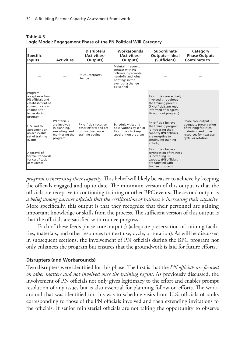| <b>Specific</b><br><b>Inputs</b>                                                                                                                                                                   | <b>Activities</b>                                                                           | <b>Disrupters</b><br>(Activities-<br>Outputs)                                          | <b>Workarounds</b><br>(Activities-<br>Outputs)                                                                                              | Subordinate<br>Outputs-Ideal<br>(Sufficient)                                                                                                                                                                                                                           | Category<br><b>Phase Outputs</b><br>Contribute to                                                                                                 |
|----------------------------------------------------------------------------------------------------------------------------------------------------------------------------------------------------|---------------------------------------------------------------------------------------------|----------------------------------------------------------------------------------------|---------------------------------------------------------------------------------------------------------------------------------------------|------------------------------------------------------------------------------------------------------------------------------------------------------------------------------------------------------------------------------------------------------------------------|---------------------------------------------------------------------------------------------------------------------------------------------------|
|                                                                                                                                                                                                    |                                                                                             | PN counterparts<br>change                                                              | Maintain frequent<br>contact with PN<br>officials to promote<br>handoffs and joint<br>briefings in the<br>event of a change in<br>personnel |                                                                                                                                                                                                                                                                        |                                                                                                                                                   |
| Program<br>acceptance from<br>PN officials and<br>establishment of<br>communication<br>channels for<br>issues during<br>program<br>U.S. and PN<br>agreement on<br>an achievable<br>set of training | PN officials<br>are involved<br>in planning,<br>executing, and<br>monitoring the<br>program | PN officials focus on<br>other efforts and are<br>not involved once<br>training begins | Schedule visits and<br>observations by senior<br>PN officials to keep<br>spotlight on program                                               | PN officials are actively<br>involved throughout<br>the training process<br>(PN officials are kept<br>informed of progress<br>throughout program)<br>PN officials believe<br>the training program<br>is increasing their<br>capacity (PN officials<br>are receptive to | Phase core output 3,<br>adequate preservation<br>of training facilities,<br>materials, and other<br>resources for next use,<br>cycle, or rotation |
| events<br>Approval of<br>formal standards<br>for certification<br>of students                                                                                                                      |                                                                                             |                                                                                        |                                                                                                                                             | continuing training<br>efforts)<br>PN officials believe<br>certification of trainees<br>is increasing PN<br>capacity (PN officials<br>are satisfied with<br>trainee progress)                                                                                          |                                                                                                                                                   |

**Table 4.3 Logic Model: Engagement Phase of the PN Political Will Category**

*program is increasing their capacity*. This belief will likely be easier to achieve by keeping the officials engaged and up to date. The minimum version of this output is that the officials are receptive to continuing training or other BPC events. The second output is *a belief among partner officials that the certification of trainees is increasing their capacity*. More specifically, this output is that they recognize that their personnel are gaining important knowledge or skills from the process. The sufficient version of this output is that the officials are satisfied with trainee progress.

Each of these feeds phase core output 3 (adequate preservation of training facilities, materials, and other resources for next use, cycle, or rotation). As will be discussed in subsequent sections, the involvement of PN officials during the BPC program not only enhances the program but ensures that the groundwork is laid for future efforts.

### **Disrupters (and Workarounds)**

Two disrupters were identified for this phase. The first is that the *PN officials are focused on other matters and not involved once the training begins*. As previously discussed, the involvement of PN officials not only gives legitimacy to the effort and enables prompt resolution of any issues but is also essential for planning follow-on efforts. The workaround that was identified for this was to schedule visits from U.S. officials of ranks corresponding to those of the PN officials involved and then extending invitations to the officials. If senior ministerial officials are not taking the opportunity to observe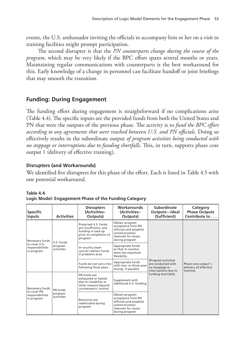events, the U.S. ambassador inviting the officials to accompany him or her on a visit to training facilities might prompt participation.

The second disrupter is that the *PN counterparts change during the course of the program*, which may be very likely if the BPC effort spans several months or years. Maintaining regular communications with counterparts is the best workaround for this. Early knowledge of a change in personnel can facilitate handoff or joint briefings that may smooth the transition.

# **Funding: During Engagement**

The funding effort during engagement is straightforward if no complications arise (Table 4.4). The specific inputs are the provided funds from both the United States and PN that were the outputs of the previous phase. The activity is to *fund the BPC effort according to any agreements that were reached between U.S. and PN officials*. Doing so effectively results in the subordinate output *of program activities being conducted with no stoppage or interruptions due to funding shortfalls*. This, in turn, supports phase core output 1 (delivery of effective training).

## **Disrupters (and Workarounds)**

We identified five disrupters for this phase of the effort. Each is listed in Table 4.5 with one potential workaround.

| <b>Specific</b><br><b>Inputs</b>                                   | <b>Activities</b>                                                                                                                                                                                    | <b>Disrupters</b><br>(Activities-<br>Outputs)                                                                             | <b>Workarounds</b><br>(Activities-<br>Outputs)                                                                            | Subordinate<br>Outputs-Ideal<br>(Sufficient)                                                               | Category<br><b>Phase Outputs</b><br>Contribute to         |
|--------------------------------------------------------------------|------------------------------------------------------------------------------------------------------------------------------------------------------------------------------------------------------|---------------------------------------------------------------------------------------------------------------------------|---------------------------------------------------------------------------------------------------------------------------|------------------------------------------------------------------------------------------------------------|-----------------------------------------------------------|
| Necessary funds<br>to cover U.S.<br>responsibilities<br>in program | U.S. funds<br>program<br>activities                                                                                                                                                                  | Projected U.S. funds<br>are insufficient, and<br>funding is used up<br>prior to completion of<br>program                  | Obtain program<br>acceptance from PN<br>officials and establish<br>communication<br>channels for issues<br>during program | (Program activities<br>are conducted with<br>no stoppage or<br>interruptions due to<br>funding shortfalls) | Phase core output 1,<br>delivery of effective<br>training |
|                                                                    |                                                                                                                                                                                                      | In-country team<br>cannot redirect funds<br>if problems arise                                                             | Appropriate funds<br>so that in-country<br>team has maximum<br>flexibility                                                |                                                                                                            |                                                           |
|                                                                    |                                                                                                                                                                                                      | Funds do not carry into<br>following fiscal years                                                                         | Appropriate funds<br>with two- or three-year<br>money, if possible                                                        |                                                                                                            |                                                           |
| Necessary funds<br>to cover PN<br>responsibilities<br>in program   | PN funds are<br>exhausted or halted<br>due to instability or<br>other reasons beyond<br>counterparts' control<br>PN funds<br>program<br>activities<br>Resources are<br>reallocated during<br>program |                                                                                                                           | Supplement with<br>additional U.S. funding                                                                                |                                                                                                            |                                                           |
|                                                                    |                                                                                                                                                                                                      | Obtain program<br>acceptance from PN<br>officials and establish<br>communication<br>channels for issues<br>during program |                                                                                                                           |                                                                                                            |                                                           |

### **Table 4.4**

| Logic Model: Engagement Phase of the Funding Category |  |  |  |  |  |  |  |
|-------------------------------------------------------|--|--|--|--|--|--|--|
|-------------------------------------------------------|--|--|--|--|--|--|--|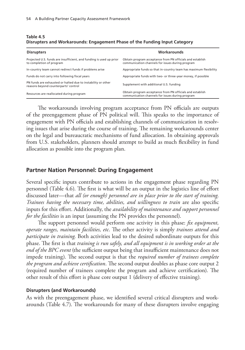| <b>Disrupters</b>                                                                                    | Workarounds                                                                                                   |
|------------------------------------------------------------------------------------------------------|---------------------------------------------------------------------------------------------------------------|
| Projected U.S. funds are insufficient, and funding is used up prior<br>to completion of program      | Obtain program acceptance from PN officials and establish<br>communication channels for issues during program |
| In-country team cannot redirect funds if problems arise                                              | Appropriate funds so that in-country team has maximum flexibility                                             |
| Funds do not carry into following fiscal years                                                       | Appropriate funds with two- or three-year money, if possible                                                  |
| PN funds are exhausted or halted due to instability or other<br>reasons beyond counterparts' control | Supplement with additional U.S. funding                                                                       |
| Resources are reallocated during program                                                             | Obtain program acceptance from PN officials and establish<br>communication channels for issues during program |

#### **Table 4.5 Disrupters and Workarounds: Engagement Phase of the Funding Input Category**

The workarounds involving program acceptance from PN officials are outputs of the preengagement phase of PN political will. This speaks to the importance of engagement with PN officials and establishing channels of communication in resolving issues that arise during the course of training. The remaining workarounds center on the legal and bureaucratic mechanisms of fund allocation. In obtaining approvals from U.S. stakeholders, planners should attempt to build as much flexibility in fund allocation as possible into the program plan.

#### **Partner Nation Personnel: During Engagement**

Several specific inputs contribute to actions in the engagement phase regarding PN personnel (Table 4.6). The first is what will be an output in the logistics line of effort discussed later—that *all (or enough) personnel are in place prior to the start of training*. *Trainees having the necessary time, abilities, and willingness to train* are also specific inputs for this effort. Additionally, the *availability of maintenance and support personnel for the facilities* is an input (assuming the PN provides the personnel).

The support personnel would perform one activity in this phase: *fix equipment, operate ranges, maintain facilities, etc*. The other activity is simply *trainees attend and participate in training*. Both activities lead to the desired subordinate outputs for this phase. The first is that *training is run safely, and all equipment is in working order at the end of the BPC event* (the sufficient output being that insufficient maintenance does not impede training). The second output is that the *required number of trainees complete the program and achieve certification*. The second output doubles as phase core output 2 (required number of trainees complete the program and achieve certification). The other result of this effort is phase core output 1 (delivery of effective training)*.*

#### **Disrupters (and Workarounds)**

As with the preengagement phase, we identified several critical disrupters and workarounds (Table 4.7). The workarounds for many of these disrupters involve engaging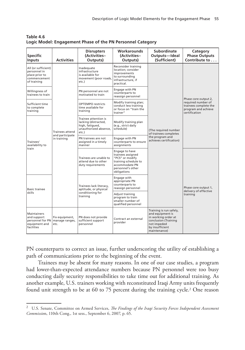| <b>Specific</b><br><b>Inputs</b>                                                     | <b>Activities</b>                                        | <b>Disrupters</b><br>(Activities-<br>Outputs)                                                     | Workarounds<br>(Activities-<br>Outputs)                                                                                              | <b>Subordinate</b><br>Outputs-Ideal<br>(Sufficient)                                                                                          | Category<br><b>Phase Outputs</b><br>Contribute to                                                           |
|--------------------------------------------------------------------------------------|----------------------------------------------------------|---------------------------------------------------------------------------------------------------|--------------------------------------------------------------------------------------------------------------------------------------|----------------------------------------------------------------------------------------------------------------------------------------------|-------------------------------------------------------------------------------------------------------------|
| All (or sufficient)<br>personnel in<br>place prior to<br>commencement<br>of training |                                                          | Inadequate<br>infrastructure<br>is available for<br>movement (poor roads,<br>etc.)                | Reconsider training<br>location: consider<br>improvements<br>to surrounding<br>infrastructure, if<br>practical.                      | (The required number<br>of trainees completes<br>the program and<br>achieves certification)                                                  |                                                                                                             |
| Willingness of<br>trainees to train                                                  |                                                          | PN personnel are not<br>motivated to train                                                        | Engage with PN<br>counterparts to<br>reassign personnel                                                                              |                                                                                                                                              |                                                                                                             |
| Sufficient time<br>to complete<br>training                                           |                                                          | <b>OPTEMPO</b> restricts<br>time available for<br>training                                        | Modify training plan;<br>conduct less training<br>or focus on "train the<br>trainer"                                                 |                                                                                                                                              | Phase core output 2,<br>required number of<br>trainees complete the<br>program and achieve<br>certification |
| Trainees'<br>availability to<br>train                                                | <b>Trainees attend</b><br>and participate<br>in training | Trainee attention is<br>lacking (distracted,<br>high, fatiqued,<br>unauthorized absence,<br>etc.) | Modify training plan<br>(e.g., strict daily<br>schedule)                                                                             |                                                                                                                                              |                                                                                                             |
|                                                                                      |                                                          | PN trainees are not<br>assigned in a timely<br>manner                                             | Engage with PN<br>counterparts to ensure<br>assignments                                                                              |                                                                                                                                              |                                                                                                             |
|                                                                                      |                                                          | Trainees are unable to<br>attend due to other<br>duty requirements                                | Engage to have<br>trainees assigned<br>"PCS" or modify<br>training schedule to<br>accommodate PN<br>personnel's other<br>obligations |                                                                                                                                              |                                                                                                             |
| <b>Basic trainee</b><br>skills                                                       |                                                          | Trainees lack literacy,<br>aptitude, or physical<br>conditioning for<br>training                  | Engage with<br>appropriate PN<br>counterparts to<br>reassign personnel                                                               |                                                                                                                                              | Phase core output 1,<br>delivery of effective<br>training                                                   |
|                                                                                      |                                                          |                                                                                                   | Adjust training<br>program to train<br>smaller number of<br>qualified personnel                                                      |                                                                                                                                              |                                                                                                             |
| Maintainers<br>and support<br>personnel for PN<br>equipment and<br>facilities        | Fix equipment,<br>manage ranges,<br>etc.                 | PN does not provide<br>sufficient support<br>personnel                                            | Contract an external<br>provider                                                                                                     | Training is run safely,<br>and equipment is<br>in working order at<br>conclusion (Training<br>not impeded<br>by insufficient<br>maintenance) |                                                                                                             |

**Table 4.6 Logic Model: Engagement Phase of the PN Personnel Category**

PN counterparts to correct an issue, further underscoring the utility of establishing a path of communications prior to the beginning of the event.

Trainees may be absent for many reasons. In one of our case studies, a program had lower-than-expected attendance numbers because PN personnel were too busy conducting daily security responsibilities to take time out for additional training. As another example, U.S. trainers working with reconstituted Iraqi Army units frequently found unit strength to be at 60 to 75 percent during the training cycle.2 One reason

<sup>2</sup> U.S. Senate, Committee on Armed Services, *The Findings of the Iraqi Security Forces Independent Assessment Commissio*n, 110th Cong., 1st sess., September 6, 2007, p. 65.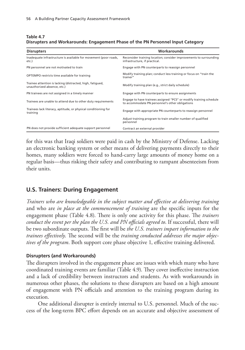| Table 4.7                                                                       |  |
|---------------------------------------------------------------------------------|--|
| Disrupters and Workarounds: Engagement Phase of the PN Personnel Input Category |  |

| <b>Disrupters</b>                                                                        | Workarounds                                                                                                           |  |  |
|------------------------------------------------------------------------------------------|-----------------------------------------------------------------------------------------------------------------------|--|--|
| Inadequate infrastructure is available for movement (poor roads,<br>etc.)                | Reconsider training location; consider improvements to surrounding<br>infrastructure, if practical.                   |  |  |
| PN personnel are not motivated to train                                                  | Engage with PN counterparts to reassign personnel                                                                     |  |  |
| OPTEMPO restricts time available for training                                            | Modify training plan; conduct less training or focus on "train the<br>trainer"                                        |  |  |
| Trainee attention is lacking (distracted, high, fatiqued,<br>unauthorized absence, etc.) | Modify training plan (e.g., strict daily schedule)                                                                    |  |  |
| PN trainees are not assigned in a timely manner                                          | Engage with PN counterparts to ensure assignments                                                                     |  |  |
| Trainees are unable to attend due to other duty requirements                             | Engage to have trainees assigned "PCS" or modify training schedule<br>to accommodate PN personnel's other obligations |  |  |
| Trainees lack literacy, aptitude, or physical conditioning for<br>training               | Engage with appropriate PN counterparts to reassign personnel                                                         |  |  |
|                                                                                          | Adjust training program to train smaller number of qualified<br>personnel                                             |  |  |
| PN does not provide sufficient adequate support personnel                                | Contract an external provider                                                                                         |  |  |

for this was that Iraqi soldiers were paid in cash by the Ministry of Defense. Lacking an electronic banking system or other means of delivering payments directly to their homes, many soldiers were forced to hand-carry large amounts of money home on a regular basis—thus risking their safety and contributing to rampant absenteeism from their units.

### **U.S. Trainers: During Engagement**

*Trainers who are knowledgeable in the subject matter and effective at delivering training* and who are *in place at the commencement of training* are the specific inputs for the engagement phase (Table 4.8). There is only one activity for this phase. The *trainers conduct the event per the plan the U.S. and PN officials agreed to*. If successful, there will be two subordinate outputs. The first will be *the U.S. trainers impart information to the trainees effectively*. The second will be the *training conducted addresses the major objectives of the program*. Both support core phase objective 1, effective training delivered.

#### **Disrupters (and Workarounds)**

The disrupters involved in the engagement phase are issues with which many who have coordinated training events are familiar (Table 4.9). They cover ineffective instruction and a lack of credibility between instructors and students. As with workarounds in numerous other phases, the solutions to these disrupters are based on a high amount of engagement with PN officials and attention to the training program during its execution.

One additional disrupter is entirely internal to U.S. personnel. Much of the success of the long-term BPC effort depends on an accurate and objective assessment of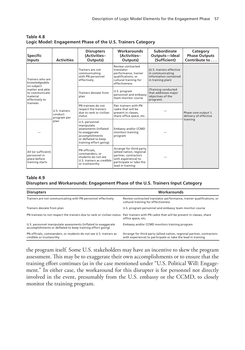| <b>Specific</b><br>Inputs                                                                                                      | <b>Activities</b>                               | <b>Disrupters</b><br>(Activities-<br>Outputs)                                                                                              | <b>Workarounds</b><br>(Activities-<br>Outputs)                                                                                                    | Subordinate<br>Outputs-Ideal<br>(Sufficient)                                               | Category<br><b>Phase Outputs</b><br>Contribute to |
|--------------------------------------------------------------------------------------------------------------------------------|-------------------------------------------------|--------------------------------------------------------------------------------------------------------------------------------------------|---------------------------------------------------------------------------------------------------------------------------------------------------|--------------------------------------------------------------------------------------------|---------------------------------------------------|
| Trainers who are<br>knowledgeable<br>on subject<br>matter and able<br>to communicate<br>material<br>effectively to<br>trainees |                                                 | Trainers are not<br>communicating<br>with PN personnel<br>effectively                                                                      | Review contracted<br>translator<br>performance, trainer<br>qualifications, or<br>cultural training for<br>effectiveness                           | (U.S. trainers effective<br>in communicating<br>information contained<br>in training plan) |                                                   |
|                                                                                                                                | U.S. trainers<br>conduct<br>program per<br>plan | Trainers deviate from<br>plan                                                                                                              | U.S. program<br>personnel and embassy<br>team monitor course                                                                                      | (Training conducted<br>that addresses major<br>objectives of the<br>program)               | Phase core output 1,<br>delivery of effective     |
|                                                                                                                                |                                                 | PN trainees do not<br>respect the trainers<br>due to rank or civilian<br>status                                                            | Pair trainers with PN<br>cadre that will be<br>present in classes.<br>share office space, etc.                                                    |                                                                                            |                                                   |
|                                                                                                                                |                                                 | U.S. personnel<br>manipulate<br>assessments (inflated<br>to exaggerate<br>accomplishments<br>or deflated to keep<br>training effort going) | Embassy and/or CCMD<br>monitors training<br>program                                                                                               |                                                                                            | training                                          |
| All (or sufficient)<br>personnel in<br>place before<br>training starts                                                         |                                                 | PN officials.<br>commanders, or<br>students do not see<br>U.S. trainers as credible<br>or trustworthy                                      | Arrange for third party<br>(allied nation, regional<br>partner, contractors<br>with experience) to<br>participate or take the<br>lead in training |                                                                                            |                                                   |

**Table 4.8 Logic Model: Engagement Phase of the U.S. Trainers Category**

#### **Table 4.9**

#### **Disrupters and Workarounds: Engagement Phase of the U.S. Trainers Input Category**

| <b>Disrupters</b>                                                                                                                         | <b>Workarounds</b>                                                                                                                    |
|-------------------------------------------------------------------------------------------------------------------------------------------|---------------------------------------------------------------------------------------------------------------------------------------|
| Trainers are not communicating with PN personnel effectively                                                                              | Review contracted translator performance, trainer qualifications, or<br>cultural training for effectiveness                           |
| Trainers deviate from plan                                                                                                                | U.S. program personnel and embassy team monitor course                                                                                |
| PN trainees to not respect the trainers due to rank or civilian status Pair trainers with PN cadre that will be present in classes, share | office space, etc.                                                                                                                    |
| U.S. personnel manipulate assessments (inflated to exaggerate<br>accomplishments or deflated to keep training effort going)               | Embassy and/or CCMD monitors training program                                                                                         |
| PN officials, commanders, or students do not see U.S. trainers as<br>credible or trustworthy                                              | Arrange for third party (allied nation, regional partner, contractors<br>with experience) to participate or take the lead in training |

the program itself. Some U.S. stakeholders may have an incentive to skew the program assessment. This may be to exaggerate their own accomplishments or to ensure that the training effort continues (as in the case mentioned under "U.S. Political Will: Engagement." In either case, the workaround for this disrupter is for personnel not directly involved in the event, presumably from the U.S. embassy or the CCMD, to closely monitor the training program.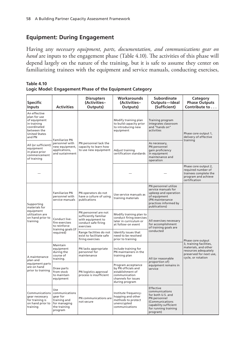## **Equipment: During Engagement**

Having any *necessary equipment, parts, documentation, and communications gear on hand* are inputs to the engagement phase (Table 4.10). The activities of this phase will depend largely on the nature of the training, but it is safe to assume they center on familiarizing trainees with the equipment and service manuals, conducting exercises,

| Table 4.10                                              |  |
|---------------------------------------------------------|--|
| Logic Model: Engagement Phase of the Equipment Category |  |

| <b>Specific</b><br><b>Inputs</b>                                                                                            | <b>Activities</b>                                                                             | <b>Disrupters</b><br>(Activities-<br>Outputs)                                                          | Workarounds<br>(Activities-<br>Outputs)                                                                                 | <b>Subordinate</b><br>Outputs-Ideal<br>(Sufficient)                                                                                              | Category<br><b>Phase Outputs</b><br>Contribute to                                                                                             |
|-----------------------------------------------------------------------------------------------------------------------------|-----------------------------------------------------------------------------------------------|--------------------------------------------------------------------------------------------------------|-------------------------------------------------------------------------------------------------------------------------|--------------------------------------------------------------------------------------------------------------------------------------------------|-----------------------------------------------------------------------------------------------------------------------------------------------|
| An effective<br>plan for use<br>of equipment<br>in training<br>coordinated<br>between the<br><b>United States</b><br>and PN | <b>Familiarize PN</b><br>personnel with<br>new equipment,<br>applications,<br>and sustainment |                                                                                                        | Modify training plan<br>to build capacity prior<br>to introducing new<br>equipment                                      | Training program<br>integrates classroom<br>and "hands on"<br>activities                                                                         | Phase core output 1,<br>delivery of effective<br>training                                                                                     |
| All (or sufficient)<br>equipment<br>in place prior<br>commencement<br>of training                                           |                                                                                               | PN personnel lack the<br>capacity to learn how<br>to use new equipment                                 | Adjust training<br>certification standards                                                                              | As necessary,<br>PN personnel<br>gain proficiency<br>in equipment<br>maintenance and<br>operation                                                |                                                                                                                                               |
|                                                                                                                             |                                                                                               |                                                                                                        |                                                                                                                         |                                                                                                                                                  | Phase core output 2,<br>required number of<br>trainees complete the<br>program and achieve<br>certification                                   |
| Supporting<br>materials for<br>equipment<br>utilization are<br>on hand prior to<br>training                                 | <b>Familiarize PN</b><br>personnel with<br>service manuals                                    | PN operators do not<br>have a culture of using<br>publications                                         | Use service manuals as<br>training materials                                                                            | PN personnel utilize<br>service manuals for<br>upkeep and operation<br>of equipment<br>(PN maintenance<br>practices informed by<br>publications) | Phase core output<br>3, training facilities,<br>materials, and other<br>resources adequately<br>preserved for next use,<br>cycle, or rotation |
|                                                                                                                             | Conduct live-<br>fire exercises<br>to reinforce<br>training goals (if<br>required)            | PN personnel are not<br>sufficiently familiar<br>with equipment to<br>conduct safe firing<br>exercises | Modify training plan to<br>conduct firing exercises<br>later in curriculum or<br>at follow-on event                     | All exercises necessary<br>for accomplishment<br>of training goals are<br>conducted                                                              |                                                                                                                                               |
|                                                                                                                             |                                                                                               | Range facilities do not<br>exist to facilitate safe<br>firing exercises                                | Identify issues that<br>need to be resolved<br>prior to training                                                        |                                                                                                                                                  |                                                                                                                                               |
| A maintenance<br>plan and<br>equipment parts<br>are on hand<br>prior to training                                            | Maintain<br>equipment<br>during the<br>course of<br>training.                                 | PN lacks appropriate<br>personnel for<br>maintenance                                                   | Include training for<br>PN maintainers in the<br>training plan                                                          | All (or reasonable                                                                                                                               |                                                                                                                                               |
|                                                                                                                             | Draw parts<br>from stock<br>to maintain<br>equipment                                          | PN logistics approval<br>process is insufficient                                                       | Program acceptance<br>by PN officials and<br>establishment of<br>communication<br>channels for issues<br>during program | proportion of)<br>equipment remains in<br>service                                                                                                |                                                                                                                                               |
| Communications<br>gear necessary<br>for training is<br>on hand prior to<br>training                                         | Use<br>communications<br>gear for<br>training and<br>for managing<br>the training<br>program  | PN communications are<br>not secure                                                                    | Institute frequency-<br>hopping and other<br>methods to protect<br>unencrypted<br>communications                        | Effective<br>communications<br>for both U.S. and<br>PN personnel<br>(Communications<br>capability sufficient<br>for running training<br>program) |                                                                                                                                               |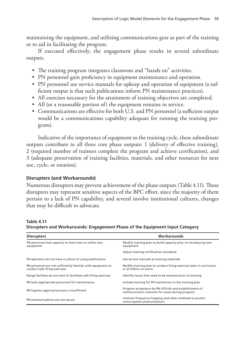maintaining the equipment, and utilizing communications gear as part of the training or to aid in facilitating the program.

If executed effectively, the engagement phase results in several subordinate outputs.

- The training program integrates classroom and "hands on" activities.
- PN personnel gain proficiency in equipment maintenance and operation.
- PN personnel use service manuals for upkeep and operation of equipment (a sufficient output is that such publications inform PN maintenance practices).
- All exercises necessary for the attainment of training objectives are completed.
- All (or a reasonable portion of) the equipment remains in service.
- Communications are effective for both U.S. and PN personnel (a sufficient output would be a communications capability adequate for running the training program).

Indicative of the importance of equipment to the training cycle, these subordinate outputs contribute to all three core phase outputs: 1 (delivery of effective training)*,*  2 (required number of trainees complete the program and achieve certification), and 3 (adequate preservation of training facilities, materials, and other resources for next use, cycle, or rotation).

### **Disrupters (and Workarounds)**

Numerous disrupters may prevent achievement of the phase outputs (Table 4.11). These disrupters may represent sensitive aspects of the BPC effort, since the majority of them pertain to a lack of PN capability, and several involve institutional cultures, changes that may be difficult to advocate.

#### **Table 4.11**

**Disrupters and Workarounds: Engagement Phase of the Equipment Input Category**

| <b>Disrupters</b>                                                                             | Workarounds                                                                                                 |
|-----------------------------------------------------------------------------------------------|-------------------------------------------------------------------------------------------------------------|
| PN personnel lack capacity to learn how to utilize new<br>equipment                           | Modify training plan to build capacity prior to introducing new<br>equipment                                |
|                                                                                               | Adjust training certification standards                                                                     |
| PN operators do not have a culture of using publications                                      | Use service manuals as training materials                                                                   |
| PN personnel are not sufficiently familiar with equipment to<br>conduct safe firing exercises | Modify training plan to conduct firing exercises later in curriculum<br>or at follow-on event               |
| Range facilities do not exist to facilitate safe firing exercises                             | Identify issues that need to be resolved prior to training                                                  |
| PN lacks appropriate personnel for maintenance                                                | Include training for PN maintainers in the training plan                                                    |
| PN logistics approval process is insufficient                                                 | Program acceptance by PN officials and establishment of<br>communication channels for issues during program |
| PN communications are not secure                                                              | Institute frequency-hopping and other methods to protect<br>unencrypted communications                      |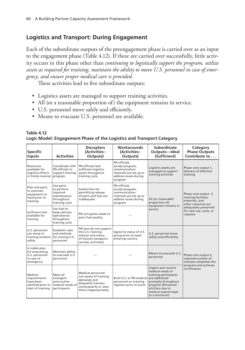# **Logistics and Transport: During Engagement**

Each of the subordinate outputs of the preengagement phase is carried over as an input to the engagement phase (Table 4.12). If these are carried over successfully, little activity occurs in this phase other than *continuing to logistically support the program, utilize assets as required for training, maintain the ability to move U.S. personnel in case of emergency, and ensure proper medical care is provided*.

These activities lead to five subordinate outputs:

- Logistics assets are managed to support training activities.
- All (or a reasonable proportion of) the equipment remains in service.
- U.S. personnel move safely and efficiently.
- Means to evacuate U.S. personnel are available.

| <b>Specific</b><br><b>Inputs</b>                                                | <b>Activities</b>                                                                  | <b>Disrupters</b><br>(Activities-<br>Outputs)                                                                                      | Workarounds<br>(Activities-<br>Outputs)                                                                        | Subordinate<br>Outputs-Ideal<br>(Sufficient)                                                                                                                                               | Category<br><b>Phase Outputs</b><br>Contribute to                                     |  |
|---------------------------------------------------------------------------------|------------------------------------------------------------------------------------|------------------------------------------------------------------------------------------------------------------------------------|----------------------------------------------------------------------------------------------------------------|--------------------------------------------------------------------------------------------------------------------------------------------------------------------------------------------|---------------------------------------------------------------------------------------|--|
| Resources<br>available for<br>logistics efforts<br>in timely manner             | Coordinate with<br>PN officials to<br>support training<br>program                  | PN officials lack<br>sufficient logistics<br>assets throughout<br>training cycle                                                   | PN officials<br>accept program;<br>communication<br>channels are set up to<br>address issues during<br>program | Logistics assets are<br>managed to support<br>training activities                                                                                                                          | Phase core output 1,<br>delivery of effective<br>training                             |  |
| Plan and parts<br>to maintain<br>equipment on<br>hand prior to<br>training      | Use parts<br>to perform<br>required<br>maintenance<br>throughout<br>training cycle | Authorities for<br>permitting release<br>of parts and fuel are<br>inadequate                                                       | PN officials<br>accept program;<br>communication<br>channels are set up to<br>address issues during<br>program | All (or reasonable<br>proportion of)                                                                                                                                                       | Phase core output 3,<br>training facilities,<br>materials, and<br>other resources are |  |
| Sufficient fuel<br>available for<br>training                                    | Use fuel to<br>keep vehicles<br>operational<br>throughout<br>training cycle        | PN corruption leads to<br>poor fuel quality                                                                                        |                                                                                                                | equipment remains in<br>service                                                                                                                                                            | adequately preserved<br>for next use, cycle, or<br>rotation                           |  |
| U.S. personnel<br>can move to<br>training location<br>safely                    | Establish rules<br>and methods<br>for moving U.S.<br>personnel                     | PN laws do not support<br>the U.S. training<br>mission and status<br>of trainers (weapons<br>carried, activities)                  | Agree to status of U.S.<br>group prior to team<br>entering country                                             | U.S. personnel move<br>safely and efficiently                                                                                                                                              |                                                                                       |  |
| A viable plan<br>for evacuating<br>U.S. personnel<br>in case of<br>emergency    | Maintain ability<br>to evacuate U.S.<br>personnel                                  |                                                                                                                                    |                                                                                                                | Means to evacuate U.S.<br>personnel                                                                                                                                                        | Phase core output 2,<br>required number of<br>trainees completes the                  |  |
| Medical<br>requirements<br>have been<br>satisfied prior to<br>start of training | Meet all<br>emergent<br>and routine<br>medical needs of<br>participants            | Medical personnel<br>not aware of training<br>demands and<br>disqualify trainees<br>unnecessarily or clear<br>them inappropriately | Brief U.S. or PN medical<br>personnel on training<br>regimen prior to event                                    | Urgent and routine<br>medical needs of<br>training participants<br>are addressed<br>promptly throughout<br>program (Personnel<br>attrition due to<br>medical reasons kept<br>to a minimum) | program and achieves<br>certification                                                 |  |

**Table 4.12 Logic Model: Engagement Phase of the Logistics and Transport Category**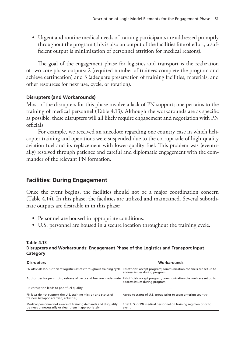• Urgent and routine medical needs of training participants are addressed promptly throughout the program (this is also an output of the facilities line of effort; a sufficient output is minimization of personnel attrition for medical reasons).

The goal of the engagement phase for logistics and transport is the realization of two core phase outputs: 2 (required number of trainees complete the program and achieve certification) and 3 (adequate preservation of training facilities, materials, and other resources for next use, cycle, or rotation).

### **Disrupters (and Workarounds)**

Most of the disrupters for this phase involve a lack of PN support; one pertains to the training of medical personnel (Table 4.13). Although the workarounds are as specific as possible, these disrupters will all likely require engagement and negotiation with PN officials.

For example, we received an anecdote regarding one country case in which helicopter training and operations were suspended due to the corrupt sale of high-quality aviation fuel and its replacement with lower-quality fuel. This problem was (eventually) resolved through patience and careful and diplomatic engagement with the commander of the relevant PN formation.

# **Facilities: During Engagement**

Once the event begins, the facilities should not be a major coordination concern (Table 4.14). In this phase, the facilities are utilized and maintained. Several subordinate outputs are desirable in in this phase:

- Personnel are housed in appropriate conditions.
- U.S. personnel are housed in a secure location throughout the training cycle.

#### **Table 4.13 Disrupters and Workarounds: Engagement Phase of the Logistics and Transport Input Category**

| <b>Disrupters</b>                                                                                                                         | Workarounds                                                              |
|-------------------------------------------------------------------------------------------------------------------------------------------|--------------------------------------------------------------------------|
| PN officials lack sufficient logistics assets throughout training cycle PN officials accept program; communication channels are set up to | address issues during program                                            |
| Authorities for permitting release of parts and fuel are inadequate PN officials accept program; communication channels are set up to     | address issues during program                                            |
| PN corruption leads to poor fuel quality                                                                                                  |                                                                          |
| PN laws do not support the U.S. training mission and status of<br>trainers (weapons carried, activities)                                  | Agree to status of U.S. group prior to team entering country             |
| Medical personnel not aware of training demands and disqualify<br>trainees unnecessarily or clear them inappropriately                    | Brief U.S. or PN medical personnel on training regimen prior to<br>event |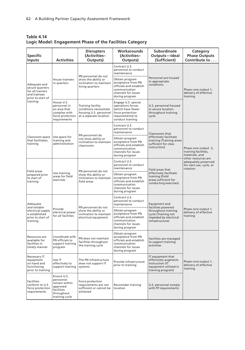| Table 4.14                                               |  |
|----------------------------------------------------------|--|
| Logic Model: Engagement Phase of the Facilities Category |  |

| <b>Specific</b><br><b>Inputs</b>                                                         | <b>Activities</b>                                                                                   | <b>Disrupters</b><br>(Activities-<br>Outputs)                                                   | Workarounds<br>(Activities-<br>Outputs)                                                                                   | Subordinate<br>Outputs-Ideal<br>(Sufficient)                                                                   | Category<br><b>Phase Outputs</b><br>Contribute to                                                                                                    |  |
|------------------------------------------------------------------------------------------|-----------------------------------------------------------------------------------------------------|-------------------------------------------------------------------------------------------------|---------------------------------------------------------------------------------------------------------------------------|----------------------------------------------------------------------------------------------------------------|------------------------------------------------------------------------------------------------------------------------------------------------------|--|
|                                                                                          |                                                                                                     |                                                                                                 | Contract U.S.<br>personnel to conduct<br>maintenance                                                                      |                                                                                                                |                                                                                                                                                      |  |
| Adequate and<br>secure quarters<br>for all trainers<br>and trainees<br>prior to start of | House trainees<br>in quarters                                                                       | PN personnel do not<br>show the ability or<br>inclination to maintain<br>living quarters        | Obtain program<br>acceptance from PN<br>officials and establish<br>communication<br>channels for issues<br>during program | Personnel are housed<br>in appropriate<br>conditions                                                           | Phase core output 1,<br>delivery of effective<br>training                                                                                            |  |
| training                                                                                 | House U.S.<br>personnel in<br>an area that<br>complies with<br>force protection<br>requirements     | Training facility<br>conditions necessitate<br>housing U.S. personnel<br>at a separate location | Engage U.S. special<br>operations forces<br>(which have fewer<br>force protection<br>requirements) to<br>conduct training | U.S. personnel housed<br>in secure location<br>throughout training<br>cycle                                    |                                                                                                                                                      |  |
|                                                                                          |                                                                                                     | PN personnel do                                                                                 | Contract U.S.<br>personnel to conduct<br>maintenance                                                                      | Classrooms that                                                                                                |                                                                                                                                                      |  |
| Classroom space<br>that facilitates<br>training                                          | Use space for<br>training and<br>administration                                                     | not show ability or<br>inclination to maintain<br>classrooms                                    | Obtain program<br>acceptance from PN<br>officials and establish<br>communication<br>channels for issues<br>during program | effectively facilitate<br>training (Training areas<br>sufficient for class<br>instruction)                     | Phase core output 3,<br>training facilities,<br>materials, and<br>other resources are<br>adequately preserved<br>for next use, cycle, or<br>rotation |  |
|                                                                                          | Use training<br>areas for field<br>exercises                                                        |                                                                                                 | Contract U.S.<br>personnel to conduct<br>maintenance                                                                      | Field areas that<br>effectively facilitate<br>training (Field<br>areas sufficient for<br>conducting exercises) |                                                                                                                                                      |  |
| <b>Field areas</b><br>prepared prior<br>to start of<br>training                          |                                                                                                     | PN personnel do not<br>show the ability or<br>inclination to maintain<br>field areas            | Obtain program<br>acceptance from PN<br>officials and establish<br>communication<br>channels for issues<br>during program |                                                                                                                |                                                                                                                                                      |  |
| Adequate<br>and reliable                                                                 |                                                                                                     | PN personnel do not                                                                             | Contract U.S.<br>personnel to conduct<br>maintenance                                                                      | Equipment and<br>facilities powered                                                                            | Phase core output 1,<br>delivery of effective<br>training                                                                                            |  |
| electrical supply<br>is established<br>prior to start of<br>training                     | Provide<br>electrical power<br>for all facilities                                                   | show the ability or<br>inclination to maintain<br>electrical equipment                          | Obtain program<br>acceptance from PN<br>officials and establish<br>communication<br>channels for issues<br>during program | throughout training<br>cycle (Training not<br>impeded by electrical<br>infrastructure)                         |                                                                                                                                                      |  |
| Resources are<br>available for<br>facilities in<br>timely manner                         | Coordinate with<br>PN officials to<br>support training<br>program                                   | PN does not maintain<br>facilities throughout<br>the training cycle                             | Obtain program<br>acceptance from PN<br>officials and establish<br>communication<br>channels for issues<br>during program | Facilities are managed<br>to support training<br>activities                                                    |                                                                                                                                                      |  |
| Necessary IT<br>equipment<br>on hand and<br>functioning<br>prior to training             | Use IT<br>effectively to<br>support training                                                        | The PN infrastructure<br>does not support IT<br>systems                                         | Provide infrastructure<br>prior to training                                                                               | IT equipment that<br>effectively augments<br>instruction (IT<br>equipment utilized in<br>training program)     | Phase core output 1,<br>delivery of effective<br>training                                                                                            |  |
| <b>Facilities</b><br>conform to U.S.<br>force protection<br>requirements                 | Ensure U.S.<br>personnel<br>remain within<br>approved<br>facilities<br>throughout<br>training cycle | Force protection<br>requirements are not<br>sufficient or cannot be<br>achieved                 | Reconsider training<br>location                                                                                           | U.S. personnel comply<br>with FP requirements                                                                  |                                                                                                                                                      |  |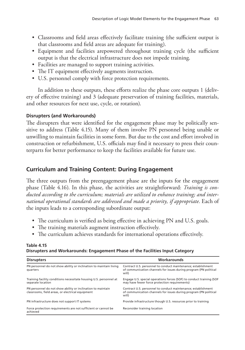- Classrooms and field areas effectively facilitate training (the sufficient output is that classrooms and field areas are adequate for training).
- Equipment and facilities arepowered throughout training cycle (the sufficient output is that the electrical infrastructure does not impede training.
- Facilities are managed to support training activities.
- The IT equipment effectively augments instruction.
- U.S. personnel comply with force protection requirements.

In addition to these outputs, these efforts realize the phase core outputs 1 (delivery of effective training) and 3 (adequate preservation of training facilities, materials, and other resources for next use, cycle, or rotation).

### **Disrupters (and Workarounds)**

The disrupters that were identified for the engagement phase may be politically sensitive to address (Table 4.15). Many of them involve PN personnel being unable or unwilling to maintain facilities in some form. But due to the cost and effort involved in construction or refurbishment, U.S. officials may find it necessary to press their counterparts for better performance to keep the facilities available for future use.

# **Curriculum and Training Content: During Engagement**

The three outputs from the preengagement phase are the inputs for the engagement phase (Table 4.16). In this phase, the activities are straightforward: *Training is conducted according to the curriculum; materials are utilized to enhance training; and international operational standards are addressed and made a priority, if appropriate*. Each of the inputs leads to a corresponding subordinate output:

- The curriculum is verified as being effective in achieving PN and U.S. goals.
- The training materials augment instruction effectively.
- The curriculum achieves standards for international operations effectively.

#### **Table 4.15 Disrupters and Workarounds: Engagement Phase of the Facilities Input Category**

| <b>Disrupters</b>                                                                                               | Workarounds                                                                                                                                 |
|-----------------------------------------------------------------------------------------------------------------|---------------------------------------------------------------------------------------------------------------------------------------------|
| PN personnel do not show ability or inclination to maintain living<br>quarters                                  | Contract U.S. personnel to conduct maintenance; establishment<br>of communication channels for issues during program (PN political<br>will) |
| Training facility conditions necessitate housing U.S. personnel at<br>separate location                         | Engage U.S. special operations forces (SOF) to conduct training (SOF<br>may have fewer force protection requirements)                       |
| PN personnel do not show ability or inclination to maintain<br>classrooms, field areas, or electrical equipment | Contract U.S. personnel to conduct maintenance; establishment<br>of communication channels for issues during program (PN political<br>will) |
| PN infrastructure does not support IT systems                                                                   | Provide infrastructure though U.S. resources prior to training                                                                              |
| Force protection requirements are not sufficient or cannot be<br>achieved                                       | Reconsider training location                                                                                                                |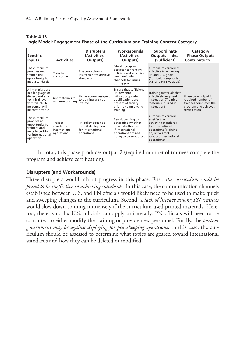| <b>Specific</b><br><b>Inputs</b>                                                                                                  | <b>Activities</b>                                        | <b>Disrupters</b><br>(Activities-<br>Outputs)                              | <b>Workarounds</b><br>(Activities-<br>Outputs)                                                                                             | Subordinate<br>Outputs-Ideal<br>(Sufficient)                                                                                                                         | Category<br><b>Phase Outputs</b><br>Contribute to                                                             |
|-----------------------------------------------------------------------------------------------------------------------------------|----------------------------------------------------------|----------------------------------------------------------------------------|--------------------------------------------------------------------------------------------------------------------------------------------|----------------------------------------------------------------------------------------------------------------------------------------------------------------------|---------------------------------------------------------------------------------------------------------------|
| The curriculum<br>provides each<br>trainee the<br>opportunity to<br>meet standards                                                | Train to<br>curriculum                                   | The curriculum is<br>insufficient to achieve<br>standards                  | Obtain program<br>acceptance from PN<br>officials and establish<br>communication<br>channels for issues<br>during program                  | Curriculum verified as<br>effective in achieving<br>PN and U.S. goals<br>(Curriculum supports<br>U.S. and PN BPC goals)                                              |                                                                                                               |
| All materials are<br>in a language or<br>dialect and at a<br>technical level<br>with which PN<br>personnel will<br>be comfortable | Use materials to<br>enhance training                     | PN personnel assigned<br>to training are not<br>literate                   | Ensure that sufficient<br>PN personnel<br>with appropriate<br>qualifications are<br>present at facility<br>prior to commencing<br>training | Training materials that<br>effectively augment<br>instruction (Training<br>materials utilized in<br>instruction)                                                     | Phase core output 2,<br>required number of<br>trainees completes the<br>program and achieves<br>certification |
| The curriculum<br>provides an<br>opportunity for<br>trainees and<br>units to certify<br>for international<br>operations           | Train to<br>standards for<br>international<br>operations | PN policy does not<br>permit deployment<br>for international<br>operations | Revisit training to<br>determine whether<br>it is cost-effective<br>if international<br>operations are not<br>going to be supported        | Curriculum verified<br>as effective in<br>achieving standards<br>for international<br>operations (Training<br>objectives met<br>support international<br>operations) |                                                                                                               |

**Table 4.16 Logic Model: Engagement Phase of the Curriculum and Training Content Category**

In total, this phase produces output 2 (required number of trainees complete the program and achieve certification).

### **Disrupters (and Workarounds)**

Three disrupters would inhibit progress in this phase. First, *the curriculum could be found to be ineffective in achieving standards*. In this case, the communication channels established between U.S. and PN officials would likely need to be used to make quick and sweeping changes to the curriculum. Second, a *lack of literacy among PN trainees* would slow down training immensely if the curriculum used printed materials. Here, too, there is no fix U.S. officials can apply unilaterally. PN officials will need to be consulted to either modify the training or provide new personnel. Finally, the *partner government may be against deploying for peacekeeping operations*. In this case, the curriculum should be assessed to determine what topics are geared toward international standards and how they can be deleted or modified.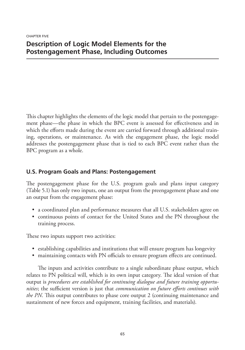CHAPTER FIVE **Description of Logic Model Elements for the Postengagement Phase, Including Outcomes**

This chapter highlights the elements of the logic model that pertain to the postengagement phase—the phase in which the BPC event is assessed for effectiveness and in which the efforts made during the event are carried forward through additional training, operations, or maintenance. As with the engagement phase, the logic model addresses the postengagement phase that is tied to each BPC event rather than the BPC program as a whole.

## **U.S. Program Goals and Plans: Postengagement**

The postengagement phase for the U.S. program goals and plans input category (Table 5.1) has only two inputs, one an output from the preengagement phase and one an output from the engagement phase:

- a coordinated plan and performance measures that all U.S. stakeholders agree on
- continuous points of contact for the United States and the PN throughout the training process.

These two inputs support two activities:

- establishing capabilities and institutions that will ensure program has longevity
- maintaining contacts with PN officials to ensure program effects are continued.

The inputs and activities contribute to a single subordinate phase output, which relates to PN political will, which is its own input category. The ideal version of that output is *procedures are established for continuing dialogue and future training opportunities*; the sufficient version is just that *communication on future efforts continues with the PN*. This output contributes to phase core output 2 (continuing maintenance and sustainment of new forces and equipment, training facilities, and materials).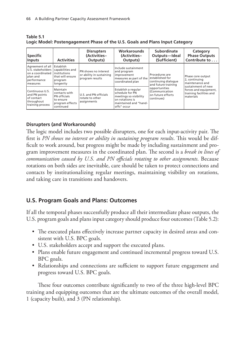| <b>Specific</b><br><b>Inputs</b>                                                                 | <b>Activities</b>                                                                         | <b>Disrupters</b><br>(Activities-<br>Outputs)                       | Workarounds<br>(Activities-<br>Outputs)                                                                                     | Subordinate<br>Outputs-Ideal<br>(Sufficient)                                    | Category<br><b>Phase Outputs</b><br>Contribute to                           |
|--------------------------------------------------------------------------------------------------|-------------------------------------------------------------------------------------------|---------------------------------------------------------------------|-----------------------------------------------------------------------------------------------------------------------------|---------------------------------------------------------------------------------|-----------------------------------------------------------------------------|
| Agreement of all<br>U.S. stakeholders<br>on a coordinated<br>plan and<br>performance<br>measures | Establish<br>capabilities and<br>institutions<br>that will ensure<br>program<br>longevity | PN shows no interest<br>or ability in sustaining<br>program results | Include sustainment<br>and program<br>improvement<br>measures as part of the<br>coordinated plan                            | Procedures are<br>established for<br>continuing dialoque<br>and future training | Phase core output<br>2, continuing<br>maintenance and<br>sustainment of new |
| Continuous U.S.<br>and PN points<br>of contact<br>throughout<br>training process                 | Maintain<br>contacts with<br>PN officials<br>to ensure<br>program effects<br>continued    | U.S. and PN officials<br>rotate to other<br>assignments             | Establish a regular<br>schedule for PN<br>meetings so visibility<br>on rotations is<br>maintained and "hand-<br>offs" occur | opportunities<br>(Communication<br>on future efforts<br>continues)              | forces and equipment,<br>training facilities and<br>materials               |

**Table 5.1 Logic Model: Postengagement Phase of the U.S. Goals and Plans Input Category**

### **Disrupters (and Workarounds)**

The logic model includes two possible disrupters, one for each input-activity pair. The first is *PN shows no interest or ability in sustaining program results*. This would be difficult to work around, but progress might be made by including sustainment and program improvement measures in the coordinated plan. The second is a *break in lines of communication caused by U.S. and PN officials rotating to other assignments*. Because rotations on both sides are inevitable, care should be taken to protect connections and contacts by institutionalizing regular meetings, maintaining visibility on rotations, and taking care in transitions and handovers.

## **U.S. Program Goals and Plans: Outcomes**

If all the temporal phases successfully produce all their intermediate phase outputs, the U.S. program goals and plans input category should produce four outcomes (Table 5.2):

- The executed plans effectively increase partner capacity in desired areas and consistent with U.S. BPC goals.
- U.S. stakeholders accept and support the executed plans.
- Plans enable future engagement and continued incremental progress toward U.S. BPC goals.
- Relationships and connections are sufficient to support future engagement and progress toward U.S. BPC goals.

These four outcomes contribute significantly to two of the three high-level BPC training and equipping outcomes that are the ultimate outcomes of the overall model, 1 (capacity built), and 3 (PN relationship).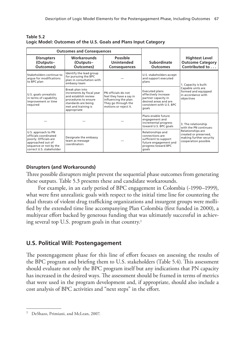| <b>Outcomes and Consequences</b>                                                                                                                 |                                                                                                                                                           |                                                                                                                         |                                                                                                                                    |                                                                                               |
|--------------------------------------------------------------------------------------------------------------------------------------------------|-----------------------------------------------------------------------------------------------------------------------------------------------------------|-------------------------------------------------------------------------------------------------------------------------|------------------------------------------------------------------------------------------------------------------------------------|-----------------------------------------------------------------------------------------------|
| <b>Disrupters</b><br>(Outputs-<br>Outcomes)                                                                                                      | <b>Workarounds</b><br>(Outputs-<br>Outcomes)                                                                                                              | Possible<br><b>Unintended</b><br><b>Consequences</b>                                                                    | Subordinate<br><b>Outcomes</b>                                                                                                     | <b>Hightest Level</b><br><b>Outcome Category</b><br>Contributed to                            |
| Stakeholders continue to<br>argue for modifications<br>to BPC plan                                                                               | Identify the lead group<br>for pursuing the BPC<br>plan in consultation with<br>embassy team                                                              |                                                                                                                         | U.S. stakeholders accept<br>and support executed<br>plans                                                                          | 1. Capacity is built:                                                                         |
| U.S. goals unrealistic<br>in terms of capability<br>improvement or time<br>required                                                              | Break plan into<br>increments by fiscal year<br>and establish review<br>procedures to ensure<br>standards are being<br>met and training is<br>appropriate | PN officials do not<br>feel they have a say in<br>influencing the plan.<br>They go through the<br>motions or reject it. | <b>Executed plans</b><br>effectively increase<br>partner capacity in<br>desired areas and are<br>consistent with U.S. BPC<br>goals | Capable units are<br>formed and equipped<br>in accordance with<br>objectives                  |
|                                                                                                                                                  |                                                                                                                                                           |                                                                                                                         | Plans enable future<br>engagement and<br>incremental progress<br>toward U.S. BPC goals                                             | 3. The relationship<br>with the PN continues:                                                 |
| U.S. approach to PN<br>officials coordinated<br>poorly. Officials are<br>approached out of<br>sequence or not by the<br>correct U.S. stakeholder | Designate the embassy<br>team as message<br>coordinators                                                                                                  |                                                                                                                         | Relationships and<br>connections are<br>sufficient to support<br>future engagement and<br>progress toward BPC<br>goals             | Relationships are<br>created or preserved,<br>making further security<br>cooperation possible |

**Table 5.2 Logic Model: Outcomes of the U.S. Goals and Plans Input Category**

### **Disrupters (and Workarounds)**

Three possible disrupters might prevent the sequential phase outcomes from generating these outputs. Table 5.3 presents these and candidate workarounds.

For example, in an early period of BPC engagement in Colombia (~1990–1999), what were first unrealistic goals with respect to the initial time line for countering the dual threats of violent drug trafficking organizations and insurgent groups were mollified by the extended time line accompanying Plan Colombia (first funded in 2000), a multiyear effort backed by generous funding that was ultimately successful in achieving several top U.S. program goals in that country.<sup>1</sup>

## **U.S. Political Will: Postengagement**

The postengagement phase for this line of effort focuses on assessing the results of the BPC program and briefing them to U.S. stakeholders (Table 5.4). This assessment should evaluate not only the BPC program itself but any indications that PN capacity has increased in the desired ways. The assessment should be framed in terms of metrics that were used in the program development and, if appropriate, should also include a cost analysis of BPC activities and "next steps" in the effort.

<sup>&</sup>lt;sup>1</sup> DeShazo, Primiani, and McLean, 2007.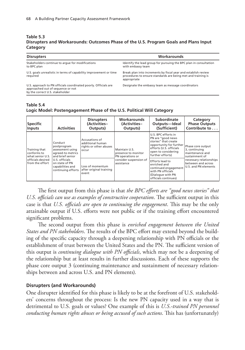#### **Table 5.3 Disrupters and Workarounds: Outcomes Phase of the U.S. Program Goals and Plans Input Category**

| <b>Disrupters</b>                                                                                                                       | Workarounds                                                                                                                                   |
|-----------------------------------------------------------------------------------------------------------------------------------------|-----------------------------------------------------------------------------------------------------------------------------------------------|
| Stakeholders continue to arque for modifications<br>to BPC plan                                                                         | Identify the lead group for pursuing the BPC plan in consultation<br>with embassy team                                                        |
| U.S. goals unrealistic in terms of capability improvement or time<br>required                                                           | Break plan into increments by fiscal year and establish review<br>procedures to ensure standards are being met and training is<br>appropriate |
| U.S. approach to PN officials coordinated poorly. Officials are<br>approached out of sequence or not<br>by the correct U.S. stakeholder | Designate the embassy team as message coordinators                                                                                            |

#### **Table 5.4 Logic Model: Postengagement Phase of the U.S. Political Will Category**

| <b>Specific</b><br><b>Inputs</b>                                                         | <b>Activities</b>                                                                                                                                                 | <b>Disrupters</b><br>(Activities-<br>Outputs)                                                                                 | <b>Workarounds</b><br>(Activities-<br>Outputs)                                                   | Subordinate<br>Outputs-Ideal<br>(Sufficient)                                                                                                                                                                                                                           | Category<br><b>Phase Outputs</b><br>Contribute to                                                                                                |
|------------------------------------------------------------------------------------------|-------------------------------------------------------------------------------------------------------------------------------------------------------------------|-------------------------------------------------------------------------------------------------------------------------------|--------------------------------------------------------------------------------------------------|------------------------------------------------------------------------------------------------------------------------------------------------------------------------------------------------------------------------------------------------------------------------|--------------------------------------------------------------------------------------------------------------------------------------------------|
| Training that<br>conforms to<br>what senior U.S.<br>officials desired<br>from the effort | Conduct<br>postprogram<br>assessment using<br>agreed-to metrics<br>and brief senior<br>U.S. officials<br>on state of PN<br>capabilities and<br>continuing efforts | Accusations of<br>additional human<br>rights or other abuses<br>occur<br>Loss of momentum<br>after original training<br>event | Maintain U.S.<br>presence to monitor<br>PN operations or<br>consider suspension of<br>assistance | U.S. BPC efforts in<br>PN are "good news<br>stories" that create<br>opportunity for further<br>efforts (U.S. officials<br>open to considering<br>further efforts)<br>Efforts lead to<br>enriched and<br>continued engagement<br>with PN officials<br>(Dialogue with PN | Phase core output<br>3, continuing<br>maintenance and<br>sustainment of<br>necessary relationships<br>between and across<br>U.S. and PN elements |

The first output from this phase is that *the BPC efforts are "good news stories" that U.S. officials can use as examples of constructive cooperation*. The sufficient output in this case is that *U.S. officials are open to continuing the engagement*. This may be the only attainable output if U.S. efforts were not public or if the training effort encountered significant problems.

The second output from this phase is *enriched engagement between the United States and PN stakeholders*. The results of the BPC effort may extend beyond the building of the specific capacity through a deepening relationship with PN officials or the establishment of trust between the United States and the PN. The sufficient version of this output is *continuing dialogue with PN officials*, which may not be a deepening of the relationship but at least results in further discussions. Each of these supports the phase core output 3 (continuing maintenance and sustainment of necessary relationships between and across U.S. and PN elements).

### **Disrupters (and Workarounds)**

One disrupter identified for this phase is likely to be at the forefront of U.S. stakeholders' concerns throughout the process: Is the new PN capacity used in a way that is detrimental to U.S. goals or values? One example of this is *U.S.-trained PN personnel conducting human rights abuses or being accused of such actions*. This has (unfortunately)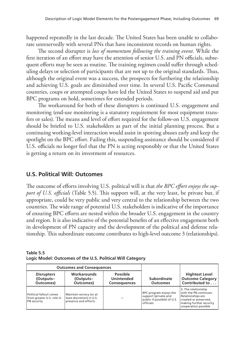happened repeatedly in the last decade. The United States has been unable to collaborate unreservedly with several PNs that have inconsistent records on human rights.

The second disrupter is *loss of momentum following the training event*. While the first iteration of an effort may have the attention of senior U.S. and PN officials, subsequent efforts may be seen as routine. The training regimen could suffer through scheduling delays or selection of participants that are not up to the original standards. Thus, although the original event was a success, the prospects for furthering the relationship and achieving U.S. goals are diminished over time. In several U.S. Pacific Command countries, coups or attempted coups have led the United States to suspend aid and put BPC programs on hold, sometimes for extended periods.

The workaround for both of these disrupters is continued U.S. engagement and monitoring (end-use monitoring is a statutory requirement for most equipment transfers or sales). The means and level of effort required for the follow-on U.S. engagement should be briefed to U.S. stakeholders as part of the initial planning process. But a continuing working-level interaction would assist in spotting abuses early and keep the spotlight on the BPC effort. Failing this, suspending assistance should be considered if U.S. officials no longer feel that the PN is acting responsibly or that the United States is getting a return on its investment of resources.

## **U.S. Political Will: Outcomes**

The outcome of efforts involving U.S. political will is that *the BPC effort enjoys the support of U.S. officials* (Table 5.5). This support will, at the very least, be private but, if appropriate, could be very public and very central to the relationship between the two countries. The wide range of potential U.S. stakeholders is indicative of the importance of ensuring BPC efforts are nested within the broader U.S. engagement in the country and region. It is also indicative of the potential benefits of an effective engagement both in development of PN capacity and the development of the political and defense relationship. This subordinate outcome contributes to high-level outcome 3 (relationships).

| Table 5.5                                                 |  |  |
|-----------------------------------------------------------|--|--|
| Logic Model: Outcomes of the U.S. Political Will Category |  |  |

|                                                                     | <b>Outcomes and Consequences</b>                                                                     |  |                                                                                            |                                                                                                                                                |
|---------------------------------------------------------------------|------------------------------------------------------------------------------------------------------|--|--------------------------------------------------------------------------------------------|------------------------------------------------------------------------------------------------------------------------------------------------|
| <b>Disrupters</b><br>(Outputs-<br>Outcomes)                         | <b>Workarounds</b><br>Possible<br><b>Unintended</b><br>(Outputs-<br>Outcomes)<br><b>Consequences</b> |  | Subordinate<br><b>Outcomes</b>                                                             | <b>Hightest Level</b><br><b>Outcome Category</b><br>Contributed to                                                                             |
| Political fallout comes<br>from greater U.S. role in<br>PN security | Maintain secrecy (or at<br>least discretion) in U.S.<br>presence and efforts                         |  | BPC program enjoys the<br>support (private and<br>public if possible) of U.S.<br>officials | 3. The relationship<br>with the PN continues:<br>Relationships are<br>created or preserved,<br>making further security<br>cooperation possible |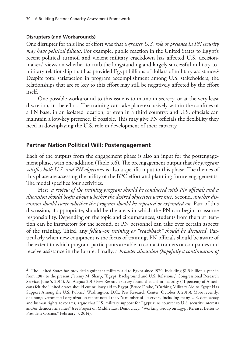#### **Disrupters (and Workarounds)**

One disrupter for this line of effort was that a *greater U.S. role or presence in PN security may have political fallout*. For example, public reaction in the United States to Egypt's recent political turmoil and violent military crackdown has affected U.S. decisionmakers' views on whether to curb the longstanding and largely successful military-tomilitary relationship that has provided Egypt billions of dollars of military assistance.2 Despite total satisfaction in program accomplishment among U.S. stakeholders, the relationships that are so key to this effort may still be negatively affected by the effort itself.

One possible workaround to this issue is to maintain secrecy, or at the very least discretion, in the effort. The training can take place exclusively within the confines of a PN base, in an isolated location, or even in a third country; and U.S. officials can maintain a low-key presence, if possible. This may give PN officials the flexibility they need in downplaying the U.S. role in development of their capacity.

#### **Partner Nation Political Will: Postengagement**

Each of the outputs from the engagement phase is also an input for the postengagement phase, with one addition (Table 5.6). The preengagement output that *the program satisfies both U.S. and PN objectives* is also a specific input to this phase. The themes of this phase are assessing the utility of the BPC effort and planning future engagements. The model specifies four activities.

First, *a review of the training program should be conducted with PN officials and a discussion should begin about whether the desired objectives were met*. Second, *another discussion should cover whether the program should be repeated or expanded on*. Part of this discussion, if appropriate, should be the areas in which the PN can begin to assume responsibility. Depending on the topic and circumstances, students from the first iteration can be instructors for the second, or PN personnel can take over certain aspects of the training. Third, any *follow-on training or "reachback" should be discussed*. Particularly when new equipment is the focus of training, PN officials should be aware of the extent to which program participants are able to contact trainers or companies and receive assistance in the future. Finally, a *broader discussion (hopefully a continuation of* 

 $2$  The United States has provided significant military aid to Egypt since 1970, including \$1.3 billion a year in from 1987 to the present (Jeremy M. Sharp, "Egypt: Background and U.S. Relations," Congressional Research Service, June 5, 2014). An August 2013 Pew Research survey found that a slim majority (51 percent) of Americans felt the United States should cut military aid to Egypt (Bruce Drake, "Curbing Military Aid to Egypt Has Support Among the U.S. Public," Washington, D.C.: Pew Research Center, October 9, 2013). More recently, one nongovernmental organization report noted that, "a number of observers, including many U.S. democracy and human rights advocates, argue that U.S. military support for Egypt runs counter to U.S. security interests and/or democratic values" (see Project on Middle East Democracy, "Working Group on Egypt Releases Letter to President Obama," February 3, 2014).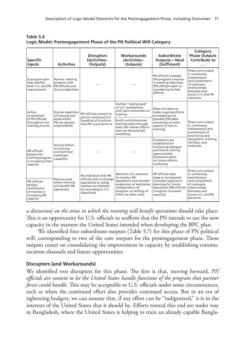| Table 5.6                                                           |  |
|---------------------------------------------------------------------|--|
| Logic Model: Postengagement Phase of the PN Political Will Category |  |

| <b>Specific</b><br><b>Inputs</b>                                                        | <b>Activities</b>                                                          | <b>Disrupters</b><br>(Activities-<br>Outputs)                                                                                              | Workarounds<br>(Activities-<br>Outputs)                                                                                                                                 | Subordinate<br>Outputs-Ideal<br>(Sufficient)                                                                                                              | Category<br><b>Phase Outputs</b><br>Contribute to                                                                                                      |  |
|-----------------------------------------------------------------------------------------|----------------------------------------------------------------------------|--------------------------------------------------------------------------------------------------------------------------------------------|-------------------------------------------------------------------------------------------------------------------------------------------------------------------------|-----------------------------------------------------------------------------------------------------------------------------------------------------------|--------------------------------------------------------------------------------------------------------------------------------------------------------|--|
| A program plan<br>that satisfies<br>both U.S. and PN<br>requirements                    | Review training<br>program with<br>PN officials and<br>discuss objectives  |                                                                                                                                            |                                                                                                                                                                         | PN officials consider<br>the program a success<br>in meeting objectives<br>(PN officials open to<br>considering further<br>efforts)                       | Phase core output<br>3, continuing<br>maintenance<br>and sustainment<br>of necessary<br>relationships<br>between and<br>across U.S. and PN<br>elements |  |
| Active<br>involvement                                                                   | Discuss repetition<br>of training and                                      | PN officials content to<br>permit continued U.S.                                                                                           | Outline "scaling back"<br>of U.S. involvement<br>with each interaction of<br>training                                                                                   | Steps are taken to<br>make ongoing efforts<br>as indigenous as                                                                                            |                                                                                                                                                        |  |
| of PN officials<br>throughout the<br>training process                                   | areas where<br>PN can assume<br>responsibility                             | handling of functions<br>that PN could perform                                                                                             | <b>Build institutionalized</b><br>training cadre through<br>train-the-trainer efforts<br>that can become self-<br>sustaining                                            | possible (PN takes<br>ownership of some<br>aspects of future<br>training)                                                                                 | Phase core output<br>2, continuing<br>maintenance and<br>sustainment of<br>new forces and                                                              |  |
| PN officials<br>believe the<br>training program<br>is increasing their<br>capacity      | Discuss follow-<br>on training<br>and technical<br>reachback<br>capability |                                                                                                                                            |                                                                                                                                                                         | Procedures are<br>established for<br>continuing dialogue<br>and future training<br>opportunities<br>(Communication<br>on future efforts<br>continues)     | equipment, training<br>facilities, and<br>materials                                                                                                    |  |
| PN officials<br>believe<br>certification<br>of trainees is<br>increasing PN<br>capacity | Discuss areas<br>where training<br>will benefit PN<br>operations           | No indication that PN<br>officials plan to change<br>operations or utilize<br>trainees as intended<br>(or according to U.S.<br>objectives) | Maintain U.S. presence<br>to monitor PN<br>operations and consider<br>suspension of assistance,<br>renegotiation of<br>program, or shifting of<br>effort to other units | PN officials take<br>steps to incorporate<br>increased capacity in<br>planning for future<br>operations (PN officials<br>recognize increased<br>capacity) | Phase core output<br>3, continuing<br>maintenance<br>and sustainment<br>of necessary<br>relationships<br>between and<br>across U.S. and PN<br>elements |  |

*a discussion) on the areas in which the training will benefit operations* should take place. This is an opportunity for U.S. officials to reaffirm that the PN intends to use the new capacity in the manner the United States intended when developing the BPC plan.

We identified four subordinate outputs (Table 5.7) for this phase of PN political will, corresponding to two of the core outputs for the postengagement phase. These outputs center on consolidating the improvement in capacity by establishing communication channels and future opportunities.

### **Disrupters (and Workarounds)**

We identified two disrupters for this phase. The first is that, moving forward, *PN officials are content to let the United States handle functions of the program that partner forces could handle*. This may be acceptable to U.S. officials under some circumstances, such as when the continued effort also provides continued access. But in an era of tightening budgets, we can assume that, if any effort can be "indigenized," it is in the interests of the United States that it should be. Efforts toward this end are under way in Bangladesh, where the United States is helping to train an already capable Bangla-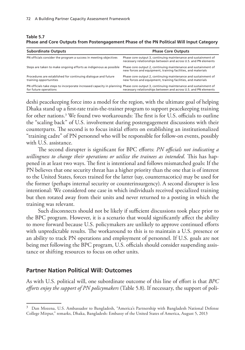#### **Table 5.7 Phase and Core Outputs from Postengagement Phase of the PN Political Will Input Category**

| <b>Subordinate Outputs</b>                                                                                                                                    | <b>Phase Core Outputs</b>                                                                                                         |
|---------------------------------------------------------------------------------------------------------------------------------------------------------------|-----------------------------------------------------------------------------------------------------------------------------------|
| PN officials consider the program a success in meeting objectives                                                                                             | Phase core output 3, continuing maintenance and sustainment of<br>necessary relationships between and across U.S. and PN elements |
| Steps are taken to make ongoing efforts as indigenous as possible                                                                                             | Phase core output 2, continuing maintenance and sustainment of<br>new forces and equipment, training facilities, and materials    |
| Procedures are established for continuing dialogue and future<br>training opportunities                                                                       | Phase core output 2, continuing maintenance and sustainment of<br>new forces and equipment, training facilities, and materials    |
| PN officials take steps to incorporate increased capacity in planning Phase core output 3, continuing maintenance and sustainment of<br>for future operations | necessary relationships between and across U.S. and PN elements                                                                   |

deshi peacekeeping force into a model for the region, with the ultimate goal of helping Dhaka stand up a first-rate train-the-trainer program to support peacekeeping training for other nations.3 We found two workarounds: The first is for U.S. officials to outline the "scaling back" of U.S. involvement during postengagement discussions with their counterparts. The second is to focus initial efforts on establishing an institutionalized "training cadre" of PN personnel who will be responsible for follow-on events, possibly with U.S. assistance.

The second disrupter is significant for BPC efforts: *PN officials not indicating a willingness to change their operations or utilize the trainees as intended*. This has happened in at least two ways. The first is intentional and follows mismatched goals: If the PN believes that one security threat has a higher priority than the one that is of interest to the United States, forces trained for the latter (say, counternacotics) may be used for the former (perhaps internal security or counterinsurgency). A second disrupter is less intentional: We considered one case in which individuals received specialized training but then rotated away from their units and never returned to a posting in which the training was relevant.

Such disconnects should not be likely if sufficient discussions took place prior to the BPC program. However, it is a scenario that would significantly affect the ability to move forward because U.S. policymakers are unlikely to approve continued efforts with unpredictable results. The workaround to this is to maintain a U.S. presence or an ability to track PN operations and employment of personnel. If U.S. goals are not being met following the BPC program, U.S. officials should consider suspending assistance or shifting resources to focus on other units.

#### **Partner Nation Political Will: Outcomes**

As with U.S. political will, one subordinate outcome of this line of effort is that *BPC efforts enjoy the support of PN policymakers* (Table 5.8). If necessary, the support of poli-

<sup>&</sup>lt;sup>3</sup> Dan Mozena, U.S. Ambassador to Bangladesh, "America's Partnership with Bangladesh National Defense College Mirpur," remarks, Dhaka, Bangladesh: Embassy of the United States of America, August 5, 2013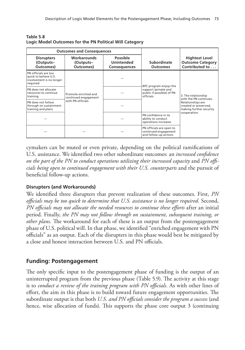| <b>Outcomes and Consequences</b>                                                      |                                              |                                                                |                                                                           |                                                                       |
|---------------------------------------------------------------------------------------|----------------------------------------------|----------------------------------------------------------------|---------------------------------------------------------------------------|-----------------------------------------------------------------------|
| <b>Disrupters</b><br>(Outputs-<br>Outcomes)                                           | Workarounds<br>(Outputs-<br>Outcomes)        | <b>Possible</b><br><b>Unintended</b><br><b>Consequences</b>    | Subordinate<br><b>Outcomes</b>                                            | <b>Hightest Level</b><br><b>Outcome Category</b><br>Contributed to    |
| PN officials are too<br>quick to believe U.S.<br>involvement is no longer<br>required |                                              |                                                                | BPC program enjoys the                                                    |                                                                       |
| PN does not allocate<br>resources to continue<br>training                             | Promote enriched and<br>continued engagement | support (private and<br>public if possible) of PN<br>officials |                                                                           | 3. The relationship<br>with the PN continues:                         |
| PN does not follow<br>through on sustainment<br>training and plans                    | with PN officials                            |                                                                |                                                                           | Relationships are<br>created or preserved,<br>making further security |
|                                                                                       |                                              |                                                                | PN confidence in its<br>ability to conduct<br>operations increases        | cooperation                                                           |
|                                                                                       |                                              |                                                                | PN officials are open to<br>continued engagement<br>and follow-up actions |                                                                       |

**Table 5.8 Logic Model Outcomes for the PN Political Will Category**

cymakers can be muted or even private, depending on the political ramifications of U.S. assistance. We identified two other subordinate outcomes: an *increased confidence on the part of the PN to conduct operations utilizing their increased capacity* and *PN officials being open to continued engagement with their U.S. counterparts* and the pursuit of beneficial follow-up actions.

### **Disrupters (and Workarounds)**

We identified three disrupters that prevent realization of these outcomes. First, *PN officials may be too quick to determine that U.S. assistance is no longer required*. Second, *PN officials may not allocate the needed resources to continue these efforts* after an initial period. Finally, *the PN may not follow through on sustainment, subsequent training, or other plans*. The workaround for each of these is an output from the postengagement phase of U.S. political will. In that phase, we identified "enriched engagement with PN officials" as an output. Each of the disrupters in this phase would best be mitigated by a close and honest interaction between U.S. and PN officials.

## **Funding: Postengagement**

The only specific input to the postengagement phase of funding is the output of an uninterrupted program from the previous phase (Table 5.9). The activity at this stage is to *conduct a review of the training program with PN officials*. As with other lines of effort, the aim in this phase is to build toward future engagement opportunities. The subordinate output is that both *U.S. and PN officials consider the program a success* (and hence, wise allocation of funds). This supports the phase core output 3 (continuing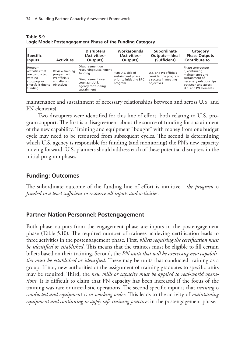| <b>Specific</b><br><b>Inputs</b>                                                                      | <b>Activities</b>                                                            | <b>Disrupters</b><br>(Activities-<br>Outputs)                            | Workarounds<br>(Activities-<br>Outputs)                                      | Subordinate<br>Outputs-Ideal<br>(Sufficient)                                        | Category<br><b>Phase Outputs</b><br>Contribute to                                       |
|-------------------------------------------------------------------------------------------------------|------------------------------------------------------------------------------|--------------------------------------------------------------------------|------------------------------------------------------------------------------|-------------------------------------------------------------------------------------|-----------------------------------------------------------------------------------------|
| Program<br>activities that<br>are conducted<br>with no<br>stoppage or<br>shortfalls due to<br>funding | Review training<br>program with<br>PN officials<br>and discuss<br>objectives | Disagreement on<br>resourcing sustainment<br>funding                     | Plan U.S. side of<br>sustainment phase<br>prior to initiating BPC<br>program | U.S. and PN officials<br>consider the program<br>a success in meeting<br>objectives | Phase core output<br>3, continuing<br>maintenance and                                   |
|                                                                                                       |                                                                              | Disagreement over<br>cognizant U.S.<br>agency for funding<br>sustainment |                                                                              |                                                                                     | sustainment of<br>necessary relationships<br>between and across<br>U.S. and PN elements |

**Table 5.9 Logic Model: Postengagement Phase of the Funding Category**

maintenance and sustainment of necessary relationships between and across U.S. and PN elements).

Two disrupters were identified for this line of effort, both relating to U.S. program support. The first is a disagreement about the source of funding for sustainment of the new capability. Training and equipment "bought" with money from one budget cycle may need to be resourced from subsequent cycles. The second is determining which U.S. agency is responsible for funding (and monitoring) the PN's new capacity moving forward. U.S. planners should address each of these potential disrupters in the initial program phases.

## **Funding: Outcomes**

The subordinate outcome of the funding line of effort is intuitive—*the program is funded to a level sufficient to resource all inputs and activities*.

## **Partner Nation Personnel: Postengagement**

Both phase outputs from the engagement phase are inputs in the postengagement phase (Table 5.10). The required number of trainees achieving certification leads to three activities in the postengagement phase. First, *billets requiring the certification must be identified or established*. This means that the trainees must be eligible to fill certain billets based on their training. Second, the *PN units that will be exercising new capabilities must be established or identified*. These may be units that conducted training as a group. If not, new authorities or the assignment of training graduates to specific units may be required. Third, the *new skills or capacity must be applied to real-world operations*. It is difficult to claim that PN capacity has been increased if the focus of the training was rare or unrealistic operations. The second specific input is that *training is conducted and equipment is in working order*. This leads to the activity of *maintaining equipment and continuing to apply safe training practices* in the postengagement phase.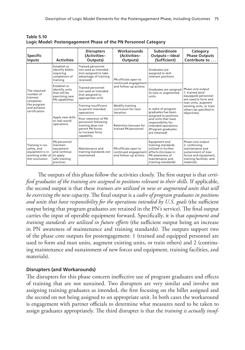| <b>Specific</b><br><b>Inputs</b>                                                                   | <b>Activities</b>                                                                               | <b>Disrupters</b><br>(Activities-<br>Outputs)                                                                           | Workarounds<br>(Activities-<br>Outputs)                               | Subordinate<br>Outputs-Ideal<br>(Sufficient)                                                                                                    | Category<br><b>Phase Outputs</b><br>Contribute to                                                                                             |
|----------------------------------------------------------------------------------------------------|-------------------------------------------------------------------------------------------------|-------------------------------------------------------------------------------------------------------------------------|-----------------------------------------------------------------------|-------------------------------------------------------------------------------------------------------------------------------------------------|-----------------------------------------------------------------------------------------------------------------------------------------------|
| The required<br>number of<br>trainees<br>completes<br>the program<br>and achieves<br>certification | Establish or<br>identify billets<br>requiring<br>completion of<br>training                      | <b>Trained personnel</b><br>not used as intended<br>(not assigned to take<br>advantage of training<br>received)         | PN officials open to<br>continued engagement<br>and follow-up actions | Graduates are<br>assigned to skill-<br>relevant positions                                                                                       |                                                                                                                                               |
|                                                                                                    | <b>Establish or</b><br>identify units<br>that will be<br>exercising new<br>PN capabilities      | <b>Trained personnel</b><br>not used as intended<br>(not assigned to<br>appropriate unit)                               |                                                                       | Graduates are assigned<br>to new or augmented<br>units                                                                                          | Phase core output<br>1. trained (and<br>equipped) personnel<br>are used to form and                                                           |
|                                                                                                    |                                                                                                 | Training insufficient<br>to permit intended<br>operations                                                               | Modify training<br>curriculum for next<br>iteration                   | A cadre of program<br>graduates has been                                                                                                        | man units, augment<br>existing units, or train<br>others (as specified in<br>objectives)                                                      |
|                                                                                                    | Apply new skills<br>to real-world<br>operations                                                 | Poor retention of PN<br>personnel following<br>training does not<br>permit PN forces<br>to increase force<br>capability | Retention bonuses for<br>trained PN personnel                         | assigned to positions<br>and units that have<br>responsibility for<br>intended operations<br>(Program graduates<br>are retained)                |                                                                                                                                               |
| Training is run<br>safely, and<br>equipment is in<br>working order at<br>the conclusion            | PN personnel<br>maintain<br>equipment<br>and continue<br>to apply<br>safe training<br>practices | Maintenance and<br>training standards not<br>maintained                                                                 | PN officials open to<br>continued engagement<br>and follow-up actions | Equipment and<br>training standards<br>utilized in further<br>efforts (Increase in<br>PN awareness of<br>maintenance and<br>training standards) | Phase core output<br>2, continuing<br>maintenance and<br>sustainment of new<br>forces and equipment,<br>training facilities, and<br>materials |

**Table 5.10 Logic Model: Postengagement Phase of the PN Personnel Category**

The outputs of this phase follow the activities closely. The first output is that *certified graduates of the training are assigned to positions relevant to their skills*. If applicable, the second output is that these *trainees are utilized in new or augmented units that will be exercising the new capacity*. The final output is a *cadre of program graduates in positions and units that have responsibility for the operations intended by U.S. goals* (the sufficient output being that program graduates are retained in the PN's service). The final output carries the input of operable equipment forward. Specifically, it is that *equipment and training standards are utilized in future efforts* (the sufficient output being an increase in PN awareness of maintenance and training standards). The outputs support two of the phase core outputs for postengagement: 1 (trained and equipped personnel are used to form and man units, augment existing units, or train others) and 2 (continuing maintenance and sustainment of new forces and equipment, training facilities, and materials).

### **Disrupters (and Workarounds)**

The disrupters for this phase concern ineffective use of program graduates and effects of training that are not sustained. Two disrupters are very similar and involve not assigning training graduates as intended, the first focusing on the billet assigned and the second on not being assigned to an appropriate unit. In both cases the workaround is engagement with partner officials to determine what measures need to be taken to assign graduates appropriately. The third disrupter is that the *training is actually insuf-*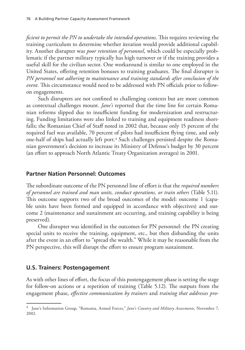*ficient to permit the PN to undertake the intended operations*. This requires reviewing the training curriculum to determine whether iteration would provide additional capability. Another disrupter was *poor retention of personnel*, which could be especially problematic if the partner military typically has high turnover or if the training provides a useful skill for the civilian sector. One workaround is similar to one employed in the United States, offering retention bonuses to training graduates. The final disrupter is *PN personnel not adhering to maintenance and training standards after conclusion of the event*. This circumstance would need to be addressed with PN officials prior to followon engagements.

Such disrupters are not confined to challenging contexts but are more common as contextual challenges mount. *Jane's* reported that the time line for certain Romanian reforms slipped due to insufficient funding for modernization and restructuring. Funding limitations were also linked to training and equipment readiness shortfalls; the Romanian Chief of Staff noted in 2002 that, because only 15 percent of the required fuel was available, 70 percent of pilots had insufficient flying time, and only one-half of ships had actually left port.<sup>4</sup> Such challenges persisted despite the Romanian government's decision to increase its Ministry of Defense's budget by 30 percent (an effort to approach North Atlantic Treaty Organization averages) in 2001.

#### **Partner Nation Personnel: Outcomes**

The subordinate outcome of the PN personnel line of effort is that the *required numbers of personnel are trained and man units, conduct operations, or train others* (Table 5.11). This outcome supports two of the broad outcomes of the model: outcome 1 (capable units have been formed and equipped in accordance with objectives) and outcome 2 (maintenance and sustainment are occurring, and training capability is being preserved).

One disrupter was identified in the outcomes for PN personnel: the PN creating special units to receive the training, equipment, etc., but then disbanding the units after the event in an effort to "spread the wealth." While it may be reasonable from the PN perspective, this will disrupt the effort to ensure program sustainment.

### **U.S. Trainers: Postengagement**

As with other lines of effort, the focus of this postengagement phase is setting the stage for follow-on actions or a repetition of training (Table 5.12). The outputs from the engagement phase, *effective communication by trainers* and *training that addresses pro-*

<sup>4</sup> Jane's Information Group, "Romania, Armed Forces," *Jane's Country and Military Assessments*, November 7, 2002.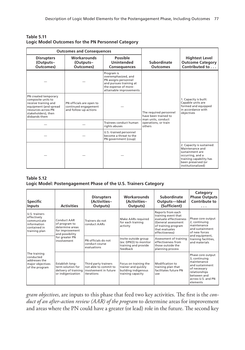|                                                                                                                                                            | <b>Outcomes and Consequences</b>                                          |                                                                                                                                         |                                                                      |                                                                                                                                                            |
|------------------------------------------------------------------------------------------------------------------------------------------------------------|---------------------------------------------------------------------------|-----------------------------------------------------------------------------------------------------------------------------------------|----------------------------------------------------------------------|------------------------------------------------------------------------------------------------------------------------------------------------------------|
| <b>Disrupters</b><br>(Outputs-<br>Outcomes)                                                                                                                | Workarounds<br>(Outputs-<br>Outcomes)                                     | <b>Possible</b><br><b>Unintended</b><br><b>Consequences</b>                                                                             | Subordinate<br><b>Outcomes</b>                                       | <b>Hightest Level</b><br><b>Outcome Category</b><br>Contributed to                                                                                         |
|                                                                                                                                                            |                                                                           | Program is<br>overemphasized, and<br>PN assigns personnel<br>and pursues training at<br>the expense of more-<br>attainable improvements |                                                                      |                                                                                                                                                            |
| PN created temporary<br>composite units to<br>receive training and<br>equipment (and spread<br>resources across PN<br>stakeholders), then<br>disbands them | PN officials are open to<br>continued engagement<br>and follow-up actions |                                                                                                                                         | The required personnel<br>have been trained to<br>man units, conduct | 1. Capacity is built:<br>Capable units are<br>formed and equipped<br>in accordance with<br>objectives                                                      |
|                                                                                                                                                            |                                                                           | Trainees conduct human<br>rights abuses                                                                                                 | operations, or train<br>others                                       |                                                                                                                                                            |
|                                                                                                                                                            |                                                                           | U.S.-trained personnel<br>become a threat to the<br>PN government (coup)                                                                |                                                                      |                                                                                                                                                            |
|                                                                                                                                                            |                                                                           |                                                                                                                                         |                                                                      | 2. Capacity is sustained:<br>Maintenance and<br>sustainment are<br>occurring, and a<br>training capability has<br>been preserved (or<br>institutionalized) |

| <b>Table 5.11</b>                                  |  |
|----------------------------------------------------|--|
| Logic Model Outcomes for the PN Personnel Category |  |

#### **Table 5.12 Logic Model: Postengagement Phase of the U.S. Trainers Category**

| <b>Specific</b><br><b>Inputs</b>                                                            | <b>Activities</b>                                                                     | <b>Disrupters</b><br>(Activities-<br>Outputs)                                        | <b>Workarounds</b><br>(Activities-<br>Outputs)                                           | Subordinate<br>Outputs-Ideal<br>(Sufficient)                                                                                                         | Category<br><b>Phase Outputs</b><br><b>Contribute to</b><br>$\cdots$                                                                                   |
|---------------------------------------------------------------------------------------------|---------------------------------------------------------------------------------------|--------------------------------------------------------------------------------------|------------------------------------------------------------------------------------------|------------------------------------------------------------------------------------------------------------------------------------------------------|--------------------------------------------------------------------------------------------------------------------------------------------------------|
| U.S. trainers<br>effectively<br>communicate<br>information<br>contained in<br>training plan | Conduct AAR<br>of program to<br>determine areas<br>for improvement<br>and possibility | Trainers do not<br>conduct AARs                                                      | Make AARs required<br>for each training<br>activity                                      | Reports from each<br>training event that<br>evaluate effectiveness<br>(General assessment<br>of training program<br>that evaluates<br>effectiveness) | Phase core output<br>2, continuing<br>maintenance<br>and sustainment<br>of new forces                                                                  |
|                                                                                             | for greater PN<br>involvement                                                         | PN officials do not<br>conduct course<br>evaluations                                 | Invite outside group<br>(ex: DPKO) to monitor<br>training and provide<br>feedback        | Assessment of training<br>effectiveness from<br>those outside the<br>planning process                                                                | and equipment,<br>training facilities,<br>and materials                                                                                                |
| The training<br>conducted<br>addresses the<br>major objectives<br>of the program            | Establish long-<br>term solution for<br>delivery of training<br>or indigenization     | Third party trainers<br>not able to commit to<br>involvement in future<br>iterations | Focus on training the<br>trainer and quickly<br>building indigenous<br>training capacity | Modification to<br>training plan that<br>facilitates future PN<br>use                                                                                | Phase core output<br>3, continuing<br>maintenance<br>and sustainment<br>of necessary<br>relationships<br>between and<br>across U.S. and PN<br>elements |

*gram objectives*, are inputs to this phase that feed two key activities. The first is the *conduct of an after-action review (AAR) of the program* to determine areas for improvement and areas where the PN could have a greater (or lead) role in the future. The second key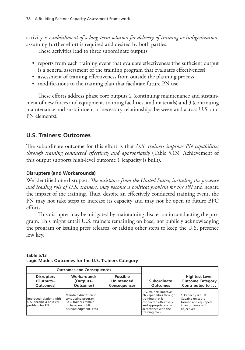activity *is establishment of a long-term solution for delivery of training or indigenization*, assuming further effort is required and desired by both parties.

These activities lead to three subordinate outputs:

- reports from each training event that evaluate effectiveness (the sufficient output is a general assessment of the training program that evaluates effectiveness)
- assessment of training effectiveness from outside the planning process
- modifications to the training plan that facilitate future PN use.

These efforts address phase core outputs 2 (continuing maintenance and sustainment of new forces and equipment, training facilities, and materials) and 3 (continuing maintenance and sustainment of necessary relationships between and across U.S. and PN elements).

# **U.S. Trainers: Outcomes**

The subordinate outcome for this effort is that *U.S. trainers improve PN capabilities through training conducted effectively and appropriately* (Table 5.13). Achievement of this output supports high-level outcome 1 (capacity is built).

### **Disrupters (and Workarounds)**

We identified one disrupter: *The assistance from the United States, including the presence and leading role of U.S. trainers, may become a political problem for the PN* and negate the impact of the training. Thus, despite an effectively conducted training event, the PN may not take steps to increase its capacity and may not be open to future BPC efforts.

This disrupter may be mitigated by maintaining discretion in conducting the program. This might entail U.S. trainers remaining on base, not publicly acknowledging the program or issuing press releases, or taking other steps to keep the U.S. presence low key.

| <b>Outcomes and Consequences</b>                                     |                                                                                                                      |  |                                                                                                                                                                |                                                                                                       |
|----------------------------------------------------------------------|----------------------------------------------------------------------------------------------------------------------|--|----------------------------------------------------------------------------------------------------------------------------------------------------------------|-------------------------------------------------------------------------------------------------------|
| <b>Disrupters</b><br>(Outputs-<br>Outcomes)                          | <b>Workarounds</b><br>Possible<br><b>Unintended</b><br>(Outputs-<br>Outcomes)<br><b>Consequences</b>                 |  | Subordinate<br><b>Outcomes</b>                                                                                                                                 | <b>Hightest Level</b><br><b>Outcome Category</b><br>Contributed to                                    |
| Improved relations with<br>U.S. become a political<br>problem for PN | Maintain discretion in<br>conducting program<br>(U.S. trainers remain<br>on base, no public<br>acknowledgment, etc.) |  | U.S. trainers improve<br>PN capabilities through<br>training that is<br>conducted effectively<br>and appropriately, in<br>accordance with the<br>training plan | 1. Capacity is built:<br>Capable units are<br>formed and equipped<br>in accordance with<br>objectives |

**Table 5.13 Logic Model: Outcomes for the U.S. Trainers Category**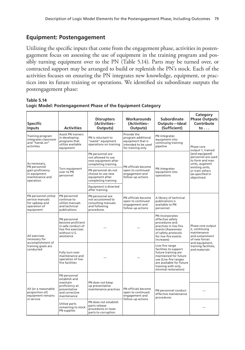## **Equipment: Postengagement**

Utilizing the specific inputs that come from the engagement phase, activities in postengagement focus on assessing the use of equipment in the training program and possibly turning equipment over to the PN (Table 5.14). Parts may be turned over, or contracted support may be arranged to build or replenish the PN's stock. Each of the activities focuses on ensuring the PN integrates new knowledge, equipment, or practices into its future training or operations. We identified six subordinate outputs the postengagement phase:

| <b>Specific</b><br><b>Inputs</b>                                                       | <b>Activities</b>                                                                                            | <b>Disrupters</b><br>(Activities-<br>Outputs)                                              | Workarounds<br>(Activities-<br>Outputs)                                                            | Subordinate<br>Outputs-Ideal<br>(Sufficient)                                                                                                                                                | Category<br><b>Phase Outputs</b><br>Contribute<br>$\mathsf{to} \ldots$                |
|----------------------------------------------------------------------------------------|--------------------------------------------------------------------------------------------------------------|--------------------------------------------------------------------------------------------|----------------------------------------------------------------------------------------------------|---------------------------------------------------------------------------------------------------------------------------------------------------------------------------------------------|---------------------------------------------------------------------------------------|
| Training program<br>integrates classroom<br>and "hands on"<br>activities               | <b>Assist PN trainers</b><br>in developing<br>programs that<br>utilize available<br>equipment                | PN is reluctant to<br>"waste" equipment<br>operations on training                          | Provide the<br>program additional<br>equipment that is<br>intended to be used<br>for training only | PN integrates<br>equipment into<br>continuing training<br>pipeline                                                                                                                          | Phase core<br>output 1, trained                                                       |
| As necessary,<br>PN personnel                                                          |                                                                                                              | PN personnel are<br>not allowed to use<br>new equipment after<br>completing training       | PN officials become                                                                                |                                                                                                                                                                                             | (and equipped)<br>personnel are used<br>to form and man<br>units, augment             |
| gain proficiency<br>in equipment<br>maintenance and<br>operation                       | Turn equipment<br>over to PN<br>personnel                                                                    | PN personnel do not<br>choose to use new<br>equipment after<br>completing training         | open to continued<br>engagement and<br>follow-up actions                                           | PN integrates<br>equipment into<br>operations                                                                                                                                               | existing units,<br>or train others<br>(as specified in<br>objectives)                 |
|                                                                                        |                                                                                                              | Equipment is diverted<br>after training                                                    |                                                                                                    |                                                                                                                                                                                             |                                                                                       |
| PN personnel utilize<br>service manuals<br>for upkeep and<br>operation of<br>equipment | PN personnel<br>continue to<br>utilize manuals<br>and technical<br>publications                              | PN personnel are<br>not accustomed to<br>consulting manuals<br>and following<br>procedures | PN officials become<br>open to continued<br>engagement and<br>follow-up actions                    | A library of technical<br>publications is<br>available to PN<br>personnel                                                                                                                   |                                                                                       |
| All exercises<br>necessary for                                                         | PN personnel<br>become proficient<br>in safe conduct of<br>live-fire exercises<br>without U.S.<br>assistance |                                                                                            |                                                                                                    | PN incorporates<br>effective safety<br>procedures and<br>practices in live-fire<br>events (Awareness<br>of safety protocols<br>for live-fire events<br>increases)                           | Phase core output<br>2, continuing<br>maintenance<br>and sustainment<br>of new forces |
| accomplishment of<br>training goals are<br>conducted                                   | Fully turn over<br>maintenance and<br>operation of live-<br>fire facilities                                  |                                                                                            |                                                                                                    | Live-fire range<br>facilities to support<br>future training are<br>maintained for future<br>use (Live-fire ranges<br>are available for future<br>training with only<br>minimal restoration) | and equipment,<br>training facilities,<br>and materials                               |
|                                                                                        | PN personnel<br>establish and                                                                                |                                                                                            |                                                                                                    |                                                                                                                                                                                             |                                                                                       |
| All (or a reasonable<br>proportion of)<br>equipment remains<br>in service              | proficiency at<br>preventative<br>and corrective<br>maintenance                                              | maintain<br>PN does not keep<br>up preventative<br>maintenance practices                   |                                                                                                    | PN personnel conduct<br>effective maintenance<br>procedures                                                                                                                                 |                                                                                       |
|                                                                                        | Utilize parts<br>remaining to stock<br>PN supplies                                                           | PN does not establish<br>parts release<br>procedures or loses<br>parts to corruption       |                                                                                                    | follow-up actions                                                                                                                                                                           |                                                                                       |

**Table 5.14 Logic Model: Postengagement Phase of the Equipment Category**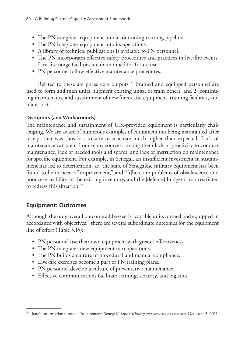- The PN integrates equipment into a continuing training pipeline.
- The PN integrates equipment into its operations.
- A library of technical publications is available to PN personnel.
- The PN incorporates effective safety procedures and practices in live-fire events. Live-fire range facilities are maintained for future use.
- PN personnel follow effective maintenance procedures.

Related to these are phase core outputs 1 (trained and equipped personnel are used to form and man units, augment existing units, or train others) and 2 (continuing maintenance and sustainment of new forces and equipment, training facilities, and materials).

### **Disrupters (and Workarounds)**

The maintenance and sustainment of U.S.-provided equipment is particularly challenging. We are aware of numerous examples of equipment not being maintained after receipt that was thus lost to service at a rate much higher than expected. Lack of maintenance can stem from many sources, among them lack of proclivity to conduct maintenance, lack of needed tools and spares, and lack of instruction on maintenance for specific equipment. For example, in Senegal, an insufficient investment in sustainment has led to deterioration, as "the state of Senegalese military equipment has been found to be in need of improvement," and "[t]here are problems of obsolescence and poor serviceability in the existing inventory, and the [defense] budget is too restricted to redress this situation."5

## **Equipment: Outcomes**

Although the only overall outcome addressed is "capable units formed and equipped in accordance with objectives," there are several subordinate outcomes for the equipment line of effort (Table 5.15):

- PN personnel use their own equipment with greater effectiveness.
- The PN integrates new equipment into operations.
- The PN builds a culture of procedural and manual compliance.
- Live-fire exercises become a part of PN training plans.
- PN personnel develop a culture of preventative maintenance.
- Effective communications facilitate training, security, and logistics.

<sup>5</sup> Jane's Information Group, "Procurement: Senegal," *Jane's Military and Security Assessments*, October 13, 2011.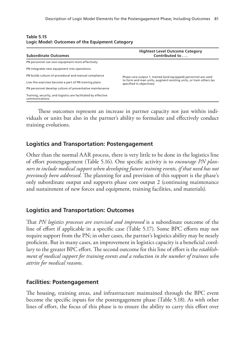| <b>Subordinate Outcomes</b>                                                      | <b>Hightest Level Outcome Category</b><br>Contributed to                                       |  |  |  |  |
|----------------------------------------------------------------------------------|------------------------------------------------------------------------------------------------|--|--|--|--|
| PN personnel use own equipment more effectively                                  |                                                                                                |  |  |  |  |
| PN integrates new equipment into operations                                      |                                                                                                |  |  |  |  |
| PN builds culture of procedural and manual compliance                            | Phase core output 1, trained (and equipped) personnel are used                                 |  |  |  |  |
| Live-fire exercises become a part of PN training plans                           | to form and man units, augment existing units, or train others (as<br>specified in objectives) |  |  |  |  |
| PN personnel develop culture of preventative maintenance                         |                                                                                                |  |  |  |  |
| Training, security, and logistics are facilitated by effective<br>communications |                                                                                                |  |  |  |  |

**Table 5.15 Logic Model: Outcomes of the Equipment Category**

These outcomes represent an increase in partner capacity not just within individuals or units but also in the partner's ability to formulate and effectively conduct training evolutions.

### **Logistics and Transportation: Postengagement**

Other than the normal AAR process, there is very little to be done in the logistics line of effort postengagement (Table 5.16). One specific activity is to *encourage PN planners to include medical support when developing future training events, if that need has not previously been addressed*. The planning for and provision of this support is the phase's only subordinate output and supports phase core output 2 (continuing maintenance and sustainment of new forces and equipment, training facilities, and materials).

### **Logistics and Transportation: Outcomes**

That *PN logistics processes are exercised and improved* is a subordinate outcome of the line of effort if applicable in a specific case (Table 5.17). Some BPC efforts may not require support from the PN; in other cases, the partner's logistics ability may be nearly proficient. But in many cases, an improvement in logistics capacity is a beneficial corollary to the greater BPC effort. The second outcome for this line of effort is the *establishment of medical support for training events and a reduction in the number of trainees who attrite for medical reasons*.

### **Facilities: Postengagement**

The housing, training areas, and infrastructure maintained through the BPC event become the specific inputs for the postengagement phase (Table 5.18). As with other lines of effort, the focus of this phase is to ensure the ability to carry this effort over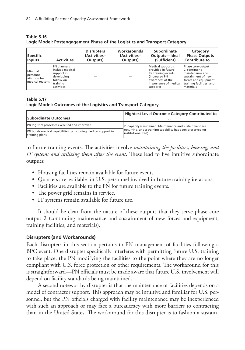| <b>Specific</b><br><b>Inputs</b>                         | <b>Activities</b>                                                                                 | <b>Disrupters</b><br>(Activities-<br>Outputs) | Workarounds<br>(Activities-<br>Outputs) | Subordinate<br>Outputs-Ideal<br>(Sufficient)                                                                                              | Category<br><b>Phase Outputs</b><br>Contribute to                                                                                             |
|----------------------------------------------------------|---------------------------------------------------------------------------------------------------|-----------------------------------------------|-----------------------------------------|-------------------------------------------------------------------------------------------------------------------------------------------|-----------------------------------------------------------------------------------------------------------------------------------------------|
| Minimal<br>personnel<br>attrition for<br>medical reasons | PN planners<br>include medical<br>support in<br>developing<br>follow-on<br>training<br>activities |                                               |                                         | Medical support is<br>provided in future<br>PN training events<br>(Increased PN)<br>awareness of the<br>importance of medical<br>support) | Phase core output<br>2, continuing<br>maintenance and<br>sustainment of new<br>forces and equipment,<br>training facilities, and<br>materials |

**Table 5.16 Logic Model: Postengagement Phase of the Logistics and Transport Category**

#### **Table 5.17 Logic Model: Outcomes of the Logistics and Transport Category**

| <b>Subordinate Outcomes</b>                                                             | <b>Hightest Level Outcome Category Contributed to</b><br>.                        |
|-----------------------------------------------------------------------------------------|-----------------------------------------------------------------------------------|
| <b>PN</b> logistics processes exercised and improved                                    | 2. Capacity is sustained: Maintenance and sustainment are                         |
| <b>PN</b> builds medical capabilities by including medical support in<br>training plans | occurring, and a training capability has been preserved (or<br>institutionalized) |

to future training events. The activities involve *maintaining the facilities, housing, and IT systems and utilizing them after the event*. These lead to five intuitive subordinate outputs:

- Housing facilities remain available for future events.
- Quarters are available for U.S. personnel involved in future training iterations.
- Facilities are available to the PN for future training events.
- The power grid remains in service.
- IT systems remain available for future use.

It should be clear from the nature of these outputs that they serve phase core output 2 (continuing maintenance and sustainment of new forces and equipment, training facilities, and materials).

### **Disrupters (and Workarounds)**

Each disrupters in this section pertains to PN management of facilities following a BPC event. One disrupter specifically interferes with permitting future U.S. training to take place: the PN modifying the facilities to the point where they are no longer compliant with U.S. force protection or other requirements. The workaround for this is straightforward—PN officials must be made aware that future U.S. involvement will depend on facility standards being maintained.

A second noteworthy disrupter is that the maintenance of facilities depends on a model of contractor support. This approach may be intuitive and familiar for U.S. personnel, but the PN officials charged with facility maintenance may be inexperienced with such an approach or may face a bureaucracy with more barriers to contracting than in the United States. The workaround for this disrupter is to fashion a sustain-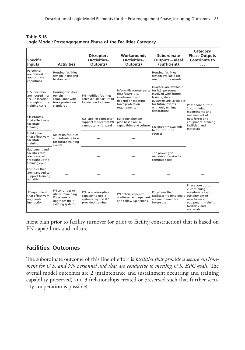**Table 5.18 Logic Model: Postengagement Phase of the Facilities Category**

| <b>Specific</b><br><b>Inputs</b>                                                         | <b>Activities</b>                                                                           | <b>Disrupters</b><br>(Activities-<br>Outputs)                                         | <b>Workarounds</b><br>(Activities-<br>Outputs)                                                                                             | Subordinate<br>Outputs-Ideal<br>(Sufficient)                                                                                                                      | Category<br><b>Phase Outputs</b><br>Contribute to<br>.                                                                                           |
|------------------------------------------------------------------------------------------|---------------------------------------------------------------------------------------------|---------------------------------------------------------------------------------------|--------------------------------------------------------------------------------------------------------------------------------------------|-------------------------------------------------------------------------------------------------------------------------------------------------------------------|--------------------------------------------------------------------------------------------------------------------------------------------------|
| Personnel<br>are housed in<br>appropriate<br>conditions                                  | <b>Housing facilities</b><br>remain in use and<br>to standards                              |                                                                                       |                                                                                                                                            | <b>Housing facilities</b><br>remain available for<br>use for future events                                                                                        |                                                                                                                                                  |
| U.S. personnel<br>are housed in a<br>secure location<br>throughout the<br>training cycle | <b>Housing facilities</b><br>remain in<br>compliance with<br>force protection<br>standards  | PN modifies facilities<br>after U.S. departure (if<br>located on PN base)             | Inform PN counterparts for U.S. personnel<br>that future U.S.<br>involvement will<br>depend on meeting<br>force protection<br>requirements | <b>Ouarters are available</b><br>involved with future<br>training iterations<br>(Quarters are available<br>for future events<br>with only minimal<br>restoration) | Phase core output<br>2, continuing<br>maintenance and<br>sustainment of<br>new forces and<br>equipment, training<br>facilities, and<br>materials |
| Classrooms<br>that effectively<br>facilitate<br>training                                 | <b>Maintain facilities</b><br>and infrastructure<br>for future training<br>events           | U.S. applies contractor<br>support model that PN<br>cannot carry forward              | <b>Build sustainment</b><br>plan based on PN<br>capabilities and culture                                                                   | Facilities are available<br>to PN for future<br>courses                                                                                                           |                                                                                                                                                  |
| Field areas<br>that effectively<br>facilitate<br>training                                |                                                                                             |                                                                                       |                                                                                                                                            |                                                                                                                                                                   |                                                                                                                                                  |
| Equipment and<br>facilities that<br>are powered<br>throughout the<br>training cycle      |                                                                                             |                                                                                       |                                                                                                                                            | The power grid<br>remains in service for<br>continued use                                                                                                         |                                                                                                                                                  |
| <b>Facilities that</b><br>are managed to<br>support training<br>activities               |                                                                                             |                                                                                       |                                                                                                                                            |                                                                                                                                                                   |                                                                                                                                                  |
| IT equipment<br>that effectively<br>augments<br>instruction                              | PN continues to<br>utilize remaining<br>IT systems or<br>upgrades their<br>existing systems | PN lacks absorptive<br>capacity to use IT<br>systems beyond U.S.<br>provided training | PN officials open to<br>continued engagement<br>and follow-up actions                                                                      | IT systems that<br>facilitate training goals<br>are maintained for<br>future use                                                                                  | Phase core output<br>2, continuing<br>maintenance and<br>sustainment of<br>new forces and<br>equipment, training<br>facilities, and<br>materials |

ment plan prior to facility turnover (or prior to facility construction) that is based on PN capabilities and culture.

### **Facilities: Outcomes**

The subordinate outcome of this line of effort is *facilities that provide a secure environment for U.S. and PN personnel and that are conducive to meeting U.S. BPC goals*. The overall model outcomes are 2 (maintenance and sustainment occurring and training capability preserved) and 3 (relationships created or preserved such that further security cooperation is possible).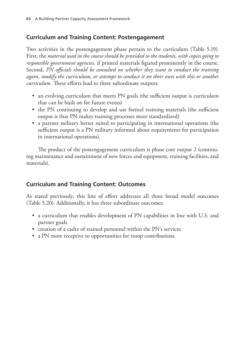# **Curriculum and Training Content: Postengagement**

Two activities in the postengagement phase pertain to the curriculum (Table 5.19). First, the *material used in the course should be provided to the students, with copies going to responsible government agencies,* if printed materials figured prominently in the course. Second, *PN officials should be consulted on whether they want to conduct the training again, modify the curriculum, or attempt to conduct it on their own with this or another curriculum*. These efforts lead to three subordinate outputs:

- an evolving curriculum that meets PN goals (the sufficient output is curriculum that can be built on for future events)
- the PN continuing to develop and use formal training materials (the sufficient output is that PN makes training processes more standardized)
- a partner military better suited to participating in international operations (the sufficient output is a PN military informed about requirements for participation in international operations).

The product of the postengagement curriculum is phase core output 2 (continuing maintenance and sustainment of new forces and equipment, training facilities, and materials).

# **Curriculum and Training Content: Outcomes**

As stated previously, this line of effort addresses all three broad model outcomes (Table 5.20). Additionally, it has three subordinate outcomes:

- a curriculum that enables development of PN capabilities in line with U.S. and partner goals
- creation of a cadre of trained personnel within the PN's services
- a PN more receptive to opportunities for troop contributions.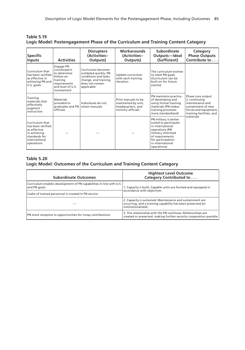| <b>Specific</b><br><b>Inputs</b>                                                                                     | <b>Activities</b>                                                                                                      | <b>Disrupters</b><br>(Activities-<br>Outputs)                                                                               | <b>Workarounds</b><br>(Activities-<br>Outputs)                                        | Subordinate<br>Outputs-Ideal<br>(Sufficient)                                                                                                                                         | Category<br><b>Phase Outputs</b><br>Contribute to                                                                                             |
|----------------------------------------------------------------------------------------------------------------------|------------------------------------------------------------------------------------------------------------------------|-----------------------------------------------------------------------------------------------------------------------------|---------------------------------------------------------------------------------------|--------------------------------------------------------------------------------------------------------------------------------------------------------------------------------------|-----------------------------------------------------------------------------------------------------------------------------------------------|
| Curriculum that<br>has been verified<br>as effective in<br>achieving PN and<br>U.S. goals                            | Engage PN<br>counterparts<br>to determine<br>follow-on<br>training<br>requirements<br>and level of U.S.<br>involvement | Curriculum becomes<br>outdated quickly; PN<br>conditions and tasks<br>change, and training<br>does not remain<br>applicable | Update curriculum<br>with each training<br>iteration                                  | The curriculum evolves<br>to meet PN goals<br>(Curriculum can be<br>built on for future<br>events)                                                                                   | Phase core output<br>2, continuing<br>maintenance and<br>sustainment of new<br>forces and equipment,<br>training facilities, and<br>materials |
| Training<br>materials that<br>effectively<br>augment<br>instruction                                                  | <b>Materials</b><br>provided to<br>graduates and $PN$<br>officials                                                     | Individuals do not<br>retain manuals                                                                                        | Print manuals to be<br>maintained by unit,<br>headquarters, and<br>ministry officials | PN maintains practice<br>of developing and<br>using formal training<br>materials (PN makes<br>training processes<br>more standardized)                                               |                                                                                                                                               |
| Curriculum that<br>has been verified<br>as effective<br>in achieving<br>standards for<br>international<br>operations |                                                                                                                        |                                                                                                                             |                                                                                       | PN military is better<br>suited to participate<br>in international<br>operations (PN<br>military informed<br>of requirements<br>for participation<br>in international<br>operations) |                                                                                                                                               |

**Table 5.19 Logic Model: Postengagement Phase of the Curriculum and Training Content Category**

#### **Table 5.20**

#### **Logic Model: Outcomes of the Curriculum and Training Content Category**

| <b>Subordinate Outcomes</b>                                                         | <b>Hightest Level Outcome</b><br>Category Contributed to                                                                                       |  |
|-------------------------------------------------------------------------------------|------------------------------------------------------------------------------------------------------------------------------------------------|--|
| Curriculum enables development of PN capabilities in line with U.S.<br>and PN goals | 1. Capacity is built: Capable units are formed and equipped in<br>accordance with objectives                                                   |  |
| Cadre of trained personnel is created in PN service                                 |                                                                                                                                                |  |
|                                                                                     | 2. Capacity is sustained: Maintenance and sustainment are<br>occurring, and a training capability has been preserved (or<br>institutionalized) |  |
| PN more receptive to opportunities for troop contributions                          | 3. The relationship with the PN continues: Relationships are<br>created or preserved, making further security cooperation possible             |  |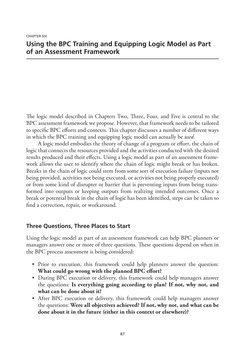CHAPTER SIX

## **Using the BPC Training and Equipping Logic Model as Part of an Assessment Framework**

The logic model described in Chapters Two, Three, Four, and Five is central to the BPC assessment framework we propose. However, that framework needs to be tailored to specific BPC efforts and contexts. This chapter discusses a number of different ways in which the BPC training and equipping logic model can actually be *used*.

A logic model embodies the theory of change of a program or effort, the chain of logic that connects the resources provided and the activities conducted with the desired results produced and their effects. Using a logic model as part of an assessment framework allows the user to identify where the chain of logic might break or has broken. Breaks in the chain of logic could stem from some sort of execution failure (inputs not being provided, activities not being executed, or activities not being properly executed) or from some kind of disrupter or barrier that is preventing inputs from being transformed into outputs or keeping outputs from realizing intended outcomes. Once a break or potential break in the chain of logic has been identified, steps can be taken to find a correction, repair, or workaround.

## **Three Questions, Three Places to Start**

Using the logic model as part of an assessment framework can help BPC planners or managers answer one or more of three questions. These questions depend on when in the BPC process assessment is being considered:

- Prior to execution, this framework could help planners answer the question: **What could go wrong with the planned BPC effort?**
- During BPC execution or delivery, this framework could help managers answer the questions: **Is everything going according to plan? If not, why not, and what can be done about it?**
- After BPC execution or delivery, this framework could help managers answer the questions: **Were all objectives achieved? If not, why not, and what can be done about it in the future (either in this context or elsewhere)?**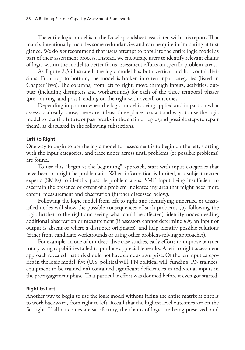The entire logic model is in the Excel spreadsheet associated with this report. That matrix intentionally includes some redundancies and can be quite intimidating at first glance. We do *not* recommend that users attempt to populate the entire logic model as part of their assessment process. Instead, we encourage users to identify relevant chains of logic within the model to better focus assessment efforts on specific problem areas.

As Figure 2.3 illustrated, the logic model has both vertical and horizontal divisions. From top to bottom, the model is broken into ten input categories (listed in Chapter Two). The columns, from left to right, move through inputs, activities, outputs (including disrupters and workarounds) for each of the three temporal phases (pre-, during, and post-), ending on the right with overall outcomes.

Depending in part on when the logic model is being applied and in part on what assessors already know, there are at least three places to start and ways to use the logic model to identify future or past breaks in the chain of logic (and possible steps to repair them), as discussed in the following subsections.

#### **Left to Right**

One way to begin to use the logic model for assessment is to begin on the left, starting with the input categories, and trace nodes across until problems (or possible problems) are found.

To use this "begin at the beginning" approach, start with input categories that have been or might be problematic. When information is limited, ask subject-matter experts (SMEs) to identify possible problem areas. SME input being insufficient to ascertain the presence or extent of a problem indicates any area that might need more careful measurement and observation (further discussed below).

Following the logic model from left to right and identifying imperiled or unsatisfied nodes will show the possible consequences of such problems (by following the logic further to the right and seeing what could be affected), identify nodes needing additional observation or measurement (if assessors cannot determine *why* an input or output is absent or where a disrupter originates), and help identify possible solutions (either from candidate workarounds or using other problem-solving approaches).

For example, in one of our deep-dive case studies, early efforts to improve partner rotary-wing capabilities failed to produce appreciable results. A left-to-right assessment approach revealed that this should not have come as a surprise. Of the ten input categories in the logic model, five (U.S. political will, PN political will, funding, PN trainees, equipment to be trained on) contained significant deficiencies in individual inputs in the preengagement phase. That particular effort was doomed before it even got started.

#### **Right to Left**

Another way to begin to use the logic model without facing the entire matrix at once is to work backward, from right to left. Recall that the highest level outcomes are on the far right. If all outcomes are satisfactory, the chains of logic are being preserved, and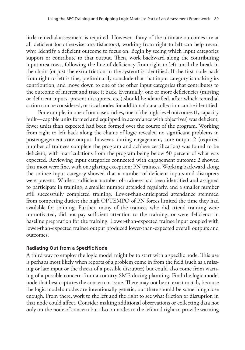little remedial assessment is required. However, if any of the ultimate outcomes are at all deficient (or otherwise unsatisfactory), working from right to left can help reveal why. Identify a deficient outcome to focus on. Begin by seeing which input categories support or contribute to that output. Then, work backward along the contributing input area rows, following the line of deficiency from right to left until the break in the chain (or just the extra friction in the system) is identified. If the first node back from right to left is fine, preliminarily conclude that that input category is making its contribution, and move down to one of the other input categories that contributes to the outcome of interest and trace it back. Eventually, one or more deficiencies (missing or deficient inputs, present disrupters, etc.) should be identified, after which remedial action can be considered, or focal nodes for additional data collection can be identified.

For example, in one of our case studies, one of the high-level outcomes (1, capacity built—capable units formed and equipped in accordance with objectives) was deficient; fewer units than expected had been formed over the course of the program. Working from right to left back along the chains of logic revealed no significant problems in postengagement core output; however, during engagement, core output 2 (required number of trainees complete the program and achieve certification) was found to be deficient, with matriculations from the program being below 50 percent of what was expected. Reviewing input categories connected with engagement outcome 2 showed that most were fine, with one glaring exception: PN trainees. Working backward along the trainee input category showed that a number of deficient inputs and disrupters were present. While a sufficient number of trainees had been identified and assigned to participate in training, a smaller number attended regularly, and a smaller number still successfully completed training. Lower-than-anticipated attendance stemmed from competing duties; the high OPTEMPO of PN forces limited the time they had available for training. Further, many of the trainees who did attend training were unmotivated, did not pay sufficient attention to the training, or were deficienct in baseline preparation for the training. Lower-than-expected trainee input coupled with lower-than-expected trainee output produced lower-than-expected overall outputs and outcomes.

#### **Radiating Out from a Specific Node**

A third way to employ the logic model might be to start with a specific node. This use is perhaps most likely when reports of a problem come in from the field (such as a missing or late input or the threat of a possible disrupter) but could also come from warning of a possible concern from a country SME during planning. Find the logic model node that best captures the concern or issue. There may not be an exact match, because the logic model's nodes are intentionally generic, but there should be something close enough. From there, work to the left and the right to see what friction or disruption in that node could affect. Consider making additional observations or collecting data not only on the node of concern but also on nodes to the left and right to provide warning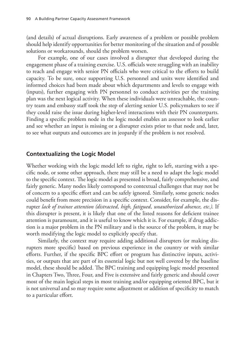(and details) of actual disruptions. Early awareness of a problem or possible problem should help identify opportunities for better monitoring of the situation and of possible solutions or workarounds, should the problem worsen.

For example, one of our cases involved a disrupter that developed during the engagement phase of a training exercise. U.S. officials were struggling with an inability to reach and engage with senior PN officials who were critical to the efforts to build capacity. To be sure, once supporting U.S. personnel and units were identified and informed choices had been made about which departments and levels to engage with (inputs), further engaging with PN personnel to conduct activities per the training plan was the next logical activity. When these individuals were unreachable, the country team and embassy staff took the step of alerting senior U.S. policymakers to see if they could raise the issue during higher-level interactions with their PN counterparts. Finding a specific problem node in the logic model enables an assessor to look earlier and see whether an input is missing or a disrupter exists prior to that node and, later, to see what outputs and outcomes are in jeopardy if the problem is not resolved.

#### **Contextualizing the Logic Model**

Whether working with the logic model left to right, right to left, starting with a specific node, or some other approach, there may still be a need to adapt the logic model to the specific context. The logic model as presented is broad, fairly comprehensive, and fairly generic. Many nodes likely correspond to contextual challenges that may not be of concern to a specific effort and can be safely ignored. Similarly, some generic nodes could benefit from more precision in a specific context. Consider, for example, the disrupter *lack of trainee attention (distracted, high, fatigued, unauthorized absence, etc.)*. If this disrupter is present, it is likely that one of the listed reasons for deficient trainee attention is paramount, and it is useful to know which it is. For example, if drug addiction is a major problem in the PN military and is the source of the problem, it may be worth modifying the logic model to explicitly specify that.

Similarly, the context may require adding additional disrupters (or making disrupters more specific) based on previous experience in the country or with similar efforts. Further, if the specific BPC effort or program has distinctive inputs, activities, or outputs that are part of its essential logic but not well covered by the baseline model, these should be added. The BPC training and equipping logic model presented in Chapters Two, Three, Four, and Five is extensive and fairly generic and should cover most of the main logical steps in most training and/or equipping oriented BPC, but it is not universal and so may require some adjustment or addition of specificity to match to a particular effort.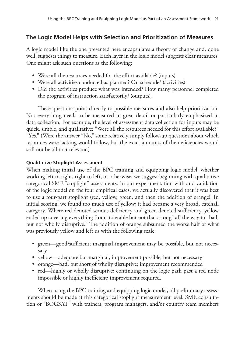## **The Logic Model Helps with Selection and Prioritization of Measures**

A logic model like the one presented here encapsulates a theory of change and, done well, suggests things to measure. Each layer in the logic model suggests clear measures. One might ask such questions as the following:

- Were all the resources needed for the effort available? (inputs)
- Were all activities conducted as planned? On schedule? (activities)
- Did the activities produce what was intended? How many personnel completed the program of instruction satisfactorily? (outputs).

These questions point directly to possible measures and also help prioritization. Not everything needs to be measured in great detail or particularly emphasized in data collection. For example, the level of assessment data collection for inputs may be quick, simple, and qualitative: "Were all the resources needed for this effort available?" "Yes." (Were the answer "No," some relatively simply follow-up questions about which resources were lacking would follow, but the exact amounts of the deficiencies would still not be all that relevant.)

#### **Qualitative Stoplight Assessment**

When making initial use of the BPC training and equipping logic model, whether working left to right, right to left, or otherwise, we suggest beginning with qualitative categorical SME "stoplight" assessments. In our experimentation with and validation of the logic model on the four empirical cases, we actually discovered that it was best to use a four-part stoplight (red, yellow, green, and then the addition of orange). In initial scoring, we found too much use of yellow; it had became a very broad, catchall category. Where red denoted serious deficiency and green denoted sufficiency, yellow ended up covering everything from "tolerable but not that strong" all the way to "bad, but not wholly disruptive." The addition of orange subsumed the worse half of what was previously yellow and left us with the following scale:

- green—good/sufficient; marginal improvement may be possible, but not necessary
- yellow—adequate but marginal; improvement possible, but not necessary
- orange—bad, but short of wholly disruptive; improvement recommended
- red—highly or wholly disruptive; continuing on the logic path past a red node impossible or highly inefficient; improvement required.

When using the BPC training and equipping logic model, all preliminary assessments should be made at this categorical stoplight measurement level. SME consultation or "BOGSAT" with trainers, program managers, and/or country team members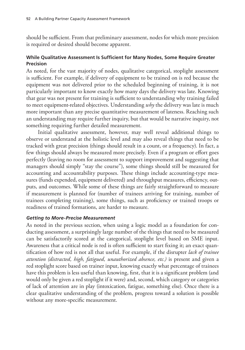should be sufficient. From that preliminary assessment, nodes for which more precision is required or desired should become apparent.

### **While Qualitative Assessment Is Sufficient for Many Nodes, Some Require Greater Precision**

As noted, for the vast majority of nodes, qualitative categorical, stoplight assessment is sufficient. For example, if delivery of equipment to be trained on is red because the equipment was not delivered prior to the scheduled beginning of training, it is not particularly important to know exactly how many days the delivery was late. Knowing that gear was not present for training is sufficient to understanding why training failed to meet equipment-related objectives. Understanding *why* the delivery was late is much more important than any precise quantitative measurement of lateness. Reaching such an understanding may require further inquiry, but that would be narrative inquiry, not something requiring further detailed measurement.

Initial qualitative assessment, however, may well reveal additional things to observe or understand at the holistic level and may also reveal things that need to be tracked with great precision (things should result in a count, or a frequency). In fact, a few things should always be measured more precisely. Even if a program or effort goes perfectly (leaving no room for assessment to support improvement and suggesting that managers should simply "stay the course"), some things should still be measured for accounting and accountability purposes. These things include accounting-type measures (funds expended, equipment delivered) and throughput measures, efficiency, outputs, and outcomes. While some of these things are fairly straightforward to measure if measurement is planned for (number of trainees arriving for training, number of trainees completing training), some things, such as proficiency or trained troops or readiness of trained formations, are harder to measure.

#### *Getting to More-Precise Measurement*

As noted in the previous section, when using a logic model as a foundation for conducting assessment, a surprisingly large number of the things that need to be measured can be satisfactorily scored at the categorical, stoplight level based on SME input. Awareness that a critical node is red is often sufficient to start fixing it; an exact quantification of how red is not all that useful. For example, if the disrupter *lack of trainee attention (distracted, high, fatigued, unauthorized absence, etc.)* is present and given a red stoplight score based on trainer input, knowing exactly what percentage of trainees have this problem is less useful than knowing, first, that it is a significant problem (and would only be given a red stoplight if it were) and, second, which category or categories of lack of attention are in play (intoxication, fatigue, something else). Once there is a clear qualitative understanding of the problem, progress toward a solution is possible without any more-specific measurement.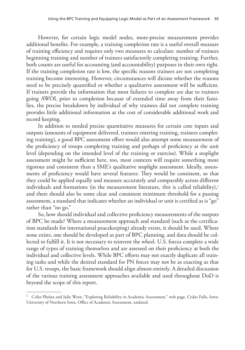However, for certain logic model nodes, more-precise measurement provides additional benefits. For example, a training completion rate is a useful overall measure of training efficiency and requires only two measures to calculate: number of trainees beginning training and number of trainees satisfactorily completing training. Further, both counts are useful for accounting (and accountability) purposes in their own right. If the training completion rate is low, the specific reasons trainees are not completing training become interesting. However, circumstances will dictate whether the reasons need to be precisely quantified or whether a qualitative assessment will be sufficient. If trainers provide the information that most failures to complete are due to trainees going AWOL prior to completion because of extended time away from their families, the precise breakdown by individual of why trainees did not complete training provides little additional information at the cost of considerable additional work and record keeping.

In addition to needed precise quantitative measures for certain core inputs and outputs (amounts of equipment delivered, trainees entering training, trainees completing training), a good BPC assessment effort would also attempt some measurement of the proficiency of troops completing training and perhaps of proficiency at the unit level (depending on the intended level of the training or exercise). While a stoplight assessment might be sufficient here, too, most contexts will require something more rigorous and consistent than a SME's qualitative stoplight assessment. Ideally, assessments of proficiency would have several features: They would be consistent, so that they could be applied equally and measure accurately and comparably across different individuals and formations (in the measurement literature, this is called reliability), $\frac{1}{1}$ and there should also be some clear and consistent minimum threshold for a passing assessment, a standard that indicates whether an individual or unit is certified as is "go" rather than "no go."

So, how should individual and collective proficiency measurements of the outputs of BPC be made? Where a measurement approach and standard (such as the certification standards for international peacekeeping) already exists, it should be used. Where none exists, one should be developed as part of BPC planning, and data should be collected to fulfill it. It is not necessary to reinvent the wheel. U.S. forces complete a wide range of types of training themselves and are assessed on their proficiency at both the individual and collective levels. While BPC efforts may not exactly duplicate all training tasks and while the desired standard for PN forces may not be as exacting as that for U.S. troops, the basic framework should align almost entirely. A detailed discussion of the various training assessment approaches available and used throughout DoD is beyond the scope of this report.

<sup>&</sup>lt;sup>1</sup> Colin Phelan and Julie Wren, "Exploring Reliability in Academic Assessment," web page, Cedar Falls, Iowa: University of Northern Iowa, Office of Academic Assessment, undated.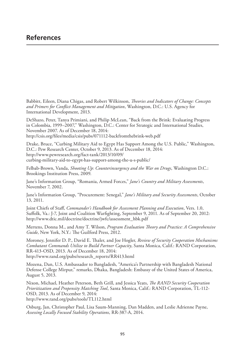## **References**

Babbitt, Eileen, Diana Chigas, and Robert Wilkinson, *Theories and Indicators of Change: Concepts and Primers for Conflict Management and Mitigation*, Washington, D.C.: U.S. Agency for International Development, 2013.

DeShazo, Peter, Tanya Primiani, and Philip McLean, "Back from the Brink: Evaluating Progress in Colombia, 1999–2007," Washington, D.C.: Center for Strategic and International Studies, November 2007. As of December 18, 2014: <http://csis.org/files/media/csis/pubs/071112-backfromthebrink-web.pdf>

Drake, Bruce, "Curbing Military Aid to Egypt Has Support Among the U.S. Public," Washington, D.C.: Pew Research Center, October 9, 2013. As of December 18, 2014: http://www.pewresearch.org/fact-tank/2013/10/09/ [curbing-military-aid-to-egypt-has-support-among-the-u-s-public/](http://www.pewresearch.org/fact-tank/2013/10/09/curbing-military-aid-to-egypt-has-support-among-the-u-s-public/)

Felbab-Brown, Vanda, *Shooting Up: Counterinsurgency and the War on Drugs*, Washington D.C.: Brookings Institution Press, 2009.

Jane's Information Group, "Romania, Armed Forces," *Jane's Country and Military Assessments*, November 7, 2002.

Jane's Information Group, "Procurement: Senegal," *Jane's Military and Security Assessments*, October 13, 2011.

Joint Chiefs of Staff, *Commander's Handbook for Assessment Planning and Execution*, Vers. 1.0, Suffolk, Va.: J-7, Joint and Coalition Warfighting, September 9, 2011. As of September 20, 2012: [http://www.dtic.mil/doctrine/doctrine/jwfc/assessment\\_hbk.pdf](http://www.dtic.mil/doctrine/doctrine/jwfc/assessment_hbk.pdf)

Mertens, Donna M., and Amy T. Wilson, *Program Evaluation Theory and Practice: A Comprehensive Guide*, New York, N.Y.: The Guilford Press, 2012.

Moroney, Jennifer D. P., David E. Thaler, and Joe Hogler, *Review of Security Cooperation Mechanisms Combatant Commands Utilize to Build Partner Capacity*, Santa Monica, Calif.: RAND Corporation, RR-413-OSD, 2013. As of December 18, 2014: [http://www.rand.org/pubs/research\\_reports/RR413.html](http://www.rand.org/pubs/research_reports/RR413.html)

Mozena, Dan, U.S. Ambassador to Bangladesh, "America's Partnership with Bangladesh National Defense College Mirpur," remarks, Dhaka, Bangladesh: Embassy of the United States of America, August 5, 2013.

Nixon, Michael, Heather Peterson, Beth Grill, and Jessica Yeats, *The RAND Security Cooperation Prioritization and Propensity Matching Tool*, Santa Monica, Calif.: RAND Corporation, TL-112- OSD, 2013. As of December 9, 2014:

<http://www.rand.org/pubs/tools/TL112.html>

Osburg, Jan, Christopher Paul, Lisa Saum-Manning, Dan Madden, and Leslie Adrienne Payne, *Assessing Locally Focused Stability Operations*, RR-387-A, 2014.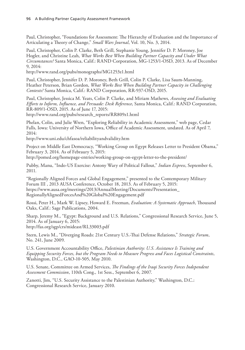Paul, Christopher, "Foundations for Assessment: The Hierarchy of Evaluation and the Importance of Articulating a Theory of Change," *Small Wars Journal*, Vol. 10, No. 3, 2014.

Paul, Christopher, Colin P. Clarke, Beth Grill, Stephanie Young, Jennifer D. P. Moroney, Joe Hogler, and Christine Leah, *What Works Best When Building Partner Capacity and Under What Circumstances?* Santa Monica, Calif.: RAND Corporation, MG-1253/1-OSD, 2013. As of December 9, 2014:

<http://www.rand.org/pubs/monographs/MG1253z1.html>

Paul, Christopher, Jennifer D. P. Moroney, Beth Grill, Colin P. Clarke, Lisa Saum-Manning, Heather Peterson, Brian Gordon, *What Works Best When Building Partner Capacity in Challenging Contexts?* Santa Monica, Calif.: RAND Corporation, RR-937-OSD, 2015.

Paul, Christopher, Jessica M. Yeats, Colin P. Clarke, and Miriam Mathews*, Assessing and Evaluating Efforts to Inform, Influence, and Persuade: Desk Reference*, Santa Monica, Calif.: RAND Corporation, RR-809/1-OSD, 2015. As of June 17, 2015:

[http://www.rand.org/pubs/research\\_reports/RR809z1.html](http://www.rand.org/pubs/research_reports/RR809z1.html)

Phelan, Colin, and Julie Wren, "Exploring Reliability in Academic Assessment," web page, Cedar Falls, Iowa: University of Northern Iowa, Office of Academic Assessment, undated. As of April 7, 2014:

<http://www.uni.edu/chfasoa/reliabilityandvalidity.htm>

Project on Middle East Democracy, "Working Group on Egypt Releases Letter to President Obama," February 3, 2014. As of Febraury 5, 2015:

<http://pomed.org/homepage-entries/working-group-on-egypt-letter-to-the-president/>

Pubby, Manu, "Indo-US Exercise: Antony Wary of Political Fallout," *Indian Express*, September 6, 2011.

"Regionally Aligned Forces and Global Engagement," presented to the Contemporary Military Forum III , 2013 AUSA Conference, October 18, 2013. As of February 5, 2015: [https://www.ausa.org/meetings/2013/AnnualMeeting/Documents/Presentation\\_](https://www.ausa.org/meetings/2013/AnnualMeeting/Documents/Presentation_RegionallyAlignedForcesAnd%20Global%20Engagement.pdf) RegionallyAlignedForcesAnd%20Global%20Engagement.pdf

Rossi, Peter H., Mark W. Lipsey, Howard E. Freeman, *Evaluation: A Systematic Approach*, Thousand Oaks, Calif.: Sage Publications, 2004.

Sharp, Jeremy M., "Egypt: Background and U.S. Relations," Congressional Research Service, June 5, 2014. As of January 6, 2015: <http://fas.org/sgp/crs/mideast/RL33003.pdf>

Stern, Lewis M., "Diverging Roads: 21st Century U.S.-Thai Defense Relations," *Strategic Forum*, No. 241, June 2009.

U.S. Government Accountability Office, *Palestinian Authority: U.S. Assistance Is Training and Equipping Security Forces, but the Program Needs to Measure Progress and Faces Logistical Constraints*, Washington, D.C., GAO-10-505, May 2010.

U.S. Senate, Committee on Armed Services, *The Findings of the Iraqi Security Forces Independent Assessment Commission*, 110th Cong., 1st Sess., September 6, 2007.

Zanotti, Jim, "U.S. Security Assistance to the Palestinian Authority," Washington, D.C.: Congressional Research Service, January 2010.